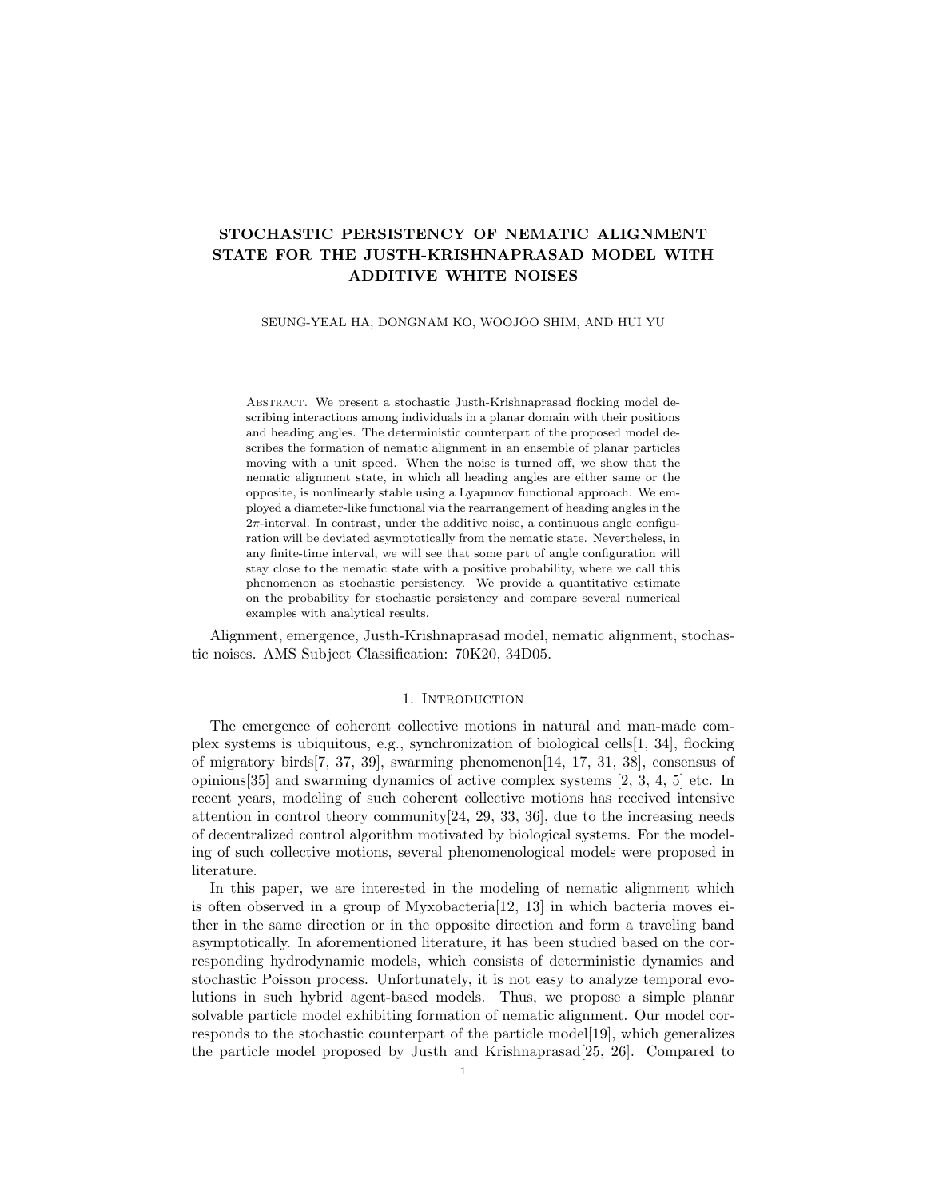# STOCHASTIC PERSISTENCY OF NEMATIC ALIGNMENT STATE FOR THE JUSTH-KRISHNAPRASAD MODEL WITH ADDITIVE WHITE NOISES

#### SEUNG-YEAL HA, DONGNAM KO, WOOJOO SHIM, AND HUI YU

Abstract. We present a stochastic Justh-Krishnaprasad flocking model describing interactions among individuals in a planar domain with their positions and heading angles. The deterministic counterpart of the proposed model describes the formation of nematic alignment in an ensemble of planar particles moving with a unit speed. When the noise is turned off, we show that the nematic alignment state, in which all heading angles are either same or the opposite, is nonlinearly stable using a Lyapunov functional approach. We employed a diameter-like functional via the rearrangement of heading angles in the  $2\pi$ -interval. In contrast, under the additive noise, a continuous angle configuration will be deviated asymptotically from the nematic state. Nevertheless, in any finite-time interval, we will see that some part of angle configuration will stay close to the nematic state with a positive probability, where we call this phenomenon as stochastic persistency. We provide a quantitative estimate on the probability for stochastic persistency and compare several numerical examples with analytical results.

Alignment, emergence, Justh-Krishnaprasad model, nematic alignment, stochastic noises. AMS Subject Classification: 70K20, 34D05.

## 1. Introduction

The emergence of coherent collective motions in natural and man-made complex systems is ubiquitous, e.g., synchronization of biological cells[1, 34], flocking of migratory birds[7, 37, 39], swarming phenomenon[14, 17, 31, 38], consensus of opinions[35] and swarming dynamics of active complex systems [2, 3, 4, 5] etc. In recent years, modeling of such coherent collective motions has received intensive attention in control theory community $[24, 29, 33, 36]$ , due to the increasing needs of decentralized control algorithm motivated by biological systems. For the modeling of such collective motions, several phenomenological models were proposed in literature.

In this paper, we are interested in the modeling of nematic alignment which is often observed in a group of Myxobacteria $[12, 13]$  in which bacteria moves either in the same direction or in the opposite direction and form a traveling band asymptotically. In aforementioned literature, it has been studied based on the corresponding hydrodynamic models, which consists of deterministic dynamics and stochastic Poisson process. Unfortunately, it is not easy to analyze temporal evolutions in such hybrid agent-based models. Thus, we propose a simple planar solvable particle model exhibiting formation of nematic alignment. Our model corresponds to the stochastic counterpart of the particle model[19], which generalizes the particle model proposed by Justh and Krishnaprasad[25, 26]. Compared to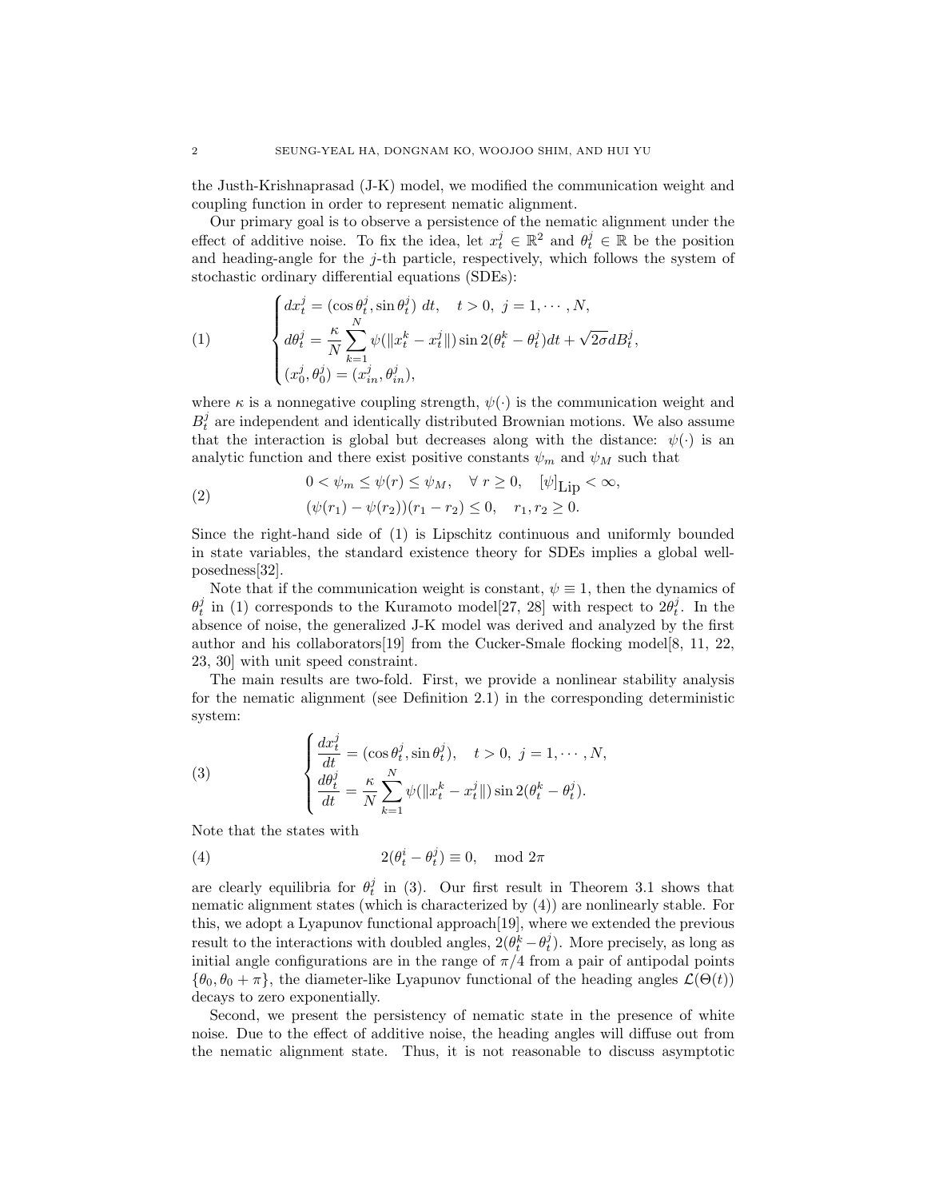the Justh-Krishnaprasad (J-K) model, we modified the communication weight and coupling function in order to represent nematic alignment.

Our primary goal is to observe a persistence of the nematic alignment under the effect of additive noise. To fix the idea, let  $x_t^j \in \mathbb{R}^2$  and  $\theta_t^j \in \mathbb{R}$  be the position and heading-angle for the  $j$ -th particle, respectively, which follows the system of stochastic ordinary differential equations (SDEs):

(1)  

$$
\begin{cases}\ndx_t^j = (\cos \theta_t^j, \sin \theta_t^j) dt, \quad t > 0, \ j = 1, \cdots, N, \\
d\theta_t^j = \frac{\kappa}{N} \sum_{k=1}^N \psi(\|x_t^k - x_t^j\|) \sin 2(\theta_t^k - \theta_t^j) dt + \sqrt{2\sigma} dB_t^j, \\
(x_0^j, \theta_0^j) = (x_{in}^j, \theta_{in}^j),\n\end{cases}
$$

where  $\kappa$  is a nonnegative coupling strength,  $\psi(\cdot)$  is the communication weight and  $B_t^j$  are independent and identically distributed Brownian motions. We also assume that the interaction is global but decreases along with the distance:  $\psi(\cdot)$  is an analytic function and there exist positive constants  $\psi_m$  and  $\psi_M$  such that

(2) 
$$
0 < \psi_m \le \psi(r) \le \psi_M, \quad \forall r \ge 0, \quad [\psi]_{\text{Lip}} < \infty, (\psi(r_1) - \psi(r_2))(r_1 - r_2) \le 0, \quad r_1, r_2 \ge 0.
$$

Since the right-hand side of (1) is Lipschitz continuous and uniformly bounded in state variables, the standard existence theory for SDEs implies a global wellposedness[32].

Note that if the communication weight is constant,  $\psi \equiv 1$ , then the dynamics of  $\theta_t^j$  in (1) corresponds to the Kuramoto model<sup>[27, 28]</sup> with respect to  $2\theta_t^j$ . In the absence of noise, the generalized J-K model was derived and analyzed by the first author and his collaborators [19] from the Cucker-Smale flocking model [8, 11, 22, 23, 30] with unit speed constraint.

The main results are two-fold. First, we provide a nonlinear stability analysis for the nematic alignment (see Definition 2.1) in the corresponding deterministic system:

(3) 
$$
\begin{cases} \frac{dx_t^j}{dt} = (\cos \theta_t^j, \sin \theta_t^j), \quad t > 0, \ j = 1, \cdots, N, \\ \frac{d\theta_t^j}{dt} = \frac{\kappa}{N} \sum_{k=1}^N \psi(\|x_t^k - x_t^j\|) \sin 2(\theta_t^k - \theta_t^j). \end{cases}
$$

Note that the states with

(4) 
$$
2(\theta_t^i - \theta_t^j) \equiv 0, \mod 2\pi
$$

are clearly equilibria for  $\theta_t^j$  in (3). Our first result in Theorem 3.1 shows that nematic alignment states (which is characterized by (4)) are nonlinearly stable. For this, we adopt a Lyapunov functional approach[19], where we extended the previous result to the interactions with doubled angles,  $2(\theta_t^k - \theta_t^j)$ . More precisely, as long as initial angle configurations are in the range of  $\pi/4$  from a pair of antipodal points  ${\theta_0, \theta_0 + \pi}$ , the diameter-like Lyapunov functional of the heading angles  $\mathcal{L}(\Theta(t))$ decays to zero exponentially.

Second, we present the persistency of nematic state in the presence of white noise. Due to the effect of additive noise, the heading angles will diffuse out from the nematic alignment state. Thus, it is not reasonable to discuss asymptotic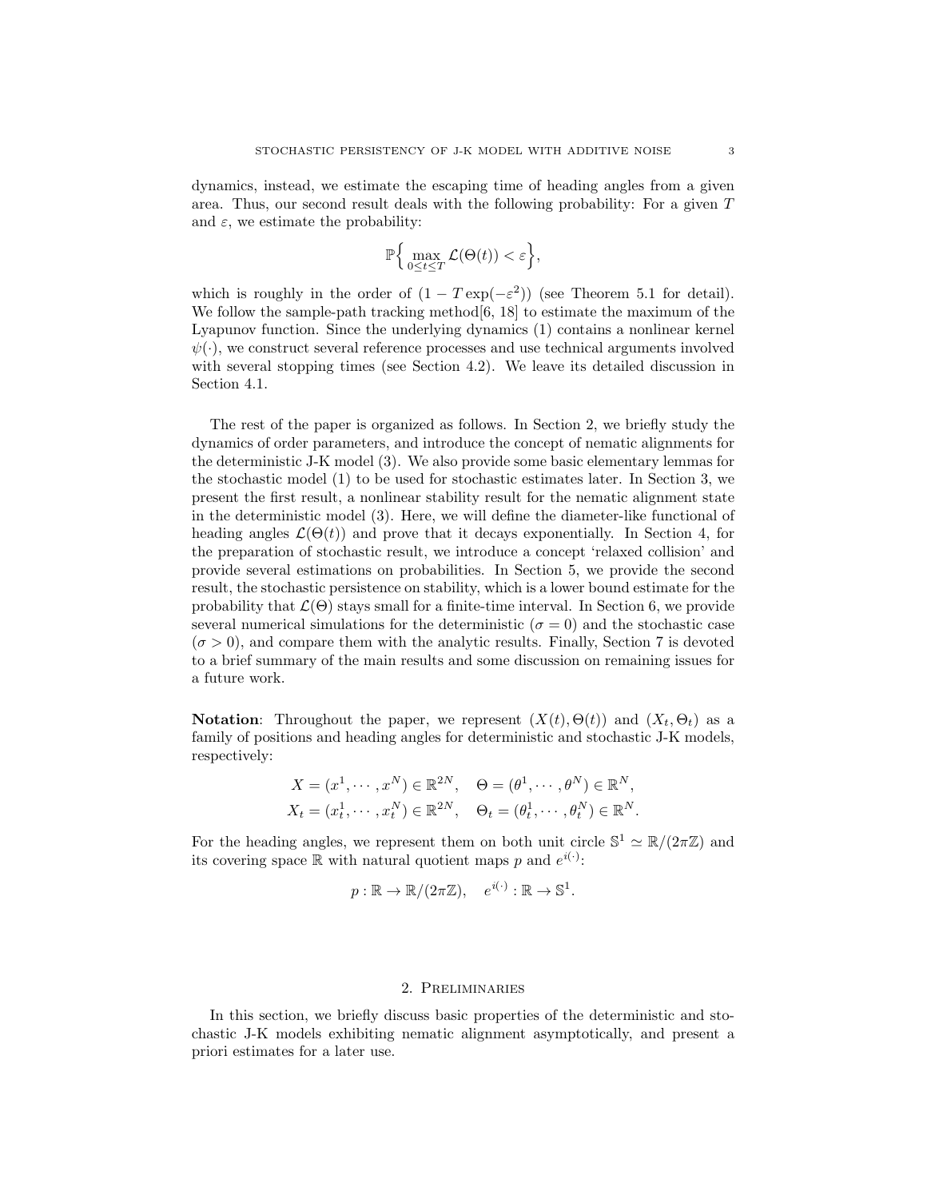dynamics, instead, we estimate the escaping time of heading angles from a given area. Thus, our second result deals with the following probability: For a given T and  $\varepsilon$ , we estimate the probability:

$$
\mathbb{P}\Big\{\max_{0\leq t\leq T}\mathcal{L}(\Theta(t))<\varepsilon\Big\},\
$$

which is roughly in the order of  $(1 - T \exp(-\varepsilon^2))$  (see Theorem 5.1 for detail). We follow the sample-path tracking method[6, 18] to estimate the maximum of the Lyapunov function. Since the underlying dynamics (1) contains a nonlinear kernel  $\psi(\cdot)$ , we construct several reference processes and use technical arguments involved with several stopping times (see Section 4.2). We leave its detailed discussion in Section 4.1.

The rest of the paper is organized as follows. In Section 2, we briefly study the dynamics of order parameters, and introduce the concept of nematic alignments for the deterministic J-K model (3). We also provide some basic elementary lemmas for the stochastic model (1) to be used for stochastic estimates later. In Section 3, we present the first result, a nonlinear stability result for the nematic alignment state in the deterministic model (3). Here, we will define the diameter-like functional of heading angles  $\mathcal{L}(\Theta(t))$  and prove that it decays exponentially. In Section 4, for the preparation of stochastic result, we introduce a concept 'relaxed collision' and provide several estimations on probabilities. In Section 5, we provide the second result, the stochastic persistence on stability, which is a lower bound estimate for the probability that  $\mathcal{L}(\Theta)$  stays small for a finite-time interval. In Section 6, we provide several numerical simulations for the deterministic ( $\sigma = 0$ ) and the stochastic case  $(\sigma > 0)$ , and compare them with the analytic results. Finally, Section 7 is devoted to a brief summary of the main results and some discussion on remaining issues for a future work.

**Notation:** Throughout the paper, we represent  $(X(t), \Theta(t))$  and  $(X_t, \Theta_t)$  as a family of positions and heading angles for deterministic and stochastic J-K models, respectively:

$$
X = (x^1, \dots, x^N) \in \mathbb{R}^{2N}, \quad \Theta = (\theta^1, \dots, \theta^N) \in \mathbb{R}^N,
$$
  

$$
X_t = (x_t^1, \dots, x_t^N) \in \mathbb{R}^{2N}, \quad \Theta_t = (\theta_t^1, \dots, \theta_t^N) \in \mathbb{R}^N.
$$

For the heading angles, we represent them on both unit circle  $\mathbb{S}^1 \simeq \mathbb{R}/(2\pi\mathbb{Z})$  and its covering space  $\mathbb R$  with natural quotient maps p and  $e^{i(\cdot)}$ :

$$
p: \mathbb{R} \to \mathbb{R}/(2\pi\mathbb{Z}), \quad e^{i(\cdot)}: \mathbb{R} \to \mathbb{S}^1.
$$

# 2. Preliminaries

In this section, we briefly discuss basic properties of the deterministic and stochastic J-K models exhibiting nematic alignment asymptotically, and present a priori estimates for a later use.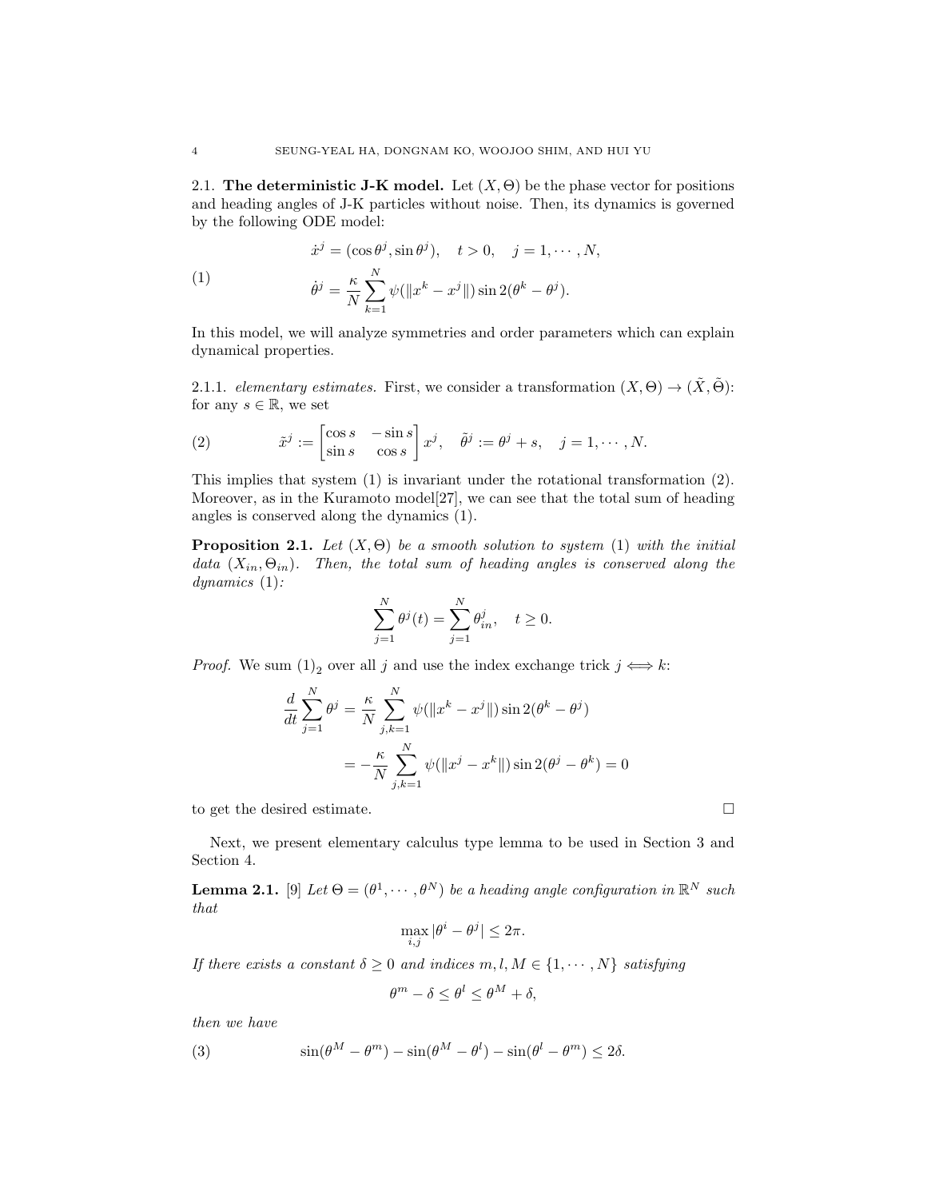2.1. The deterministic J-K model. Let  $(X, \Theta)$  be the phase vector for positions and heading angles of J-K particles without noise. Then, its dynamics is governed by the following ODE model:

(1)  
\n
$$
\dot{x}^j = (\cos \theta^j, \sin \theta^j), \quad t > 0, \quad j = 1, \cdots, N,
$$
\n
$$
\dot{\theta}^j = \frac{\kappa}{N} \sum_{k=1}^N \psi(\|x^k - x^j\|) \sin 2(\theta^k - \theta^j).
$$

In this model, we will analyze symmetries and order parameters which can explain dynamical properties.

2.1.1. elementary estimates. First, we consider a transformation  $(X, \Theta) \to (\tilde{X}, \tilde{\Theta})$ : for any  $s \in \mathbb{R}$ , we set

(2) 
$$
\tilde{x}^j := \begin{bmatrix} \cos s & -\sin s \\ \sin s & \cos s \end{bmatrix} x^j, \quad \tilde{\theta}^j := \theta^j + s, \quad j = 1, \cdots, N.
$$

This implies that system (1) is invariant under the rotational transformation (2). Moreover, as in the Kuramoto model[27], we can see that the total sum of heading angles is conserved along the dynamics (1).

**Proposition 2.1.** Let  $(X, \Theta)$  be a smooth solution to system (1) with the initial data  $(X_{in}, \Theta_{in})$ . Then, the total sum of heading angles is conserved along the dynamics (1):

$$
\sum_{j=1}^{N} \theta^{j}(t) = \sum_{j=1}^{N} \theta_{in}^{j}, \quad t \ge 0.
$$

*Proof.* We sum  $(1)_2$  over all j and use the index exchange trick  $j \iff k$ :

$$
\frac{d}{dt} \sum_{j=1}^{N} \theta^{j} = \frac{\kappa}{N} \sum_{j,k=1}^{N} \psi(||x^{k} - x^{j}||) \sin 2(\theta^{k} - \theta^{j})
$$

$$
= -\frac{\kappa}{N} \sum_{j,k=1}^{N} \psi(||x^{j} - x^{k}||) \sin 2(\theta^{j} - \theta^{k}) = 0
$$

to get the desired estimate.

Next, we present elementary calculus type lemma to be used in Section 3 and Section 4.

**Lemma 2.1.** [9] Let  $\Theta = (\theta^1, \dots, \theta^N)$  be a heading angle configuration in  $\mathbb{R}^N$  such that

$$
\max_{i,j} |\theta^i - \theta^j| \le 2\pi.
$$

If there exists a constant  $\delta \geq 0$  and indices  $m, l, M \in \{1, \cdots, N\}$  satisfying

$$
\theta^m - \delta \le \theta^l \le \theta^M + \delta,
$$

then we have

(3) 
$$
\sin(\theta^M - \theta^m) - \sin(\theta^M - \theta^l) - \sin(\theta^l - \theta^m) \le 2\delta.
$$

$$
\Box
$$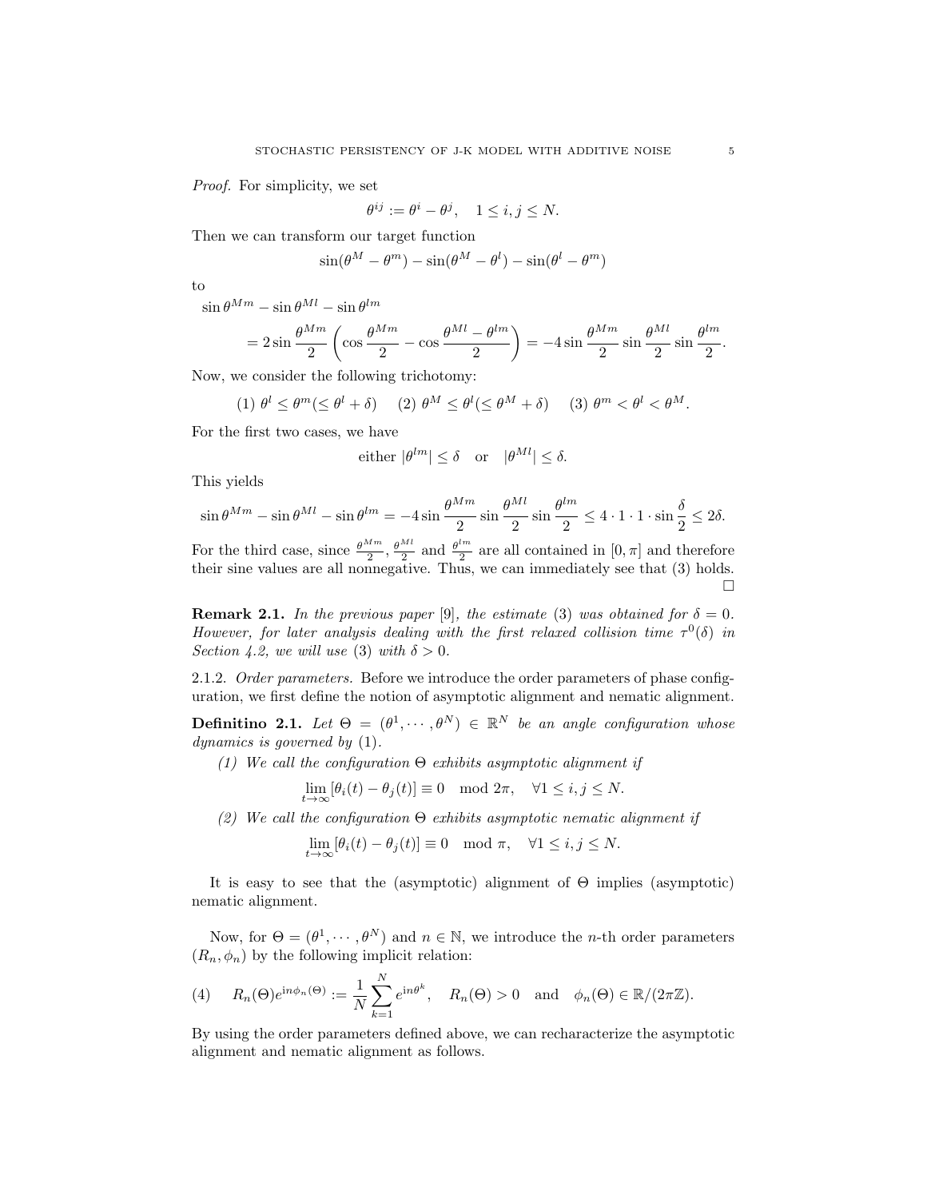Proof. For simplicity, we set

$$
\theta^{ij} := \theta^i - \theta^j, \quad 1 \le i, j \le N.
$$

Then we can transform our target function

$$
\sin(\theta^M - \theta^m) - \sin(\theta^M - \theta^l) - \sin(\theta^l - \theta^m)
$$

to

 $\sin\theta^{Mm} - \sin\theta^{Ml} - \sin\theta^{lm}$ 

$$
=2\sin\frac{\theta^{Mm}}{2}\left(\cos\frac{\theta^{Mm}}{2}-\cos\frac{\theta^{Ml}-\theta^{lm}}{2}\right)=-4\sin\frac{\theta^{Mm}}{2}\sin\frac{\theta^{Ml}}{2}\sin\frac{\theta^{lm}}{2}.
$$

Now, we consider the following trichotomy:

$$
(1) \ \theta^l \leq \theta^m (\leq \theta^l + \delta) \quad (2) \ \theta^M \leq \theta^l (\leq \theta^M + \delta) \quad (3) \ \theta^m < \theta^l < \theta^M.
$$

For the first two cases, we have

either 
$$
|\theta^{lm}| \le \delta
$$
 or  $|\theta^{Ml}| \le \delta$ .

This yields

$$
\sin \theta^{Mm} - \sin \theta^{Ml} - \sin \theta^{lm} = -4 \sin \frac{\theta^{Mm}}{2} \sin \frac{\theta^{Ml}}{2} \sin \frac{\theta^{lm}}{2} \le 4 \cdot 1 \cdot 1 \cdot \sin \frac{\delta}{2} \le 2\delta.
$$

For the third case, since  $\frac{\theta^{Mm}}{2}, \frac{\theta^{Ml}}{2}$  and  $\frac{\theta^{lm}}{2}$  $\frac{2m}{2}$  are all contained in  $[0, \pi]$  and therefore their sine values are all nonnegative. Thus, we can immediately see that (3) holds.  $\Box$ 

**Remark 2.1.** In the previous paper [9], the estimate (3) was obtained for  $\delta = 0$ . However, for later analysis dealing with the first relaxed collision time  $\tau^0(\delta)$  in Section 4.2, we will use (3) with  $\delta > 0$ .

2.1.2. Order parameters. Before we introduce the order parameters of phase configuration, we first define the notion of asymptotic alignment and nematic alignment.

**Definitino 2.1.** Let  $\Theta = (\theta^1, \dots, \theta^N) \in \mathbb{R}^N$  be an angle configuration whose dynamics is governed by (1).

(1) We call the configuration  $\Theta$  exhibits asymptotic alignment if

$$
\lim_{t \to \infty} [\theta_i(t) - \theta_j(t)] \equiv 0 \mod 2\pi, \quad \forall 1 \le i, j \le N.
$$

(2) We call the configuration  $\Theta$  exhibits asymptotic nematic alignment if

$$
\lim_{t \to \infty} [\theta_i(t) - \theta_j(t)] \equiv 0 \mod \pi, \quad \forall 1 \le i, j \le N.
$$

It is easy to see that the (asymptotic) alignment of  $\Theta$  implies (asymptotic) nematic alignment.

Now, for  $\Theta = (\theta^1, \dots, \theta^N)$  and  $n \in \mathbb{N}$ , we introduce the *n*-th order parameters  $(R_n, \phi_n)$  by the following implicit relation:

(4) 
$$
R_n(\Theta)e^{\mathrm{i}n\phi_n(\Theta)} := \frac{1}{N}\sum_{k=1}^N e^{\mathrm{i}n\theta^k}, \quad R_n(\Theta) > 0 \text{ and } \phi_n(\Theta) \in \mathbb{R}/(2\pi\mathbb{Z}).
$$

By using the order parameters defined above, we can recharacterize the asymptotic alignment and nematic alignment as follows.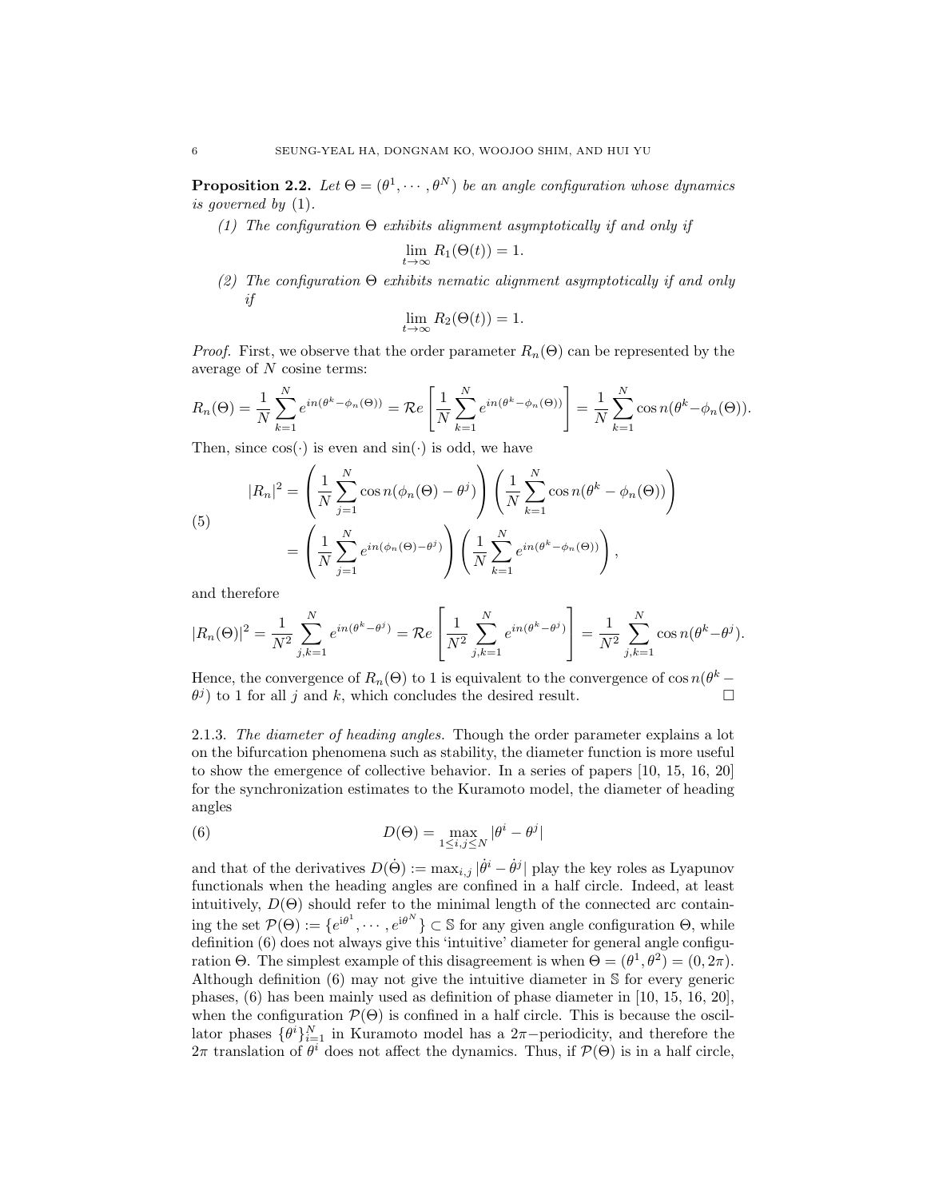**Proposition 2.2.** Let  $\Theta = (\theta^1, \dots, \theta^N)$  be an angle configuration whose dynamics is governed by (1).

(1) The configuration  $\Theta$  exhibits alignment asymptotically if and only if

$$
\lim_{t \to \infty} R_1(\Theta(t)) = 1.
$$

(2) The configuration Θ exhibits nematic alignment asymptotically if and only if

$$
\lim_{t \to \infty} R_2(\Theta(t)) = 1.
$$

*Proof.* First, we observe that the order parameter  $R_n(\Theta)$  can be represented by the average of N cosine terms:

$$
R_n(\Theta) = \frac{1}{N} \sum_{k=1}^N e^{in(\theta^k - \phi_n(\Theta))} = \mathcal{R}e\left[\frac{1}{N} \sum_{k=1}^N e^{in(\theta^k - \phi_n(\Theta))}\right] = \frac{1}{N} \sum_{k=1}^N \cos n(\theta^k - \phi_n(\Theta)).
$$

Then, since  $cos(\cdot)$  is even and  $sin(\cdot)$  is odd, we have

(5)  
\n
$$
|R_n|^2 = \left(\frac{1}{N} \sum_{j=1}^N \cos n(\phi_n(\Theta) - \theta^j)\right) \left(\frac{1}{N} \sum_{k=1}^N \cos n(\theta^k - \phi_n(\Theta))\right)
$$
\n
$$
= \left(\frac{1}{N} \sum_{j=1}^N e^{in(\phi_n(\Theta) - \theta^j)}\right) \left(\frac{1}{N} \sum_{k=1}^N e^{in(\theta^k - \phi_n(\Theta))}\right),
$$

and therefore

$$
|R_n(\Theta)|^2 = \frac{1}{N^2} \sum_{j,k=1}^N e^{in(\theta^k - \theta^j)} = \mathcal{R}e\left[\frac{1}{N^2} \sum_{j,k=1}^N e^{in(\theta^k - \theta^j)}\right] = \frac{1}{N^2} \sum_{j,k=1}^N \cos n(\theta^k - \theta^j).
$$

Hence, the convergence of  $R_n(\Theta)$  to 1 is equivalent to the convergence of cos  $n(\theta^k \theta^{j}$  to 1 for all j and k, which concludes the desired result.

2.1.3. The diameter of heading angles. Though the order parameter explains a lot on the bifurcation phenomena such as stability, the diameter function is more useful to show the emergence of collective behavior. In a series of papers [10, 15, 16, 20] for the synchronization estimates to the Kuramoto model, the diameter of heading angles

(6) 
$$
D(\Theta) = \max_{1 \le i,j \le N} |\theta^i - \theta^j|
$$

and that of the derivatives  $D(\dot{\Theta}) := \max_{i,j} |\dot{\theta}^i - \dot{\theta}^j|$  play the key roles as Lyapunov functionals when the heading angles are confined in a half circle. Indeed, at least intuitively,  $D(\Theta)$  should refer to the minimal length of the connected arc containing the set  $\mathcal{P}(\Theta) := \{e^{i\theta^1}, \cdots, e^{i\theta^N}\}\subset \mathbb{S}$  for any given angle configuration  $\Theta$ , while definition (6) does not always give this 'intuitive' diameter for general angle configuration  $\Theta$ . The simplest example of this disagreement is when  $\Theta = (\theta^1, \theta^2) = (0, 2\pi)$ . Although definition (6) may not give the intuitive diameter in S for every generic phases, (6) has been mainly used as definition of phase diameter in [10, 15, 16, 20], when the configuration  $\mathcal{P}(\Theta)$  is confined in a half circle. This is because the oscillator phases  $\{\theta^i\}_{i=1}^N$  in Kuramoto model has a 2π-periodicity, and therefore the  $2\pi$  translation of  $\theta^i$  does not affect the dynamics. Thus, if  $\mathcal{P}(\Theta)$  is in a half circle,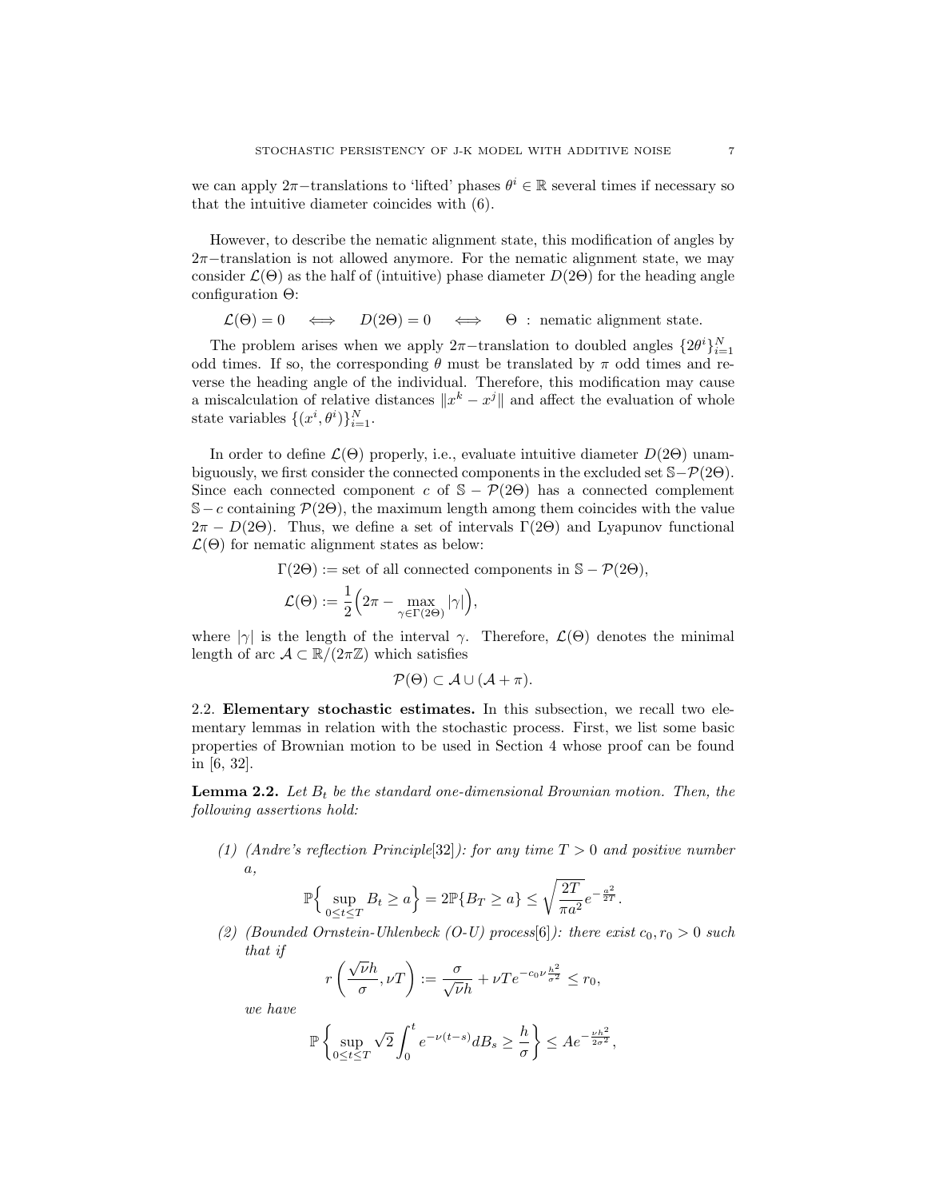we can apply 2π–translations to 'lifted' phases  $\theta^i \in \mathbb{R}$  several times if necessary so that the intuitive diameter coincides with (6).

However, to describe the nematic alignment state, this modification of angles by 2π−translation is not allowed anymore. For the nematic alignment state, we may consider  $\mathcal{L}(\Theta)$  as the half of (intuitive) phase diameter  $D(2\Theta)$  for the heading angle configuration Θ:

 $\mathcal{L}(\Theta) = 0 \iff D(2\Theta) = 0 \iff \Theta$ : nematic alignment state.

The problem arises when we apply  $2\pi$ -translation to doubled angles  $\{2\theta^i\}_{i=1}^N$ odd times. If so, the corresponding  $\theta$  must be translated by  $\pi$  odd times and reverse the heading angle of the individual. Therefore, this modification may cause a miscalculation of relative distances  $\|x^k - x^j\|$  and affect the evaluation of whole state variables  $\{(x^i, \theta^i)\}_{i=1}^N$ .

In order to define  $\mathcal{L}(\Theta)$  properly, i.e., evaluate intuitive diameter  $D(2\Theta)$  unambiguously, we first consider the connected components in the excluded set  $\mathcal{S}-\mathcal{P}(2\Theta)$ . Since each connected component c of  $S - P(2\Theta)$  has a connected complement S – c containing  $\mathcal{P}(2\Theta)$ , the maximum length among them coincides with the value  $2\pi - D(2\Theta)$ . Thus, we define a set of intervals  $\Gamma(2\Theta)$  and Lyapunov functional  $\mathcal{L}(\Theta)$  for nematic alignment states as below:

$$
\Gamma(2\Theta) := \text{set of all connected components in } \mathbb{S} - \mathcal{P}(2\Theta),
$$
  

$$
\mathcal{L}(\Theta) := \frac{1}{2} \Big( 2\pi - \max_{\gamma \in \Gamma(2\Theta)} |\gamma| \Big),
$$

where  $|\gamma|$  is the length of the interval  $\gamma$ . Therefore,  $\mathcal{L}(\Theta)$  denotes the minimal length of arc  $\mathcal{A} \subset \mathbb{R}/(2\pi\mathbb{Z})$  which satisfies

$$
\mathcal{P}(\Theta) \subset \mathcal{A} \cup (\mathcal{A} + \pi).
$$

2.2. Elementary stochastic estimates. In this subsection, we recall two elementary lemmas in relation with the stochastic process. First, we list some basic properties of Brownian motion to be used in Section 4 whose proof can be found in [6, 32].

**Lemma 2.2.** Let  $B_t$  be the standard one-dimensional Brownian motion. Then, the following assertions hold:

(1) (Andre's reflection Principle[32]): for any time  $T > 0$  and positive number a,

$$
\mathbb{P}\Big\{\sup_{0\leq t\leq T}B_t\geq a\Big\}=2\mathbb{P}\{B_T\geq a\}\leq \sqrt{\frac{2T}{\pi a^2}}e^{-\frac{a^2}{2T}}.
$$

(2) (Bounded Ornstein-Uhlenbeck (O-U) process[6]): there exist  $c_0, r_0 > 0$  such that if

$$
r\left(\frac{\sqrt{\nu}h}{\sigma}, \nu T\right) := \frac{\sigma}{\sqrt{\nu}h} + \nu Te^{-c_0\nu\frac{h^2}{\sigma^2}} \le r_0,
$$

we have

$$
\mathbb{P}\left\{\sup_{0\leq t\leq T}\sqrt{2}\int_0^t e^{-\nu(t-s)}dB_s\geq \frac{h}{\sigma}\right\}\leq Ae^{-\frac{\nu h^2}{2\sigma^2}},
$$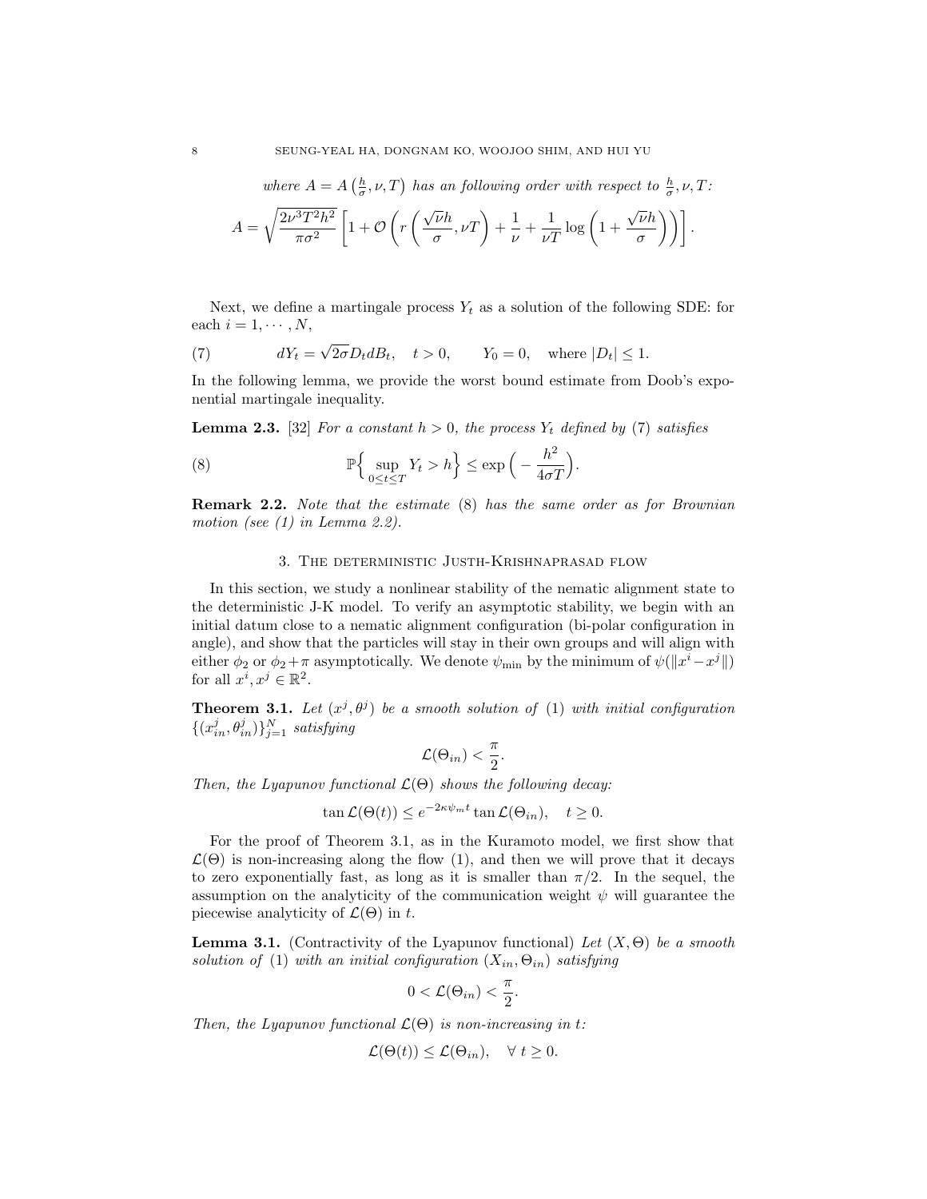where  $A = A\left(\frac{h}{\sigma}, \nu, T\right)$  has an following order with respect to  $\frac{h}{\sigma}, \nu, T$ :

$$
A = \sqrt{\frac{2\nu^3 T^2 h^2}{\pi \sigma^2}} \left[ 1 + \mathcal{O}\left( r \left( \frac{\sqrt{\nu} h}{\sigma}, \nu T \right) + \frac{1}{\nu} + \frac{1}{\nu T} \log \left( 1 + \frac{\sqrt{\nu} h}{\sigma} \right) \right) \right].
$$

Next, we define a martingale process  $Y_t$  as a solution of the following SDE: for each  $i = 1, \cdots, N$ ,

(7) 
$$
dY_t = \sqrt{2\sigma} D_t dB_t, \quad t > 0, \qquad Y_0 = 0, \quad \text{where } |D_t| \le 1.
$$

In the following lemma, we provide the worst bound estimate from Doob's exponential martingale inequality.

**Lemma 2.3.** [32] For a constant  $h > 0$ , the process  $Y_t$  defined by (7) satisfies

(8) 
$$
\mathbb{P}\Big\{\sup_{0\leq t\leq T} Y_t > h\Big\} \leq \exp\Big(-\frac{h^2}{4\sigma T}\Big).
$$

Remark 2.2. Note that the estimate (8) has the same order as for Brownian motion (see (1) in Lemma 2.2).

# 3. The deterministic Justh-Krishnaprasad flow

In this section, we study a nonlinear stability of the nematic alignment state to the deterministic J-K model. To verify an asymptotic stability, we begin with an initial datum close to a nematic alignment configuration (bi-polar configuration in angle), and show that the particles will stay in their own groups and will align with either  $\phi_2$  or  $\phi_2 + \pi$  asymptotically. We denote  $\psi_{\min}$  by the minimum of  $\psi(\Vert x^i - x^j \Vert)$ for all  $x^i, x^j \in \mathbb{R}^2$ .

**Theorem 3.1.** Let  $(x^j, \theta^j)$  be a smooth solution of (1) with initial configuration  $\{(x_{in}^j, \theta_{in}^j)\}_{j=1}^N$  satisfying

$$
\mathcal{L}(\Theta_{in}) < \frac{\pi}{2}.
$$

Then, the Lyapunov functional  $\mathcal{L}(\Theta)$  shows the following decay:

$$
\tan \mathcal{L}(\Theta(t)) \le e^{-2\kappa \psi_m t} \tan \mathcal{L}(\Theta_{in}), \quad t \ge 0.
$$

For the proof of Theorem 3.1, as in the Kuramoto model, we first show that  $\mathcal{L}(\Theta)$  is non-increasing along the flow (1), and then we will prove that it decays to zero exponentially fast, as long as it is smaller than  $\pi/2$ . In the sequel, the assumption on the analyticity of the communication weight  $\psi$  will guarantee the piecewise analyticity of  $\mathcal{L}(\Theta)$  in t.

**Lemma 3.1.** (Contractivity of the Lyapunov functional) Let  $(X, \Theta)$  be a smooth solution of (1) with an initial configuration  $(X_{in}, \Theta_{in})$  satisfying

$$
0 < \mathcal{L}(\Theta_{in}) < \frac{\pi}{2}.
$$

Then, the Lyapunov functional  $\mathcal{L}(\Theta)$  is non-increasing in t:

$$
\mathcal{L}(\Theta(t)) \leq \mathcal{L}(\Theta_{in}), \quad \forall \ t \geq 0.
$$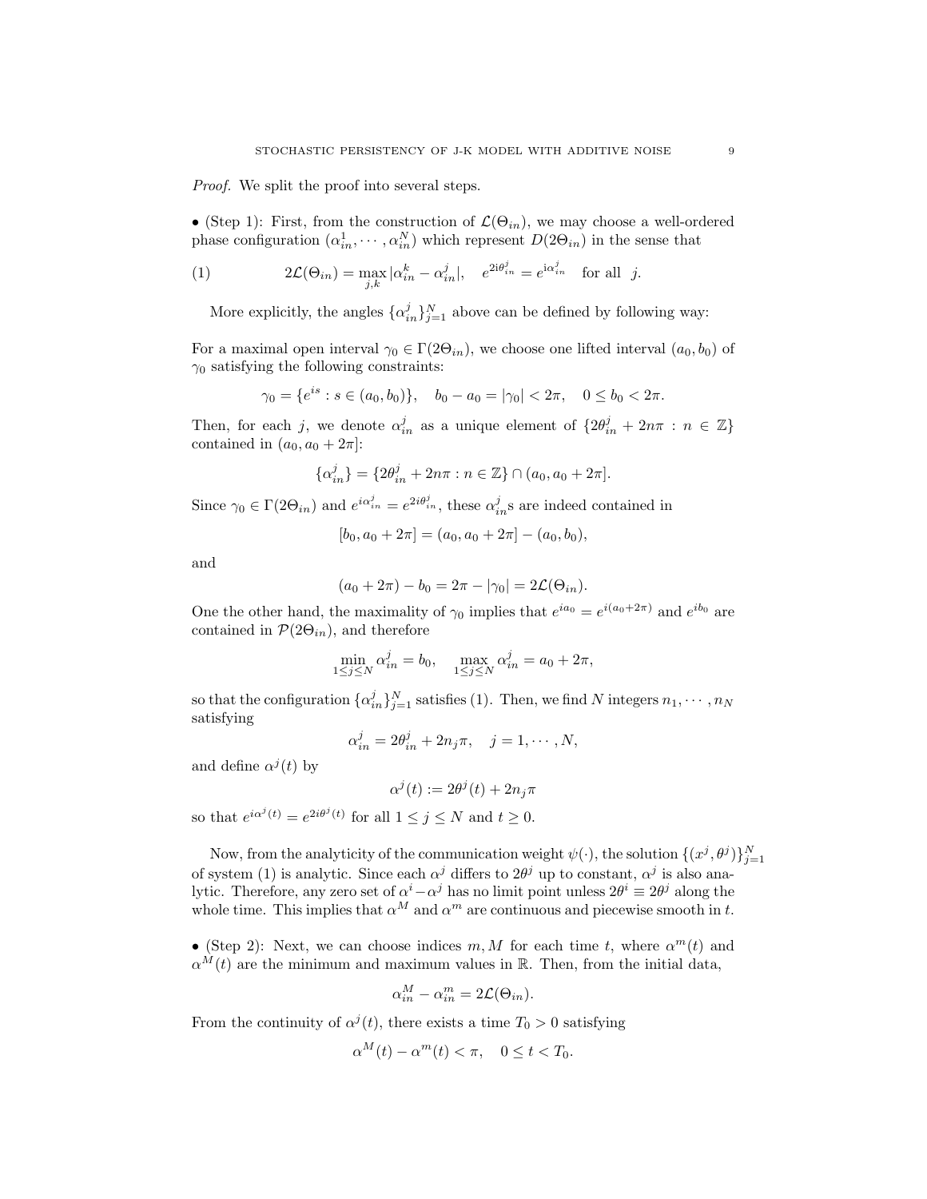Proof. We split the proof into several steps.

• (Step 1): First, from the construction of  $\mathcal{L}(\Theta_{in})$ , we may choose a well-ordered phase configuration  $(\alpha_{in}^1, \dots, \alpha_{in}^N)$  which represent  $D(2\Theta_{in})$  in the sense that

(1) 
$$
2\mathcal{L}(\Theta_{in}) = \max_{j,k} |\alpha_{in}^k - \alpha_{in}^j|, \quad e^{2i\theta_{in}^j} = e^{i\alpha_{in}^j} \quad \text{for all } j.
$$

More explicitly, the angles  $\{\alpha_{in}^j\}_{j=1}^N$  above can be defined by following way:

For a maximal open interval  $\gamma_0 \in \Gamma(2\Theta_{in})$ , we choose one lifted interval  $(a_0, b_0)$  of  $\gamma_0$  satisfying the following constraints:

$$
\gamma_0 = \{e^{is} : s \in (a_0, b_0)\}, \quad b_0 - a_0 = |\gamma_0| < 2\pi, \quad 0 \le b_0 < 2\pi.
$$

Then, for each j, we denote  $\alpha_{in}^j$  as a unique element of  $\{2\theta_{in}^j + 2n\pi : n \in \mathbb{Z}\}\$ contained in  $(a_0, a_0 + 2\pi)$ :

$$
\{\alpha_{in}^j\} = \{2\theta_{in}^j + 2n\pi : n \in \mathbb{Z}\} \cap (a_0, a_0 + 2\pi].
$$

Since  $\gamma_0 \in \Gamma(2\Theta_{in})$  and  $e^{i\alpha_{in}^j} = e^{2i\theta_{in}^j}$ , these  $\alpha_{in}^j$ s are indeed contained in

$$
[b_0, a_0 + 2\pi] = (a_0, a_0 + 2\pi] - (a_0, b_0),
$$

and

$$
(a_0 + 2\pi) - b_0 = 2\pi - |\gamma_0| = 2\mathcal{L}(\Theta_{in}).
$$

One the other hand, the maximality of  $\gamma_0$  implies that  $e^{ia_0} = e^{i(a_0 + 2\pi)}$  and  $e^{ib_0}$  are contained in  $\mathcal{P}(2\Theta_{in})$ , and therefore

$$
\min_{1 \le j \le N} \alpha_{in}^{j} = b_0, \quad \max_{1 \le j \le N} \alpha_{in}^{j} = a_0 + 2\pi,
$$

so that the configuration  $\{\alpha_{in}^j\}_{j=1}^N$  satisfies (1). Then, we find N integers  $n_1, \dots, n_N$ satisfying

$$
\alpha_{in}^j = 2\theta_{in}^j + 2n_j\pi, \quad j = 1, \cdots, N,
$$

and define  $\alpha^{j}(t)$  by

 $\alpha^j(t) := 2\theta^j(t) + 2n_j\pi$ 

so that  $e^{i\alpha^j(t)} = e^{2i\theta^j(t)}$  for all  $1 \leq j \leq N$  and  $t \geq 0$ .

Now, from the analyticity of the communication weight  $\psi(\cdot)$ , the solution  $\{(x^j, \theta^j)\}_{j=1}^N$ of system (1) is analytic. Since each  $\alpha^j$  differs to  $2\theta^j$  up to constant,  $\alpha^j$  is also analytic. Therefore, any zero set of  $\alpha^i - \alpha^j$  has no limit point unless  $2\theta^i \equiv 2\theta^j$  along the whole time. This implies that  $\alpha^M$  and  $\alpha^m$  are continuous and piecewise smooth in t.

• (Step 2): Next, we can choose indices  $m, M$  for each time t, where  $\alpha^{m}(t)$  and  $\alpha^M(t)$  are the minimum and maximum values in R. Then, from the initial data,

$$
\alpha_{in}^M - \alpha_{in}^m = 2\mathcal{L}(\Theta_{in}).
$$

From the continuity of  $\alpha^{j}(t)$ , there exists a time  $T_0 > 0$  satisfying

$$
\alpha^M(t) - \alpha^m(t) < \pi, \quad 0 \le t < T_0.
$$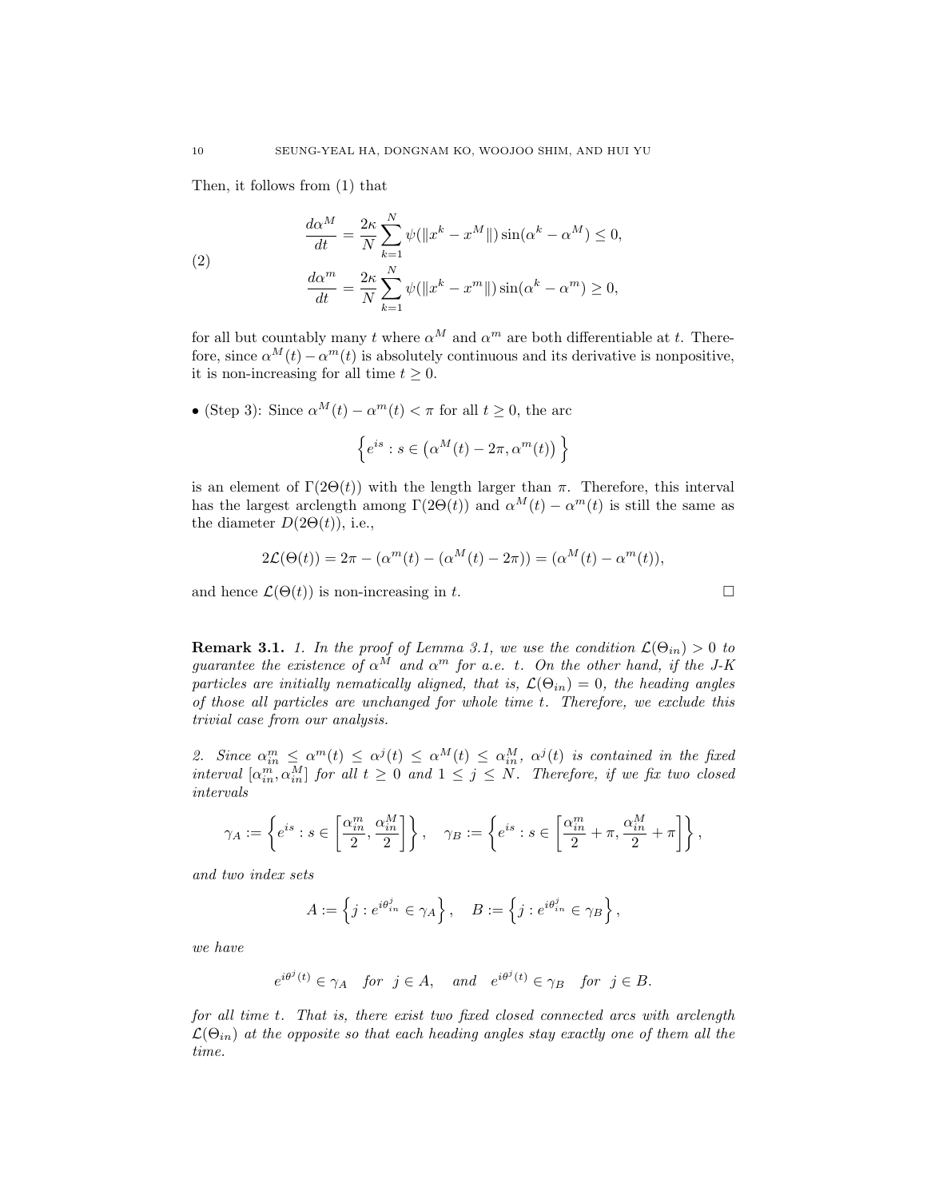Then, it follows from (1) that

(2)  
\n
$$
\frac{d\alpha^M}{dt} = \frac{2\kappa}{N} \sum_{k=1}^N \psi(\|x^k - x^M\|) \sin(\alpha^k - \alpha^M) \le 0,
$$
\n
$$
\frac{d\alpha^m}{dt} = \frac{2\kappa}{N} \sum_{k=1}^N \psi(\|x^k - x^m\|) \sin(\alpha^k - \alpha^m) \ge 0,
$$

for all but countably many t where  $\alpha^M$  and  $\alpha^m$  are both differentiable at t. Therefore, since  $\alpha^{M}(t) - \alpha^{m}(t)$  is absolutely continuous and its derivative is nonpositive, it is non-increasing for all time  $t \geq 0$ .

• (Step 3): Since  $\alpha^{M}(t) - \alpha^{m}(t) < \pi$  for all  $t \geq 0$ , the arc

$$
\left\{e^{is}: s \in (\alpha^M(t) - 2\pi, \alpha^m(t))\right\}
$$

is an element of  $\Gamma(2\Theta(t))$  with the length larger than  $\pi$ . Therefore, this interval has the largest arclength among  $\Gamma(2\Theta(t))$  and  $\alpha^{M}(t) - \alpha^{m}(t)$  is still the same as the diameter  $D(2\Theta(t))$ , i.e.,

$$
2\mathcal{L}(\Theta(t)) = 2\pi - (\alpha^{m}(t) - (\alpha^{M}(t) - 2\pi)) = (\alpha^{M}(t) - \alpha^{m}(t)),
$$

and hence  $\mathcal{L}(\Theta(t))$  is non-increasing in t.

**Remark 3.1.** 1. In the proof of Lemma 3.1, we use the condition  $\mathcal{L}(\Theta_{in}) > 0$  to guarantee the existence of  $\alpha^M$  and  $\alpha^m$  for a.e. t. On the other hand, if the J-K particles are initially nematically aligned, that is,  $\mathcal{L}(\Theta_{in}) = 0$ , the heading angles of those all particles are unchanged for whole time t. Therefore, we exclude this trivial case from our analysis.

2. Since  $\alpha_{in}^m \leq \alpha^m(t) \leq \alpha^j(t) \leq \alpha^M(t) \leq \alpha_{in}^M$ ,  $\alpha^j(t)$  is contained in the fixed interval  $[\alpha_m^m, \alpha_m^M]$  for all  $t \geq 0$  and  $1 \leq j \leq N$ . Therefore, if we fix two closed intervals

$$
\gamma_A:=\left\{e^{is}:s\in\left[\frac{\alpha_{in}^m}{2},\frac{\alpha_{in}^M}{2}\right]\right\},\quad \gamma_B:=\left\{e^{is}:s\in\left[\frac{\alpha_{in}^m}{2}+\pi,\frac{\alpha_{in}^M}{2}+\pi\right]\right\},
$$

and two index sets

$$
A := \left\{ j : e^{i\theta_{in}^j} \in \gamma_A \right\}, \quad B := \left\{ j : e^{i\theta_{in}^j} \in \gamma_B \right\},\
$$

we have

$$
e^{i\theta^j(t)} \in \gamma_A
$$
 for  $j \in A$ , and  $e^{i\theta^j(t)} \in \gamma_B$  for  $j \in B$ .

for all time t. That is, there exist two fixed closed connected arcs with arclength  $\mathcal{L}(\Theta_{in})$  at the opposite so that each heading angles stay exactly one of them all the time.

$$
\Box
$$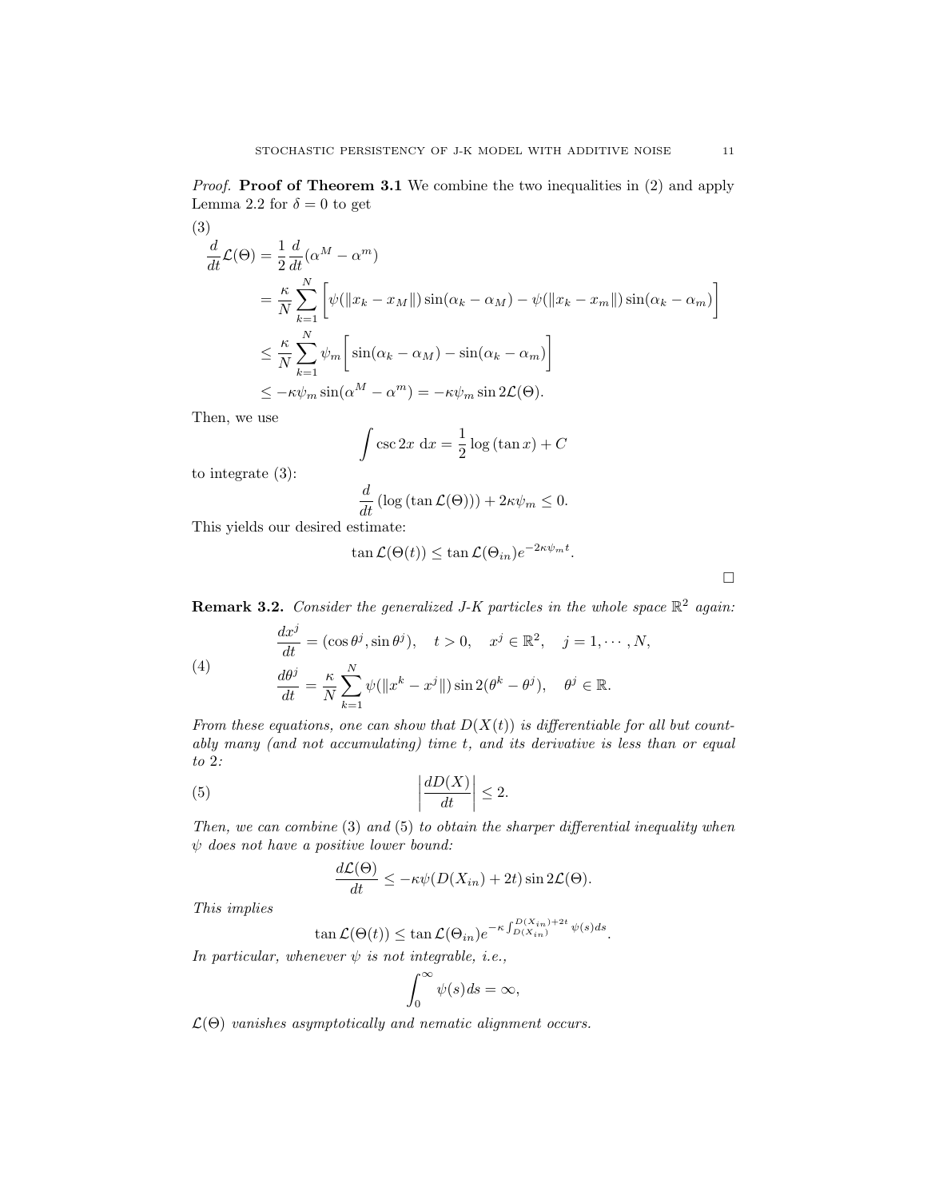(3)  
\n
$$
\frac{d}{dt}\mathcal{L}(\Theta) = \frac{1}{2}\frac{d}{dt}(\alpha^M - \alpha^m)
$$
\n
$$
= \frac{\kappa}{N} \sum_{k=1}^N \left[ \psi(||x_k - x_M||) \sin(\alpha_k - \alpha_M) - \psi(||x_k - x_m||) \sin(\alpha_k - \alpha_m) \right]
$$
\n
$$
\leq \frac{\kappa}{N} \sum_{k=1}^N \psi_m \left[ \sin(\alpha_k - \alpha_M) - \sin(\alpha_k - \alpha_m) \right]
$$
\n
$$
\leq -\kappa \psi_m \sin(\alpha^M - \alpha^m) = -\kappa \psi_m \sin 2\mathcal{L}(\Theta).
$$

Then, we use

$$
\int \csc 2x \, \mathrm{d}x = \frac{1}{2} \log \left( \tan x \right) + C
$$

to integrate (3):

$$
\frac{d}{dt} \left( \log \left( \tan \mathcal{L}(\Theta) \right) \right) + 2\kappa \psi_m \le 0.
$$

This yields our desired estimate:

$$
\tan \mathcal{L}(\Theta(t)) \leq \tan \mathcal{L}(\Theta_{in})e^{-2\kappa \psi_m t}.
$$

 $\Box$ 

**Remark 3.2.** Consider the generalized J-K particles in the whole space  $\mathbb{R}^2$  again:

(4)  
\n
$$
\frac{dx^j}{dt} = (\cos \theta^j, \sin \theta^j), \quad t > 0, \quad x^j \in \mathbb{R}^2, \quad j = 1, \cdots, N,
$$
\n
$$
\frac{d\theta^j}{dt} = \frac{\kappa}{N} \sum_{k=1}^N \psi(\|x^k - x^j\|) \sin 2(\theta^k - \theta^j), \quad \theta^j \in \mathbb{R}.
$$

From these equations, one can show that  $D(X(t))$  is differentiable for all but countably many (and not accumulating) time t, and its derivative is less than or equal to 2:

$$
\left| \frac{dD(X)}{dt} \right| \le 2.
$$

Then, we can combine (3) and (5) to obtain the sharper differential inequality when  $\psi$  does not have a positive lower bound:

$$
\frac{d\mathcal{L}(\Theta)}{dt} \le -\kappa \psi(D(X_{in}) + 2t)\sin 2\mathcal{L}(\Theta).
$$

This implies

 $\tan\mathcal{L}(\Theta(t)) \leq \tan\mathcal{L}(\Theta_{in})e^{-\kappa \int_{D(X_{in})}^{D(X_{in})+2t} \psi(s)ds}.$ 

In particular, whenever  $\psi$  is not integrable, i.e.,

$$
\int_0^\infty \psi(s) \, ds = \infty,
$$

 $\mathcal{L}(\Theta)$  vanishes asymptotically and nematic alignment occurs.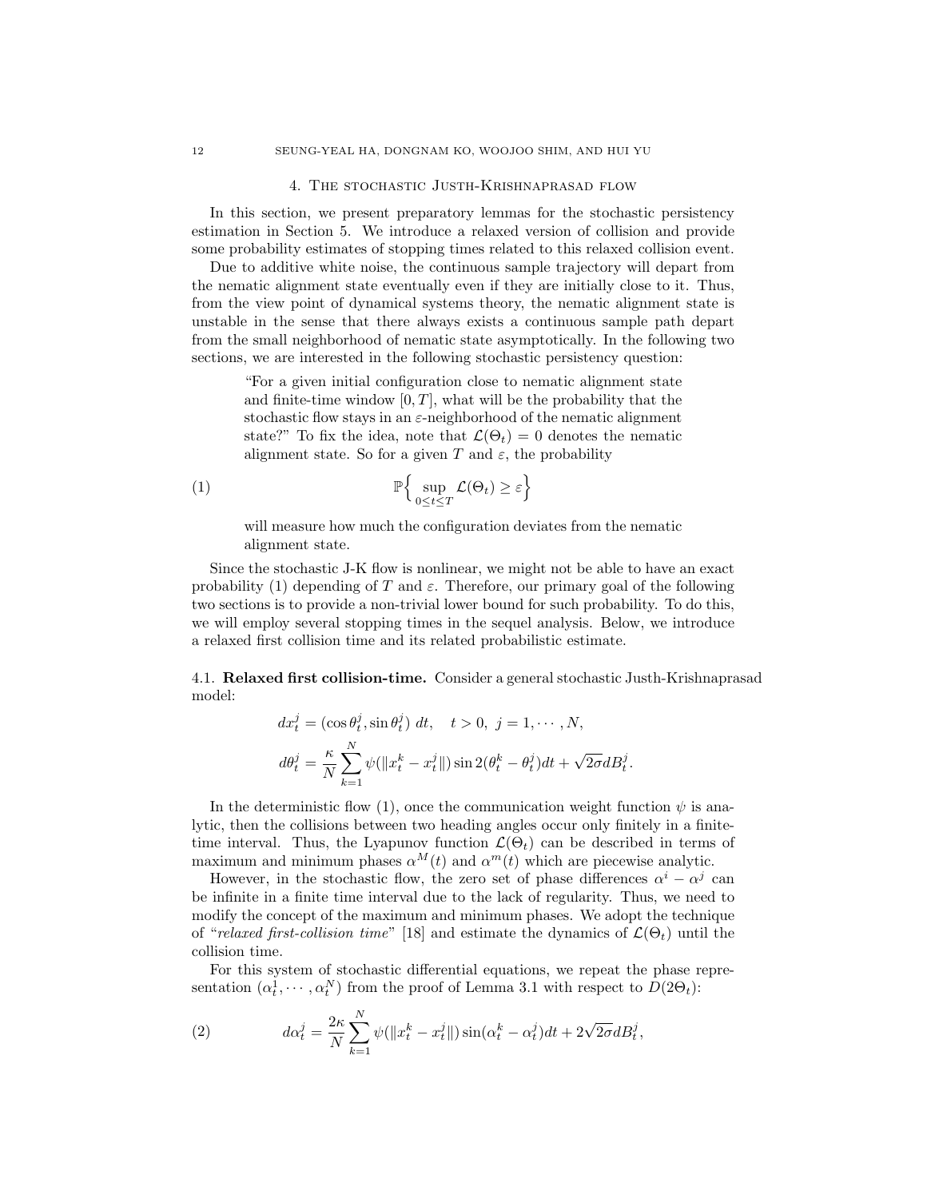#### 4. The stochastic Justh-Krishnaprasad flow

In this section, we present preparatory lemmas for the stochastic persistency estimation in Section 5. We introduce a relaxed version of collision and provide some probability estimates of stopping times related to this relaxed collision event.

Due to additive white noise, the continuous sample trajectory will depart from the nematic alignment state eventually even if they are initially close to it. Thus, from the view point of dynamical systems theory, the nematic alignment state is unstable in the sense that there always exists a continuous sample path depart from the small neighborhood of nematic state asymptotically. In the following two sections, we are interested in the following stochastic persistency question:

"For a given initial configuration close to nematic alignment state and finite-time window  $[0, T]$ , what will be the probability that the stochastic flow stays in an  $\varepsilon$ -neighborhood of the nematic alignment state?" To fix the idea, note that  $\mathcal{L}(\Theta_t) = 0$  denotes the nematic alignment state. So for a given T and  $\varepsilon$ , the probability

(1) P n sup 0≤t≤T L(Θt) ≥ ε o

will measure how much the configuration deviates from the nematic alignment state.

Since the stochastic J-K flow is nonlinear, we might not be able to have an exact probability (1) depending of T and  $\varepsilon$ . Therefore, our primary goal of the following two sections is to provide a non-trivial lower bound for such probability. To do this, we will employ several stopping times in the sequel analysis. Below, we introduce a relaxed first collision time and its related probabilistic estimate.

4.1. Relaxed first collision-time. Consider a general stochastic Justh-Krishnaprasad model:

$$
dx_t^j = (\cos \theta_t^j, \sin \theta_t^j) dt, \quad t > 0, j = 1, \cdots, N,
$$
  

$$
d\theta_t^j = \frac{\kappa}{N} \sum_{k=1}^N \psi(||x_t^k - x_t^j||) \sin 2(\theta_t^k - \theta_t^j) dt + \sqrt{2\sigma} dB_t^j.
$$

In the deterministic flow (1), once the communication weight function  $\psi$  is analytic, then the collisions between two heading angles occur only finitely in a finitetime interval. Thus, the Lyapunov function  $\mathcal{L}(\Theta_t)$  can be described in terms of maximum and minimum phases  $\alpha^{M}(t)$  and  $\alpha^{m}(t)$  which are piecewise analytic.

However, in the stochastic flow, the zero set of phase differences  $\alpha^{i} - \alpha^{j}$  can be infinite in a finite time interval due to the lack of regularity. Thus, we need to modify the concept of the maximum and minimum phases. We adopt the technique of "relaxed first-collision time" [18] and estimate the dynamics of  $\mathcal{L}(\Theta_t)$  until the collision time.

For this system of stochastic differential equations, we repeat the phase representation  $(\alpha_t^1, \dots, \alpha_t^N)$  from the proof of Lemma 3.1 with respect to  $D(2\Theta_t)$ :

(2) 
$$
d\alpha_t^j = \frac{2\kappa}{N} \sum_{k=1}^N \psi(\Vert x_t^k - x_t^j \Vert) \sin(\alpha_t^k - \alpha_t^j) dt + 2\sqrt{2\sigma} dB_t^j,
$$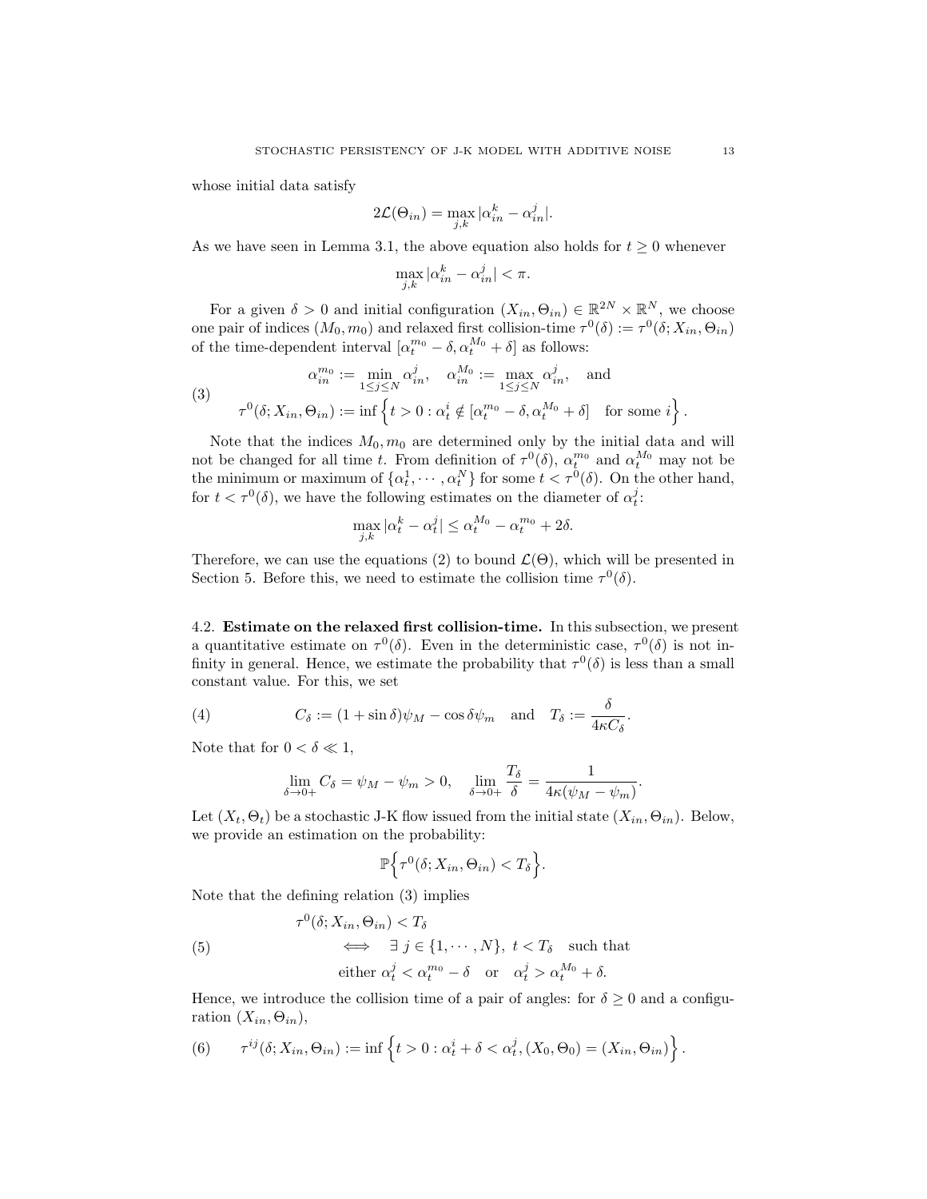whose initial data satisfy

$$
2\mathcal{L}(\Theta_{in}) = \max_{j,k} |\alpha_{in}^k - \alpha_{in}^j|.
$$

As we have seen in Lemma 3.1, the above equation also holds for  $t \geq 0$  whenever

$$
\max_{j,k} |\alpha_{in}^k - \alpha_{in}^j| < \pi.
$$

For a given  $\delta > 0$  and initial configuration  $(X_{in}, \Theta_{in}) \in \mathbb{R}^{2N} \times \mathbb{R}^{N}$ , we choose one pair of indices  $(M_0, m_0)$  and relaxed first collision-time  $\tau^0(\delta) := \tau^0(\delta; X_{in}, \Theta_{in})$ of the time-dependent interval  $\left[\alpha_t^{m_0} - \delta, \alpha_t^{M_0} + \delta\right]$  as follows:

(3)  
\n
$$
\alpha_{in}^{m_0} := \min_{1 \le j \le N} \alpha_{in}^j, \quad \alpha_{in}^{M_0} := \max_{1 \le j \le N} \alpha_{in}^j, \quad \text{and}
$$
\n
$$
\tau^0(\delta; X_{in}, \Theta_{in}) := \inf \left\{ t > 0 : \alpha_t^i \notin [\alpha_t^{m_0} - \delta, \alpha_t^{M_0} + \delta] \quad \text{for some } i \right\}.
$$

Note that the indices  $M_0$ ,  $m_0$  are determined only by the initial data and will not be changed for all time t. From definition of  $\tau^{0}(\delta)$ ,  $\alpha_{t}^{m_0}$  and  $\alpha_{t}^{M_0}$  may not be the minimum or maximum of  $\{\alpha_t^1, \dots, \alpha_t^N\}$  for some  $t < \tau^0(\delta)$ . On the other hand, for  $t < \tau^0(\delta)$ , we have the following estimates on the diameter of  $\alpha_t^j$ :

$$
\max_{j,k} |\alpha_t^k - \alpha_t^j| \le \alpha_t^{M_0} - \alpha_t^{m_0} + 2\delta.
$$

Therefore, we can use the equations (2) to bound  $\mathcal{L}(\Theta)$ , which will be presented in Section 5. Before this, we need to estimate the collision time  $\tau^0(\delta)$ .

4.2. Estimate on the relaxed first collision-time. In this subsection, we present a quantitative estimate on  $\tau^0(\delta)$ . Even in the deterministic case,  $\tau^0(\delta)$  is not infinity in general. Hence, we estimate the probability that  $\tau^0(\delta)$  is less than a small constant value. For this, we set

(4) 
$$
C_{\delta} := (1 + \sin \delta) \psi_M - \cos \delta \psi_m \text{ and } T_{\delta} := \frac{\delta}{4\kappa C_{\delta}}.
$$

Note that for  $0 < \delta \ll 1$ ,

$$
\lim_{\delta \to 0+} C_{\delta} = \psi_M - \psi_m > 0, \quad \lim_{\delta \to 0+} \frac{T_{\delta}}{\delta} = \frac{1}{4\kappa(\psi_M - \psi_m)}.
$$

Let  $(X_t, \Theta_t)$  be a stochastic J-K flow issued from the initial state  $(X_{in}, \Theta_{in})$ . Below, we provide an estimation on the probability:

$$
\mathbb{P}\Big\{\tau^0(\delta;X_{in},\Theta_{in})
$$

Note that the defining relation (3) implies

(5) 
$$
\tau^{0}(\delta; X_{in}, \Theta_{in}) < T_{\delta}
$$

$$
\implies \exists j \in \{1, \cdots, N\}, t < T_{\delta} \text{ such that}
$$

$$
\text{either } \alpha_{t}^{j} < \alpha_{t}^{m_{0}} - \delta \text{ or } \alpha_{t}^{j} > \alpha_{t}^{M_{0}} + \delta.
$$

Hence, we introduce the collision time of a pair of angles: for  $\delta \geq 0$  and a configuration  $(X_{in}, \Theta_{in}),$ 

(6) 
$$
\tau^{ij}(\delta; X_{in}, \Theta_{in}) := \inf \left\{ t > 0 : \alpha_t^i + \delta < \alpha_t^j, (X_0, \Theta_0) = (X_{in}, \Theta_{in}) \right\}.
$$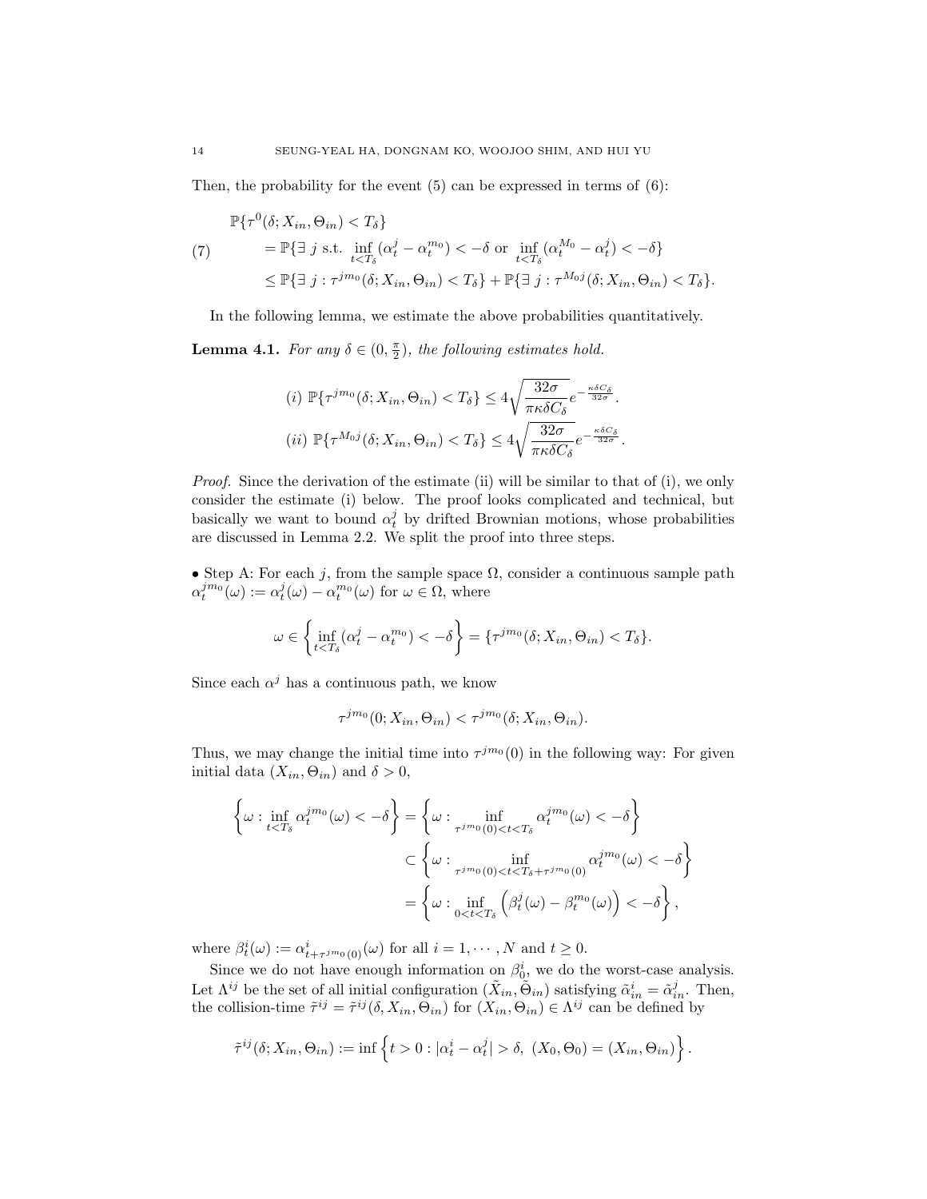Then, the probability for the event  $(5)$  can be expressed in terms of  $(6)$ :

$$
\mathbb{P}\{\tau^{0}(\delta; X_{in}, \Theta_{in}) < T_{\delta}\} \\
= \mathbb{P}\{\exists j \text{ s.t. } \inf_{t < T_{\delta}} (\alpha_{t}^{j} - \alpha_{t}^{m_{0}}) < -\delta \text{ or } \inf_{t < T_{\delta}} (\alpha_{t}^{M_{0}} - \alpha_{t}^{j}) < -\delta \} \\
\le \mathbb{P}\{\exists j : \tau^{j m_{0}}(\delta; X_{in}, \Theta_{in}) < T_{\delta}\} + \mathbb{P}\{\exists j : \tau^{M_{0}j}(\delta; X_{in}, \Theta_{in}) < T_{\delta}\}.
$$

In the following lemma, we estimate the above probabilities quantitatively.

**Lemma 4.1.** For any  $\delta \in (0, \frac{\pi}{2})$ , the following estimates hold.

(i) 
$$
\mathbb{P}\{\tau^{j m_0}(\delta; X_{in}, \Theta_{in}) < T_{\delta}\} \le 4\sqrt{\frac{32\sigma}{\pi \kappa \delta C_{\delta}}} e^{-\frac{\kappa \delta C_{\delta}}{32\sigma}}.
$$
  
\n(ii)  $\mathbb{P}\{\tau^{M_0 j}(\delta; X_{in}, \Theta_{in}) < T_{\delta}\} \le 4\sqrt{\frac{32\sigma}{\pi \kappa \delta C_{\delta}}} e^{-\frac{\kappa \delta C_{\delta}}{32\sigma}}.$ 

*Proof.* Since the derivation of the estimate (ii) will be similar to that of (i), we only consider the estimate (i) below. The proof looks complicated and technical, but basically we want to bound  $\alpha_t^j$  by drifted Brownian motions, whose probabilities are discussed in Lemma 2.2. We split the proof into three steps.

• Step A: For each j, from the sample space  $\Omega$ , consider a continuous sample path  $\alpha_t^{j m_0}(\omega) := \alpha_t^{j}(\omega) - \alpha_t^{m_0}(\omega)$  for  $\omega \in \Omega$ , where

$$
\omega \in \left\{\inf_{t
$$

Since each  $\alpha^j$  has a continuous path, we know

$$
\tau^{jm_0}(0;X_{in},\Theta_{in}) < \tau^{jm_0}(\delta;X_{in},\Theta_{in}).
$$

Thus, we may change the initial time into  $\tau^{jm_0}(0)$  in the following way: For given initial data  $(X_{in}, \Theta_{in})$  and  $\delta > 0$ ,

$$
\left\{\omega : \inf_{t
$$
\subset \left\{\omega : \inf_{\tau^{jm_0}(0) < t < T_{\delta} + \tau^{jm_0}(0)} \alpha_t^{jm_0}(\omega) < -\delta\right\}
$$

$$
= \left\{\omega : \inf_{0 < t < T_{\delta}} \left(\beta_t^j(\omega) - \beta_t^{m_0}(\omega)\right) < -\delta\right\},\
$$
$$

where  $\beta_t^i(\omega) := \alpha_{t+\tau^{jm_0}(0)}^i(\omega)$  for all  $i = 1, \dots, N$  and  $t \geq 0$ .

Since we do not have enough information on  $\beta_0^i$ , we do the worst-case analysis. Let  $\Lambda^{ij}$  be the set of all initial configuration  $(\tilde{X}_{in}, \tilde{\Theta}_{in})$  satisfying  $\tilde{\alpha}_{in}^i = \tilde{\alpha}_{in}^j$ . Then, the collision-time  $\tilde{\tau}^{ij} = \tilde{\tau}^{ij}(\delta, X_{in}, \Theta_{in})$  for  $(X_{in}, \Theta_{in}) \in \Lambda^{ij}$  can be defined by

$$
\tilde{\tau}^{ij}(\delta; X_{in}, \Theta_{in}) := \inf \left\{ t > 0 : |\alpha_t^i - \alpha_t^j| > \delta, \ (X_0, \Theta_0) = (X_{in}, \Theta_{in}) \right\}.
$$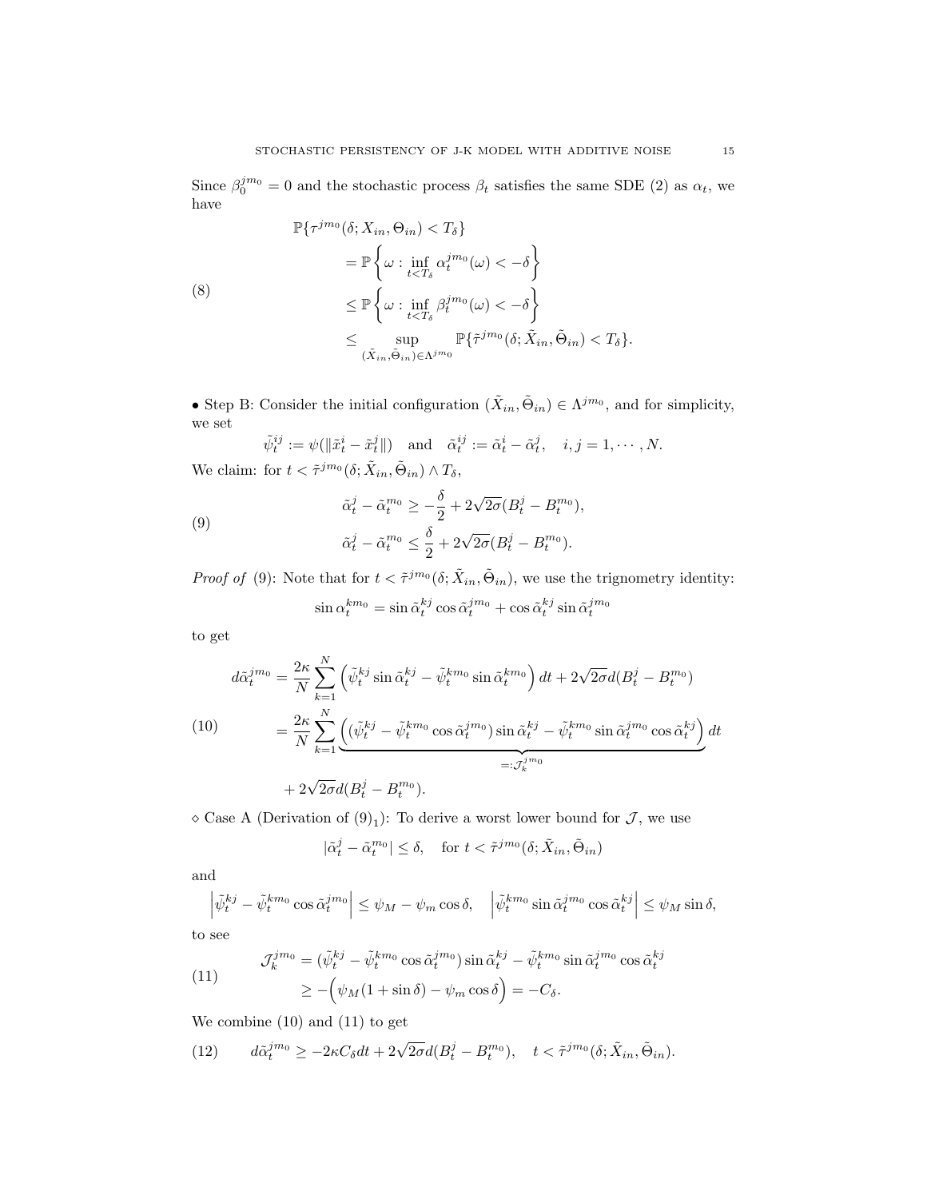Since  $\beta_0^{j m_0} = 0$  and the stochastic process  $\beta_t$  satisfies the same SDE (2) as  $\alpha_t$ , we have

$$
\mathbb{P}\{\tau^{jm_0}(\delta; X_{in}, \Theta_{in}) < T_{\delta}\} \\
= \mathbb{P}\left\{\omega : \inf_{t < T_{\delta}} \alpha_t^{jm_0}(\omega) < -\delta\right\} \\
\leq \mathbb{P}\left\{\omega : \inf_{t < T_{\delta}} \beta_t^{jm_0}(\omega) < -\delta\right\} \\
\leq \sup_{(\tilde{X}_{in}, \tilde{\Theta}_{in}) \in \Lambda^{jm_0}} \mathbb{P}\{\tilde{\tau}^{jm_0}(\delta; \tilde{X}_{in}, \tilde{\Theta}_{in}) < T_{\delta}\}.
$$

• Step B: Consider the initial configuration  $(\tilde{X}_{in}, \tilde{\Theta}_{in}) \in \Lambda^{jm_0}$ , and for simplicity, we set

 $\tilde{\psi}_t^{ij} := \psi(\|\tilde{x}_t^i - \tilde{x}_t^j\|)$  and  $\tilde{\alpha}_t^{ij} := \tilde{\alpha}_t^i - \tilde{\alpha}_t^j$ ,  $i, j = 1, \cdots, N$ . We claim: for  $t < \tilde{\tau}^{jm_0}(\delta; \tilde{X}_{in}, \tilde{\Theta}_{in}) \wedge T_{\delta}$ ,

(9)  
\n
$$
\tilde{\alpha}_t^j - \tilde{\alpha}_t^{m_0} \ge -\frac{\delta}{2} + 2\sqrt{2\sigma}(B_t^j - B_t^{m_0}),
$$
\n
$$
\tilde{\alpha}_t^j - \tilde{\alpha}_t^{m_0} \le \frac{\delta}{2} + 2\sqrt{2\sigma}(B_t^j - B_t^{m_0}).
$$

*Proof of* (9): Note that for  $t < \tilde{\tau}^{j m_0}(\delta; \tilde{X}_{in}, \tilde{\Theta}_{in})$ , we use the trignometry identity:

$$
\sin \alpha_t^{km_0} = \sin \tilde{\alpha}_t^{kj} \cos \tilde{\alpha}_t^{jm_0} + \cos \tilde{\alpha}_t^{kj} \sin \tilde{\alpha}_t^{jm_0}
$$

to get

$$
d\tilde{\alpha}_t^{j m_0} = \frac{2\kappa}{N} \sum_{k=1}^N \left( \tilde{\psi}_t^{kj} \sin \tilde{\alpha}_t^{kj} - \tilde{\psi}_t^{k m_0} \sin \tilde{\alpha}_t^{k m_0} \right) dt + 2\sqrt{2\sigma} d(B_t^j - B_t^{m_0})
$$
  
\n
$$
= \frac{2\kappa}{N} \sum_{k=1}^N \underbrace{\left( (\tilde{\psi}_t^{kj} - \tilde{\psi}_t^{k m_0} \cos \tilde{\alpha}_t^{j m_0}) \sin \tilde{\alpha}_t^{k j} - \tilde{\psi}_t^{k m_0} \sin \tilde{\alpha}_t^{j m_0} \cos \tilde{\alpha}_t^{k j} \right)}_{=: \mathcal{J}_k^{j m_0}} dt
$$
  
\n
$$
+ 2\sqrt{2\sigma} d(B_t^j - B_t^{m_0}).
$$

 $\Diamond$  Case A (Derivation of  $(9)_1$ ): To derive a worst lower bound for  $\mathcal{J}$ , we use

$$
|\tilde{\alpha}_t^j - \tilde{\alpha}_t^{m_0}| \le \delta, \quad \text{for } t < \tilde{\tau}^{jm_0}(\delta; \tilde{X}_{in}, \tilde{\Theta}_{in})
$$

and

$$
\left| \tilde{\psi}_t^{kj} - \tilde{\psi}_t^{km_0} \cos \tilde{\alpha}_t^{jm_0} \right| \leq \psi_M - \psi_m \cos \delta, \quad \left| \tilde{\psi}_t^{km_0} \sin \tilde{\alpha}_t^{jm_0} \cos \tilde{\alpha}_t^{kj} \right| \leq \psi_M \sin \delta,
$$

to see

(11) 
$$
\mathcal{J}_k^{j m_0} = (\tilde{\psi}_t^{k j} - \tilde{\psi}_t^{k m_0} \cos \tilde{\alpha}_t^{j m_0}) \sin \tilde{\alpha}_t^{k j} - \tilde{\psi}_t^{k m_0} \sin \tilde{\alpha}_t^{j m_0} \cos \tilde{\alpha}_t^{k j}
$$

$$
\geq -(\psi_M(1 + \sin \delta) - \psi_m \cos \delta) = -C_\delta.
$$

We combine (10) and (11) to get

(12) 
$$
d\tilde{\alpha}_t^{jm_0} \ge -2\kappa C_\delta dt + 2\sqrt{2\sigma}d(B_t^j - B_t^{m_0}), \quad t < \tilde{\tau}^{jm_0}(\delta; \tilde{X}_{in}, \tilde{\Theta}_{in}).
$$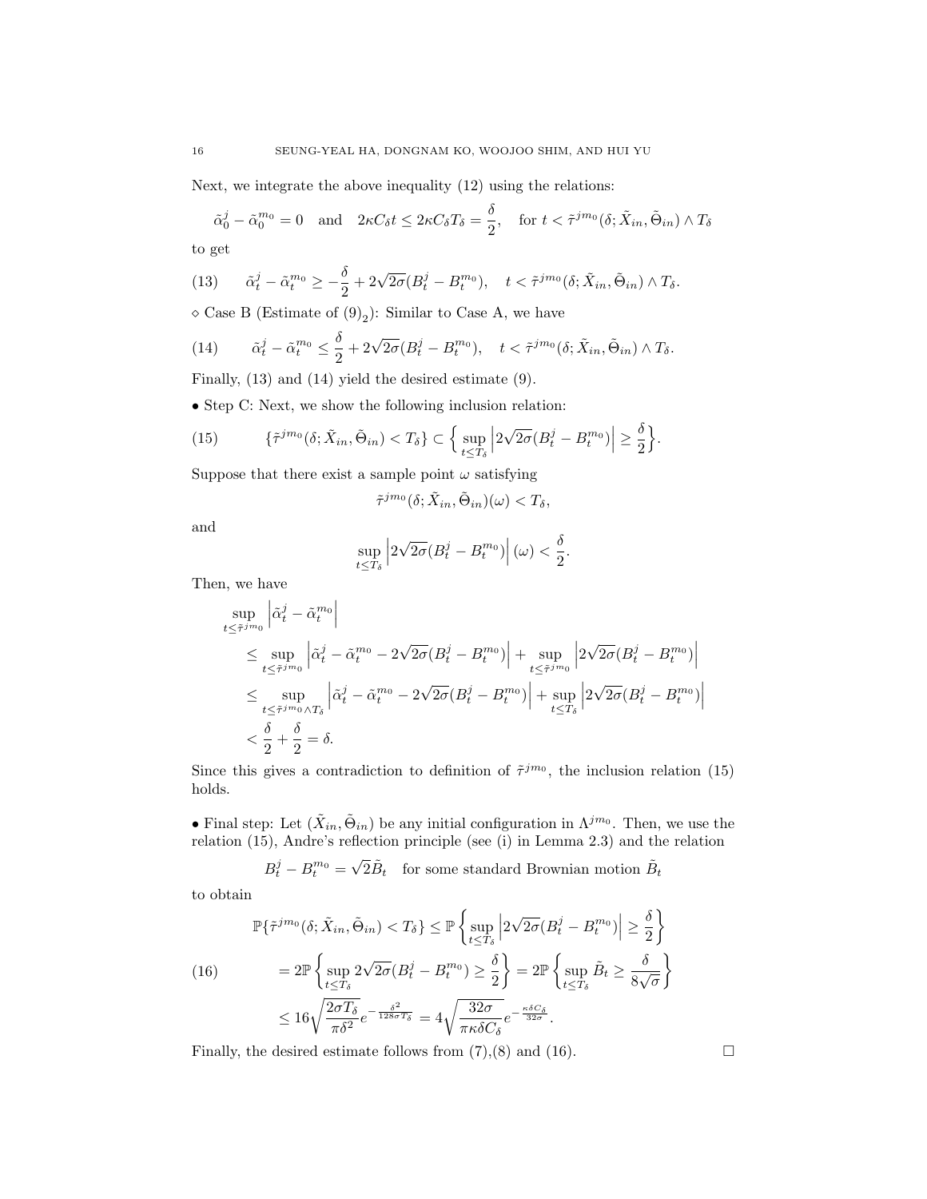Next, we integrate the above inequality (12) using the relations:

$$
\tilde{\alpha}_0^j - \tilde{\alpha}_0^{m_0} = 0 \quad \text{and} \quad 2\kappa C_\delta t \le 2\kappa C_\delta T_\delta = \frac{\delta}{2}, \quad \text{for } t < \tilde{\tau}^{j m_0}(\delta; \tilde{X}_{in}, \tilde{\Theta}_{in}) \wedge T_\delta
$$
 to get

(13) 
$$
\tilde{\alpha}_t^j - \tilde{\alpha}_t^{m_0} \ge -\frac{\delta}{2} + 2\sqrt{2\sigma}(B_t^j - B_t^{m_0}), \quad t < \tilde{\tau}^{jm_0}(\delta; \tilde{X}_{in}, \tilde{\Theta}_{in}) \wedge T_{\delta}.
$$

 $\Diamond$  Case B (Estimate of  $(9)_2$ ): Similar to Case A, we have

(14) 
$$
\tilde{\alpha}_t^j - \tilde{\alpha}_t^{m_0} \leq \frac{\delta}{2} + 2\sqrt{2\sigma}(B_t^j - B_t^{m_0}), \quad t < \tilde{\tau}^{jm_0}(\delta; \tilde{X}_{in}, \tilde{\Theta}_{in}) \wedge T_{\delta}.
$$

Finally, (13) and (14) yield the desired estimate (9).

• Step C: Next, we show the following inclusion relation:

(15) 
$$
\{\tilde{\tau}^{jm_0}(\delta; \tilde{X}_{in}, \tilde{\Theta}_{in}) < T_{\delta}\} \subset \left\{\sup_{t \leq T_{\delta}} \left|2\sqrt{2\sigma}(B_t^j - B_t^{m_0})\right| \geq \frac{\delta}{2}\right\}.
$$

Suppose that there exist a sample point  $\omega$  satisfying

$$
\tilde{\tau}^{jm_0}(\delta;\tilde{X}_{in},\tilde{\Theta}_{in})(\omega) < T_{\delta},
$$

and

$$
\sup_{t\leq T_{\delta}}\left|2\sqrt{2\sigma}(B^{j}_{t}-B^{m_{0}}_{t})\right|(\omega)<\frac{\delta}{2}.
$$

Then, we have

$$
\sup_{t \le \tilde{\tau}^{j m_0}} \left| \tilde{\alpha}_t^j - \tilde{\alpha}_t^{m_0} \right|
$$
\n
$$
\le \sup_{t \le \tilde{\tau}^{j m_0}} \left| \tilde{\alpha}_t^j - \tilde{\alpha}_t^{m_0} - 2\sqrt{2\sigma} (B_t^j - B_t^{m_0}) \right| + \sup_{t \le \tilde{\tau}^{j m_0}} \left| 2\sqrt{2\sigma} (B_t^j - B_t^{m_0}) \right|
$$
\n
$$
\le \sup_{t \le \tilde{\tau}^{j m_0} \wedge T_{\delta}} \left| \tilde{\alpha}_t^j - \tilde{\alpha}_t^{m_0} - 2\sqrt{2\sigma} (B_t^j - B_t^{m_0}) \right| + \sup_{t \le T_{\delta}} \left| 2\sqrt{2\sigma} (B_t^j - B_t^{m_0}) \right|
$$
\n
$$
< \frac{\delta}{2} + \frac{\delta}{2} = \delta.
$$

Since this gives a contradiction to definition of  $\tilde{\tau}^{j m_0}$ , the inclusion relation (15) holds.

• Final step: Let  $(\tilde{X}_{in}, \tilde{\Theta}_{in})$  be any initial configuration in  $\Lambda^{jm_0}$ . Then, we use the relation (15), Andre's reflection principle (see (i) in Lemma 2.3) and the relation

$$
B_t^j - B_t^{m_0} = \sqrt{2}\tilde{B}_t
$$
 for some standard Brownian motion  $\tilde{B}_t$ 

to obtain

$$
\mathbb{P}\{\tilde{\tau}^{jm_0}(\delta; \tilde{X}_{in}, \tilde{\Theta}_{in}) < T_{\delta}\} \le \mathbb{P}\left\{\sup_{t \le T_{\delta}} \left|2\sqrt{2\sigma}(B_t^j - B_t^{m_0})\right| \ge \frac{\delta}{2}\right\}
$$
\n
$$
(16) \qquad = 2\mathbb{P}\left\{\sup_{t \le T_{\delta}} 2\sqrt{2\sigma}(B_t^j - B_t^{m_0}) \ge \frac{\delta}{2}\right\} = 2\mathbb{P}\left\{\sup_{t \le T_{\delta}} \tilde{B}_t \ge \frac{\delta}{8\sqrt{\sigma}}\right\}
$$
\n
$$
\le 16\sqrt{\frac{2\sigma T_{\delta}}{\pi\delta^2}}e^{-\frac{\delta^2}{128\sigma T_{\delta}}} = 4\sqrt{\frac{32\sigma}{\pi\kappa\delta C_{\delta}}}e^{-\frac{\kappa\delta C_{\delta}}{32\sigma}}.
$$

Finally, the desired estimate follows from  $(7),(8)$  and  $(16)$ .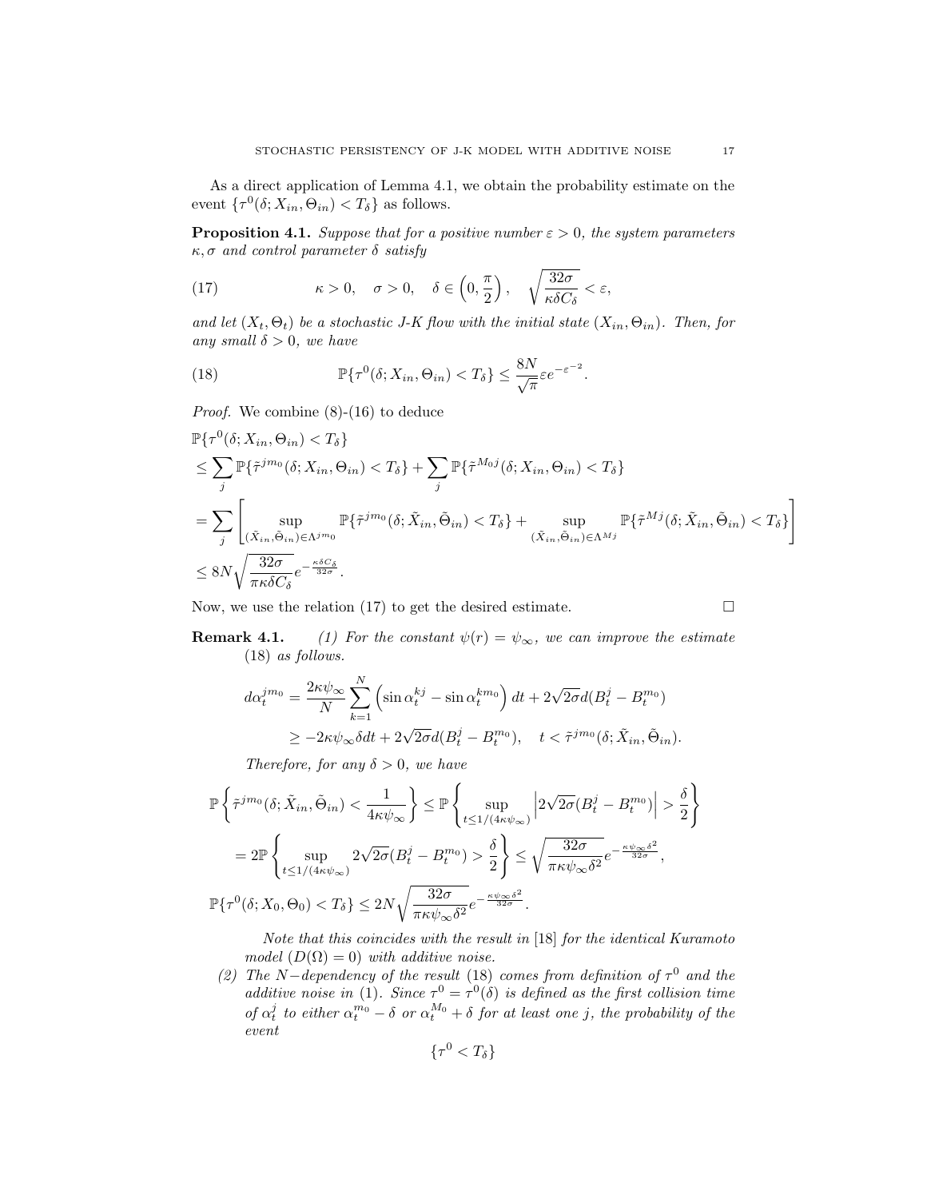As a direct application of Lemma 4.1, we obtain the probability estimate on the event  $\{\tau^0(\delta; X_{in}, \Theta_{in}) < T_\delta\}$  as follows.

**Proposition 4.1.** Suppose that for a positive number  $\varepsilon > 0$ , the system parameters  $\kappa, \sigma$  and control parameter  $\delta$  satisfy

(17) 
$$
\kappa > 0, \quad \sigma > 0, \quad \delta \in \left(0, \frac{\pi}{2}\right), \quad \sqrt{\frac{32\sigma}{\kappa \delta C_{\delta}}} < \varepsilon,
$$

and let  $(X_t, \Theta_t)$  be a stochastic J-K flow with the initial state  $(X_{in}, \Theta_{in})$ . Then, for any small  $\delta > 0$ , we have

(18) 
$$
\mathbb{P}\{\tau^0(\delta; X_{in}, \Theta_{in}) < T_\delta\} \leq \frac{8N}{\sqrt{\pi}}\varepsilon e^{-\varepsilon^{-2}}.
$$

Proof. We combine (8)-(16) to deduce

$$
\mathbb{P}\{\tau^{0}(\delta; X_{in}, \Theta_{in}) < T_{\delta}\} \\
\leq \sum_{j} \mathbb{P}\{\tilde{\tau}^{j m_{0}}(\delta; X_{in}, \Theta_{in}) < T_{\delta}\} + \sum_{j} \mathbb{P}\{\tilde{\tau}^{M_{0}j}(\delta; X_{in}, \Theta_{in}) < T_{\delta}\} \\
= \sum_{j} \left[ \sup_{(\tilde{X}_{in}, \tilde{\Theta}_{in}) \in \Lambda^{j m_{0}}} \mathbb{P}\{\tilde{\tau}^{j m_{0}}(\delta; \tilde{X}_{in}, \tilde{\Theta}_{in}) < T_{\delta}\} + \sup_{(\tilde{X}_{in}, \tilde{\Theta}_{in}) \in \Lambda^{M_{j}}} \mathbb{P}\{\tilde{\tau}^{M_{j}}(\delta; \tilde{X}_{in}, \tilde{\Theta}_{in}) < T_{\delta}\} \right] \\
\leq 8N \sqrt{\frac{32\sigma}{\pi \kappa \delta C_{\delta}}} e^{-\frac{\kappa \delta C_{\delta}}{32\sigma}}.
$$

Now, we use the relation (17) to get the desired estimate.

$$
\Box
$$

**Remark 4.1.** (1) For the constant  $\psi(r) = \psi_{\infty}$ , we can improve the estimate (18) as follows.

$$
d\alpha_t^{jm_0} = \frac{2\kappa\psi_{\infty}}{N} \sum_{k=1}^N \left( \sin \alpha_t^{kj} - \sin \alpha_t^{km_0} \right) dt + 2\sqrt{2\sigma} d(B_t^j - B_t^{m_0})
$$
  

$$
\geq -2\kappa\psi_{\infty} \delta dt + 2\sqrt{2\sigma} d(B_t^j - B_t^{m_0}), \quad t < \tilde{\tau}^{jm_0}(\delta; \tilde{X}_{in}, \tilde{\Theta}_{in}).
$$

Therefore, for any  $\delta > 0$ , we have

$$
\mathbb{P}\left\{\tilde{\tau}^{jm_0}(\delta; \tilde{X}_{in}, \tilde{\Theta}_{in}) < \frac{1}{4\kappa\psi_{\infty}}\right\} \leq \mathbb{P}\left\{\sup_{t \leq 1/(4\kappa\psi_{\infty})} \left|2\sqrt{2\sigma}(B_t^j - B_t^{m_0})\right| > \frac{\delta}{2}\right\}
$$
  
\n
$$
= 2\mathbb{P}\left\{\sup_{t \leq 1/(4\kappa\psi_{\infty})} 2\sqrt{2\sigma}(B_t^j - B_t^{m_0}) > \frac{\delta}{2}\right\} \leq \sqrt{\frac{32\sigma}{\pi\kappa\psi_{\infty}\delta^2}} e^{-\frac{\kappa\psi_{\infty}\delta^2}{32\sigma}},
$$
  
\n
$$
\mathbb{P}\{\tau^0(\delta; X_0, \Theta_0) < T_\delta\} \leq 2N\sqrt{\frac{32\sigma}{\pi\kappa\psi_{\infty}\delta^2}} e^{-\frac{\kappa\psi_{\infty}\delta^2}{32\sigma}}.
$$

Note that this coincides with the result in [18] for the identical Kuramoto model  $(D(\Omega) = 0)$  with additive noise.

(2) The N-dependency of the result (18) comes from definition of  $\tau^0$  and the additive noise in (1). Since  $\tau^0 = \tau^0(\delta)$  is defined as the first collision time of  $\alpha_t^j$  to either  $\alpha_t^{m_0} - \delta$  or  $\alpha_t^{M_0} + \delta$  for at least one j, the probability of the event

$$
\{\tau^0
$$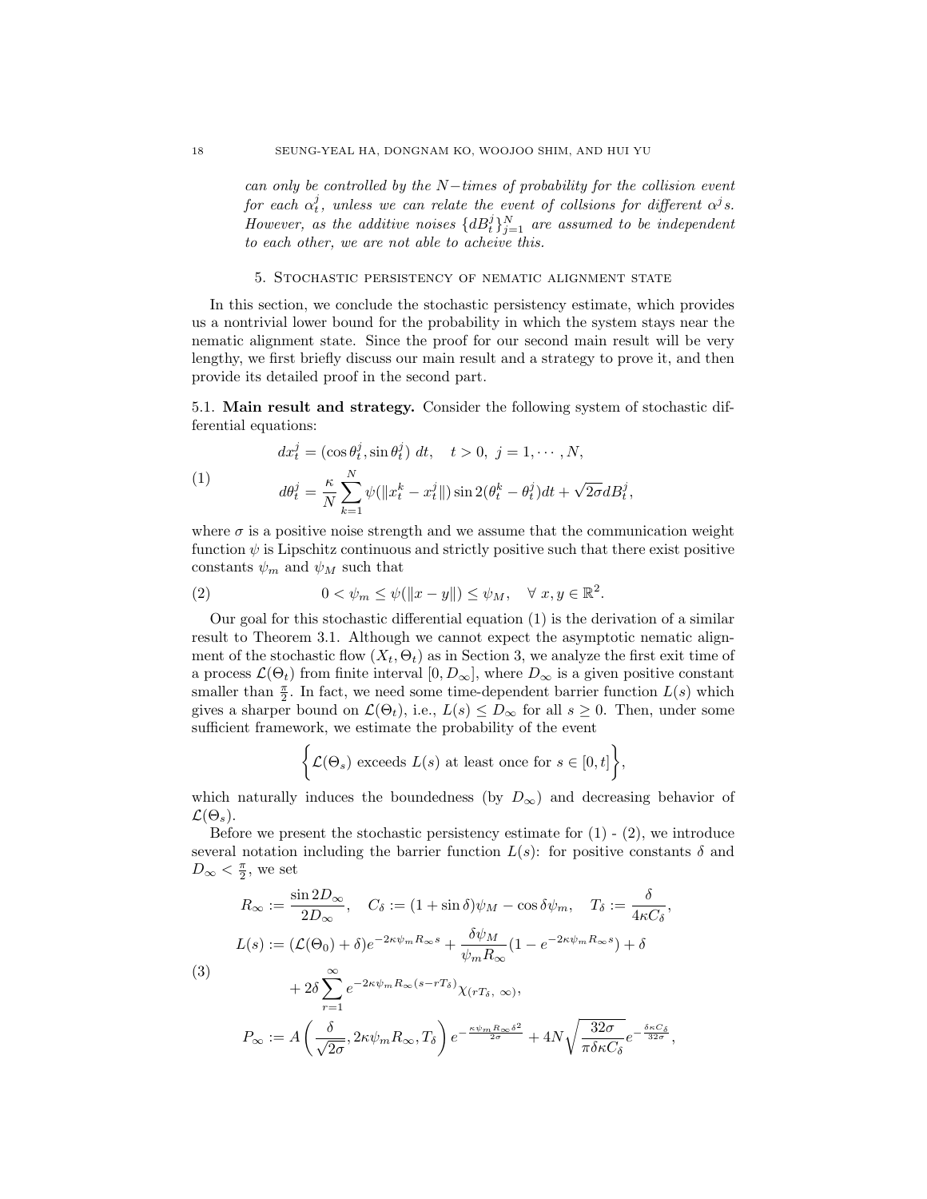can only be controlled by the  $N$ -times of probability for the collision event for each  $\alpha^j_t$ , unless we can relate the event of collsions for different  $\alpha^j s.$ However, as the additive noises  $\{dB_t^j\}_{j=1}^N$  are assumed to be independent to each other, we are not able to acheive this.

# 5. Stochastic persistency of nematic alignment state

In this section, we conclude the stochastic persistency estimate, which provides us a nontrivial lower bound for the probability in which the system stays near the nematic alignment state. Since the proof for our second main result will be very lengthy, we first briefly discuss our main result and a strategy to prove it, and then provide its detailed proof in the second part.

5.1. Main result and strategy. Consider the following system of stochastic differential equations:

$$
dx_t^j = (\cos \theta_t^j, \sin \theta_t^j) dt, \quad t > 0, \ j = 1, \cdots, N,
$$

(1) 
$$
d\theta_t^j = \frac{\kappa}{N} \sum_{k=1}^N \psi(\|x_t^k - x_t^j\|) \sin 2(\theta_t^k - \theta_t^j) dt + \sqrt{2\sigma} dB_t^j,
$$

where  $\sigma$  is a positive noise strength and we assume that the communication weight function  $\psi$  is Lipschitz continuous and strictly positive such that there exist positive constants  $\psi_m$  and  $\psi_M$  such that

(2) 
$$
0 < \psi_m \leq \psi(\|x - y\|) \leq \psi_M, \quad \forall \ x, y \in \mathbb{R}^2.
$$

Our goal for this stochastic differential equation (1) is the derivation of a similar result to Theorem 3.1. Although we cannot expect the asymptotic nematic alignment of the stochastic flow  $(X_t, \Theta_t)$  as in Section 3, we analyze the first exit time of a process  $\mathcal{L}(\Theta_t)$  from finite interval  $[0, D_{\infty}]$ , where  $D_{\infty}$  is a given positive constant smaller than  $\frac{\pi}{2}$ . In fact, we need some time-dependent barrier function  $L(s)$  which gives a sharper bound on  $\mathcal{L}(\Theta_t)$ , i.e.,  $L(s) \leq D_\infty$  for all  $s \geq 0$ . Then, under some sufficient framework, we estimate the probability of the event

$$
\bigg\{\mathcal{L}(\Theta_s) \text{ exceeds } L(s) \text{ at least once for } s \in [0, t]\bigg\},\
$$

which naturally induces the boundedness (by  $D_{\infty}$ ) and decreasing behavior of  $\mathcal{L}(\Theta_{s}).$ 

Before we present the stochastic persistency estimate for  $(1)$  -  $(2)$ , we introduce several notation including the barrier function  $L(s)$ : for positive constants  $\delta$  and  $D_{\infty} < \frac{\pi}{2}$ , we set

$$
R_{\infty} := \frac{\sin 2D_{\infty}}{2D_{\infty}}, \quad C_{\delta} := (1 + \sin \delta)\psi_M - \cos \delta \psi_m, \quad T_{\delta} := \frac{\delta}{4\kappa C_{\delta}},
$$

$$
L(s) := (\mathcal{L}(\Theta_0) + \delta)e^{-2\kappa \psi_m R_{\infty} s} + \frac{\delta \psi_M}{\psi_m R_{\infty}} (1 - e^{-2\kappa \psi_m R_{\infty} s}) + \delta
$$

$$
+ 2\delta \sum_{r=1}^{\infty} e^{-2\kappa \psi_m R_{\infty} (s - rT_{\delta})} \chi_{(rT_{\delta}, \infty)},
$$

$$
P_{\infty} := A\left(\frac{\delta}{\sqrt{2\sigma}}, 2\kappa \psi_m R_{\infty}, T_{\delta}\right) e^{-\frac{\kappa \psi_m R_{\infty} \delta^2}{2\sigma}} + 4N \sqrt{\frac{32\sigma}{\pi \delta \kappa C_{\delta}}} e^{-\frac{\delta \kappa C_{\delta}}{32\sigma}},
$$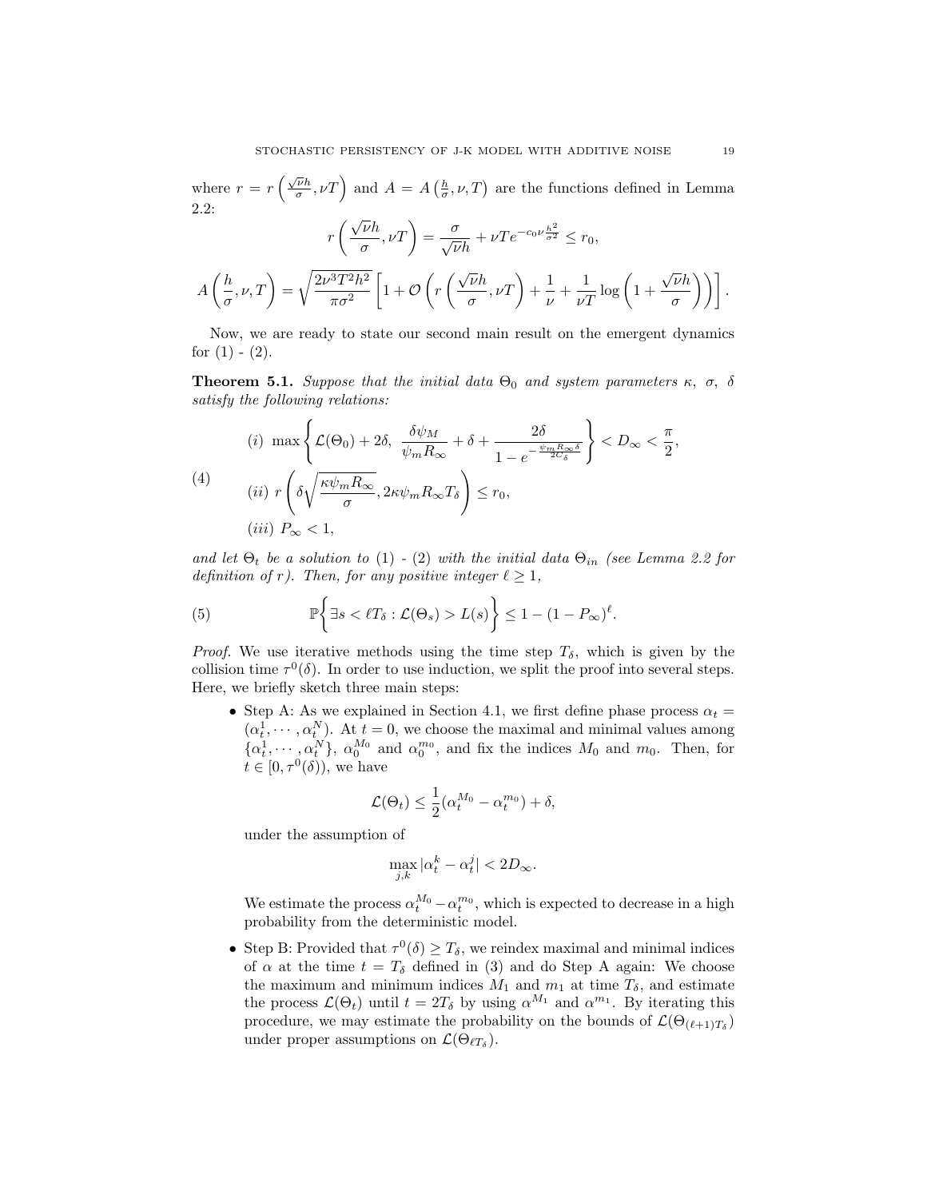where  $r = r \left(\frac{\sqrt{\nu}h}{\sigma}\right)$  $\left(\frac{\overline{\nu}h}{\sigma}, \nu T\right)$  and  $A = A\left(\frac{h}{\sigma}, \nu, T\right)$  are the functions defined in Lemma 2.2: √

$$
r\left(\frac{\sqrt{\nu}h}{\sigma}, \nu T\right) = \frac{\sigma}{\sqrt{\nu}h} + \nu Te^{-c_0\nu\frac{h^2}{\sigma^2}} \le r_0,
$$

$$
A\left(\frac{h}{\sigma}, \nu, T\right) = \sqrt{\frac{2\nu^3 T^2 h^2}{\pi \sigma^2}} \left[1 + \mathcal{O}\left(r\left(\frac{\sqrt{\nu}h}{\sigma}, \nu T\right) + \frac{1}{\nu} + \frac{1}{\nu T} \log\left(1 + \frac{\sqrt{\nu}h}{\sigma}\right)\right)\right].
$$

Now, we are ready to state our second main result on the emergent dynamics for  $(1)$  -  $(2)$ .

**Theorem 5.1.** Suppose that the initial data  $\Theta_0$  and system parameters  $\kappa$ ,  $\sigma$ ,  $\delta$ satisfy the following relations:

$$
(i) \max\left\{\mathcal{L}(\Theta_0) + 2\delta, \frac{\delta\psi_M}{\psi_m R_{\infty}} + \delta + \frac{2\delta}{1 - e^{-\frac{\psi_m R_{\infty}\delta}{2C_{\delta}}}}\right\} < D_{\infty} < \frac{\pi}{2},
$$
\n
$$
(4) \quad (ii) \ r\left(\delta\sqrt{\frac{\kappa\psi_m R_{\infty}}{\sigma}}, 2\kappa\psi_m R_{\infty} T_{\delta}\right) \le r_0,
$$
\n
$$
(iii) \ P_{\infty} < 1,
$$

and let  $\Theta_t$  be a solution to (1) - (2) with the initial data  $\Theta_{in}$  (see Lemma 2.2 for definition of r). Then, for any positive integer  $\ell \geq 1$ ,

(5) 
$$
\mathbb{P}\bigg\{\exists s < \ell T_{\delta} : \mathcal{L}(\Theta_s) > L(s)\bigg\} \leq 1 - (1 - P_{\infty})^{\ell}.
$$

*Proof.* We use iterative methods using the time step  $T_{\delta}$ , which is given by the collision time  $\tau^0(\delta)$ . In order to use induction, we split the proof into several steps. Here, we briefly sketch three main steps:

• Step A: As we explained in Section 4.1, we first define phase process  $\alpha_t =$  $(\alpha_t^1, \dots, \alpha_t^N)$ . At  $t = 0$ , we choose the maximal and minimal values among  $\{\alpha_t^1, \cdots, \alpha_t^N\}, \alpha_0^{M_0}$  and  $\alpha_0^{m_0}$ , and fix the indices  $M_0$  and  $m_0$ . Then, for  $t\in[0,\tau^0(\delta)),$  we have

$$
\mathcal{L}(\Theta_t) \leq \frac{1}{2} (\alpha_t^{M_0} - \alpha_t^{m_0}) + \delta,
$$

under the assumption of

$$
\max_{j,k} |\alpha_t^k - \alpha_t^j| < 2D_\infty.
$$

We estimate the process  $\alpha_t^{M_0} - \alpha_t^{m_0}$ , which is expected to decrease in a high probability from the deterministic model.

• Step B: Provided that  $\tau^0(\delta) \geq T_\delta$ , we reindex maximal and minimal indices of  $\alpha$  at the time  $t = T_{\delta}$  defined in (3) and do Step A again: We choose the maximum and minimum indices  $M_1$  and  $m_1$  at time  $T_\delta$ , and estimate the process  $\mathcal{L}(\Theta_t)$  until  $t = 2T_\delta$  by using  $\alpha^{M_1}$  and  $\alpha^{m_1}$ . By iterating this procedure, we may estimate the probability on the bounds of  $\mathcal{L}(\Theta_{(\ell+1)T_{\delta}})$ under proper assumptions on  $\mathcal{L}(\Theta_{\ell T_{\delta}})$ .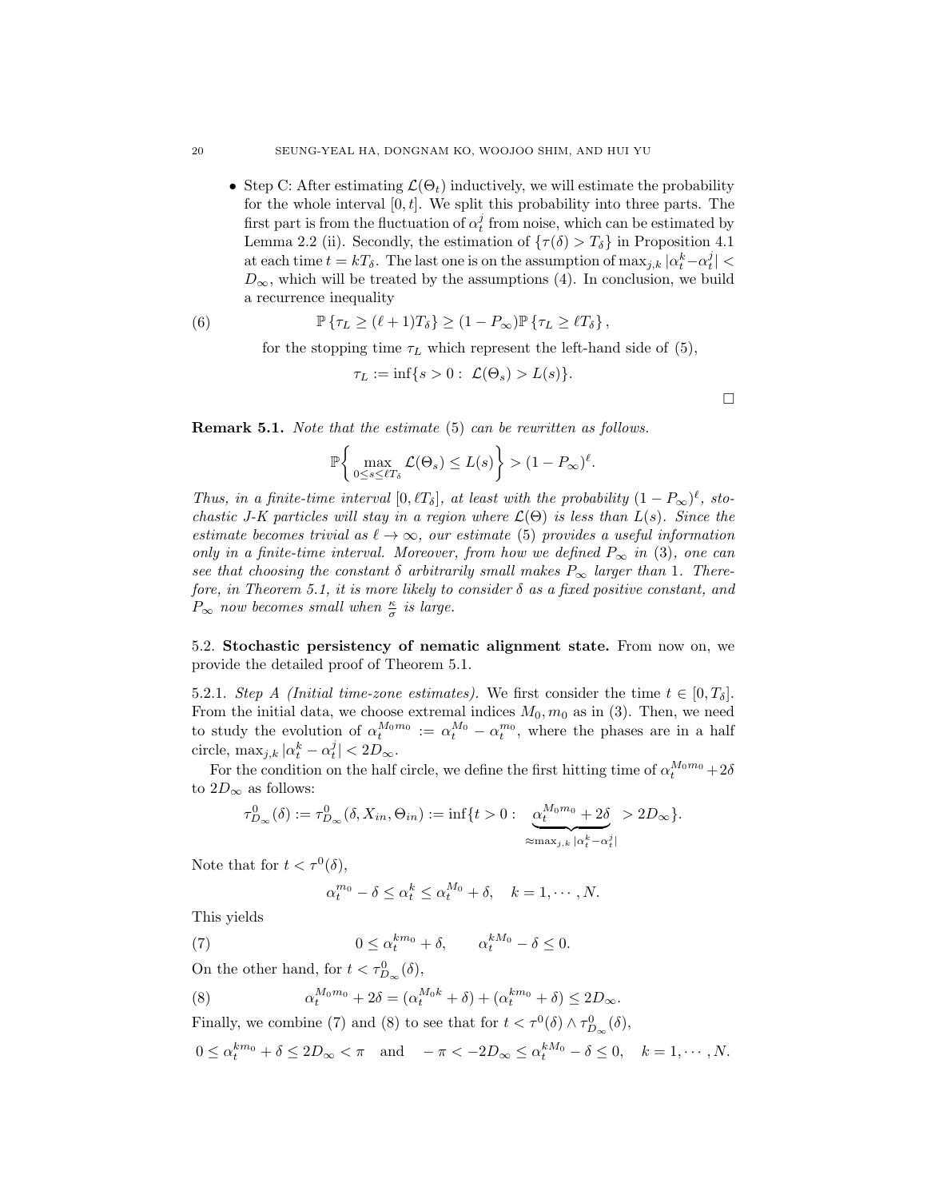• Step C: After estimating  $\mathcal{L}(\Theta_t)$  inductively, we will estimate the probability for the whole interval  $[0, t]$ . We split this probability into three parts. The first part is from the fluctuation of  $\alpha_t^j$  from noise, which can be estimated by Lemma 2.2 (ii). Secondly, the estimation of  $\{\tau(\delta) > T_{\delta}\}\$ in Proposition 4.1 at each time  $t = kT_\delta$ . The last one is on the assumption of  $\max_{j,k} |\alpha_t^k - \alpha_t^j|$  $D_{\infty}$ , which will be treated by the assumptions (4). In conclusion, we build a recurrence inequality

(6) 
$$
\mathbb{P}\left\{\tau_L \geq (\ell+1)T_\delta\right\} \geq (1-P_\infty)\mathbb{P}\left\{\tau_L \geq \ell T_\delta\right\},
$$

for the stopping time  $\tau_L$  which represent the left-hand side of (5),

$$
\tau_L := \inf\{s > 0: \ \mathcal{L}(\Theta_s) > L(s)\}.
$$

 $\Box$ 

**Remark 5.1.** Note that the estimate (5) can be rewritten as follows.

$$
\mathbb{P}\bigg\{\max_{0\leq s\leq \ell T_{\delta}}\mathcal{L}(\Theta_s)\leq L(s)\bigg\}>(1-P_{\infty})^{\ell}.
$$

Thus, in a finite-time interval [0,  $\ell T_{\delta}$ ], at least with the probability  $(1 - P_{\infty})^{\ell}$ , stochastic J-K particles will stay in a region where  $\mathcal{L}(\Theta)$  is less than  $L(s)$ . Since the estimate becomes trivial as  $\ell \to \infty$ , our estimate (5) provides a useful information only in a finite-time interval. Moreover, from how we defined  $P_{\infty}$  in (3), one can see that choosing the constant  $\delta$  arbitrarily small makes  $P_{\infty}$  larger than 1. Therefore, in Theorem 5.1, it is more likely to consider  $\delta$  as a fixed positive constant, and  $P_{\infty}$  now becomes small when  $\frac{\kappa}{\sigma}$  is large.

5.2. Stochastic persistency of nematic alignment state. From now on, we provide the detailed proof of Theorem 5.1.

5.2.1. Step A (Initial time-zone estimates). We first consider the time  $t \in [0, T_{\delta}]$ . From the initial data, we choose extremal indices  $M_0, m_0$  as in (3). Then, we need to study the evolution of  $\alpha_t^{M_0 m_0} := \alpha_t^{M_0} - \alpha_t^{m_0}$ , where the phases are in a half circle,  $\max_{j,k} |\alpha_t^k - \alpha_t^j| < 2D_{\infty}$ .

For the condition on the half circle, we define the first hitting time of  $\alpha_t^{M_0 m_0} + 2\delta$ to  $2D_{\infty}$  as follows:

$$
\tau_{D_{\infty}}^0(\delta) := \tau_{D_{\infty}}^0(\delta, X_{in}, \Theta_{in}) := \inf\{t > 0 : \underbrace{\alpha_t^{M_0 m_0} + 2\delta}_{\approx \max_{j,k} |\alpha_t^k - \alpha_t^j|} > 2D_{\infty}\}.
$$

Note that for  $t < \tau^0(\delta)$ ,

$$
\alpha_t^{m_0} - \delta \le \alpha_t^k \le \alpha_t^{M_0} + \delta, \quad k = 1, \cdots, N.
$$

This yields

(7)  $0 \leq \alpha_t^{km_0} + \delta, \qquad \alpha_t^{kM_0} - \delta \leq 0.$ 

On the other hand, for  $t < \tau_{D_{\infty}}^0(\delta)$ ,

(8) 
$$
\alpha_t^{M_0 m_0} + 2\delta = (\alpha_t^{M_0 k} + \delta) + (\alpha_t^{k m_0} + \delta) \le 2D_{\infty}.
$$

Finally, we combine (7) and (8) to see that for  $t < \tau^0(\delta) \wedge \tau_{D_{\infty}}^0(\delta)$ ,

$$
0 \le \alpha_t^{km_0} + \delta \le 2D_{\infty} < \pi \quad \text{and} \quad -\pi < -2D_{\infty} \le \alpha_t^{kM_0} - \delta \le 0, \quad k = 1, \cdots, N.
$$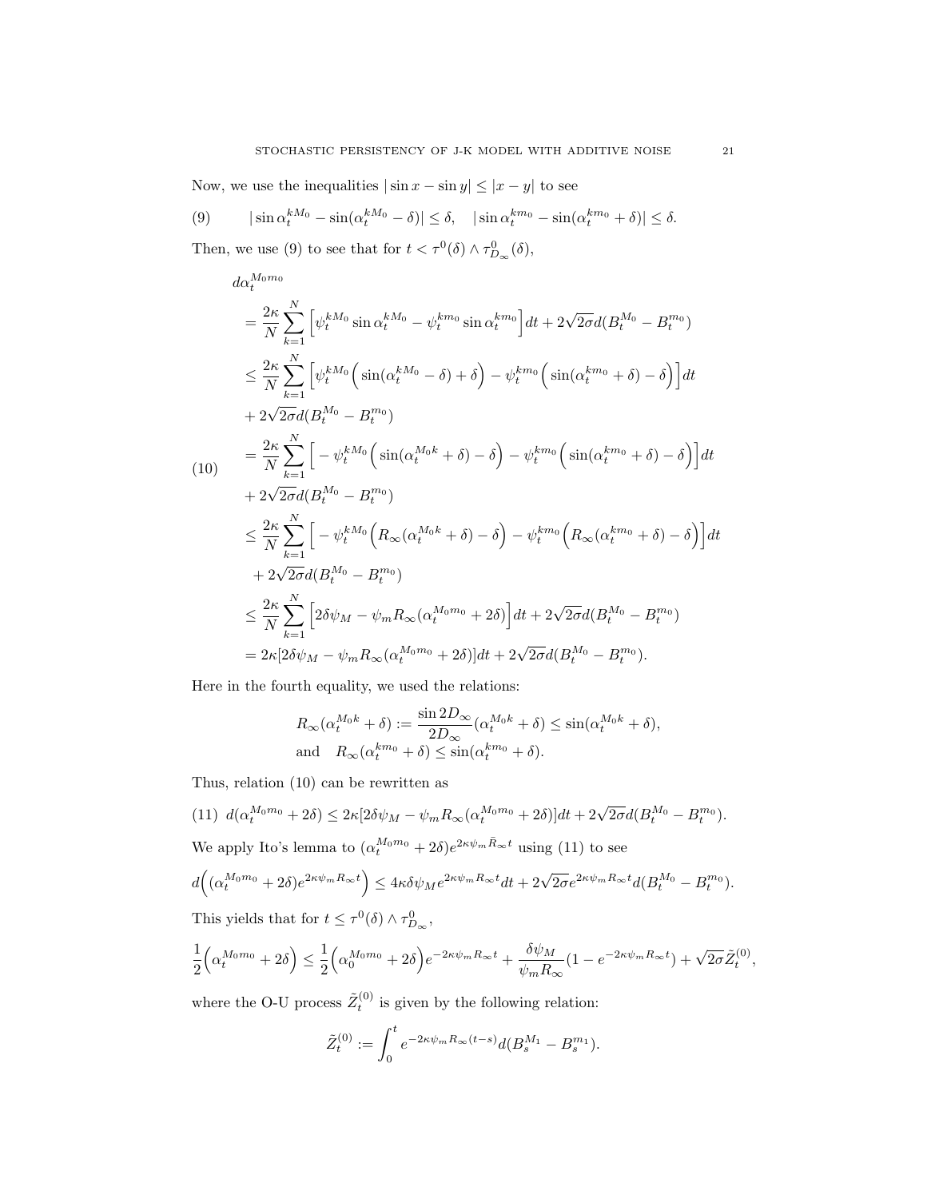Now, we use the inequalities  $|\sin x - \sin y| \leq |x - y|$  to see

(9) 
$$
|\sin \alpha_t^{kM_0} - \sin(\alpha_t^{kM_0} - \delta)| \leq \delta, \quad |\sin \alpha_t^{k m_0} - \sin(\alpha_t^{k m_0} + \delta)| \leq \delta.
$$

Then, we use (9) to see that for  $t < \tau^0(\delta) \wedge \tau_{D_{\infty}}^0(\delta)$ ,

$$
d\alpha_t^{M_0 m_0}
$$
\n
$$
= \frac{2\kappa}{N} \sum_{k=1}^N \left[ \psi_t^{kM_0} \sin \alpha_t^{kM_0} - \psi_t^{km_0} \sin \alpha_t^{km_0} \right] dt + 2\sqrt{2\sigma} d(B_t^{M_0} - B_t^{m_0})
$$
\n
$$
\leq \frac{2\kappa}{N} \sum_{k=1}^N \left[ \psi_t^{kM_0} \left( \sin(\alpha_t^{kM_0} - \delta) + \delta \right) - \psi_t^{km_0} \left( \sin(\alpha_t^{km_0} + \delta) - \delta \right) \right] dt
$$
\n
$$
+ 2\sqrt{2\sigma} d(B_t^{M_0} - B_t^{m_0})
$$
\n
$$
= \frac{2\kappa}{N} \sum_{k=1}^N \left[ -\psi_t^{kM_0} \left( \sin(\alpha_t^{M_0 k} + \delta) - \delta \right) - \psi_t^{km_0} \left( \sin(\alpha_t^{km_0} + \delta) - \delta \right) \right] dt
$$
\n
$$
+ 2\sqrt{2\sigma} d(B_t^{M_0} - B_t^{m_0})
$$
\n
$$
\leq \frac{2\kappa}{N} \sum_{k=1}^N \left[ -\psi_t^{kM_0} \left( R_\infty(\alpha_t^{M_0 k} + \delta) - \delta \right) - \psi_t^{km_0} \left( R_\infty(\alpha_t^{km_0} + \delta) - \delta \right) \right] dt
$$
\n
$$
+ 2\sqrt{2\sigma} d(B_t^{M_0} - B_t^{m_0})
$$
\n
$$
\leq \frac{2\kappa}{N} \sum_{k=1}^N \left[ 2\delta \psi_M - \psi_m R_\infty(\alpha_t^{M_0 m_0} + 2\delta) \right] dt + 2\sqrt{2\sigma} d(B_t^{M_0} - B_t^{m_0})
$$
\n
$$
= 2\kappa [2\delta \psi_M - \psi_m R_\infty(\alpha_t^{M_0 m_0} + 2\delta)] dt + 2\sqrt{2\sigma} d(B_t^{M_0} - B_t^{m_0}).
$$

Here in the fourth equality, we used the relations:

$$
R_{\infty}(\alpha_t^{M_0 k} + \delta) := \frac{\sin 2D_{\infty}}{2D_{\infty}}(\alpha_t^{M_0 k} + \delta) \le \sin(\alpha_t^{M_0 k} + \delta),
$$
  
and 
$$
R_{\infty}(\alpha_t^{k m_0} + \delta) \le \sin(\alpha_t^{k m_0} + \delta).
$$

Thus, relation (10) can be rewritten as

(11) 
$$
d(\alpha_t^{M_0m_0} + 2\delta) \leq 2\kappa [2\delta\psi_M - \psi_m R_\infty(\alpha_t^{M_0m_0} + 2\delta)]dt + 2\sqrt{2\sigma}d(B_t^{M_0} - B_t^{m_0}).
$$

We apply Ito's lemma to  $(\alpha_t^{M_0m_0} + 2\delta)e^{2\kappa \psi_m \bar{R}_{\infty}t}$  using (11) to see

$$
d\Big((\alpha_t^{M_0m_0}+2\delta)e^{2\kappa\psi_mR_\infty t}\Big)\leq 4\kappa\delta\psi_M e^{2\kappa\psi_mR_\infty t}dt+2\sqrt{2\sigma}e^{2\kappa\psi_mR_\infty t}d(B^{M_0}_t-B^{m_0}_t).
$$

This yields that for  $t \leq \tau^0(\delta) \wedge \tau^0_{D_{\infty}},$ 

$$
\frac{1}{2} \Big( \alpha_t^{M_0 m_0} + 2\delta \Big) \le \frac{1}{2} \Big( \alpha_0^{M_0 m_0} + 2\delta \Big) e^{-2\kappa \psi_m R_\infty t} + \frac{\delta \psi_M}{\psi_m R_\infty} (1 - e^{-2\kappa \psi_m R_\infty t}) + \sqrt{2\sigma} \tilde{Z}_t^{(0)}
$$

where the O-U process  $\tilde{Z}_t^{(0)}$  is given by the following relation:

$$
\tilde{Z}_t^{(0)} := \int_0^t e^{-2\kappa \psi_m R_\infty (t-s)} d(B_s^{M_1} - B_s^{m_1}).
$$

,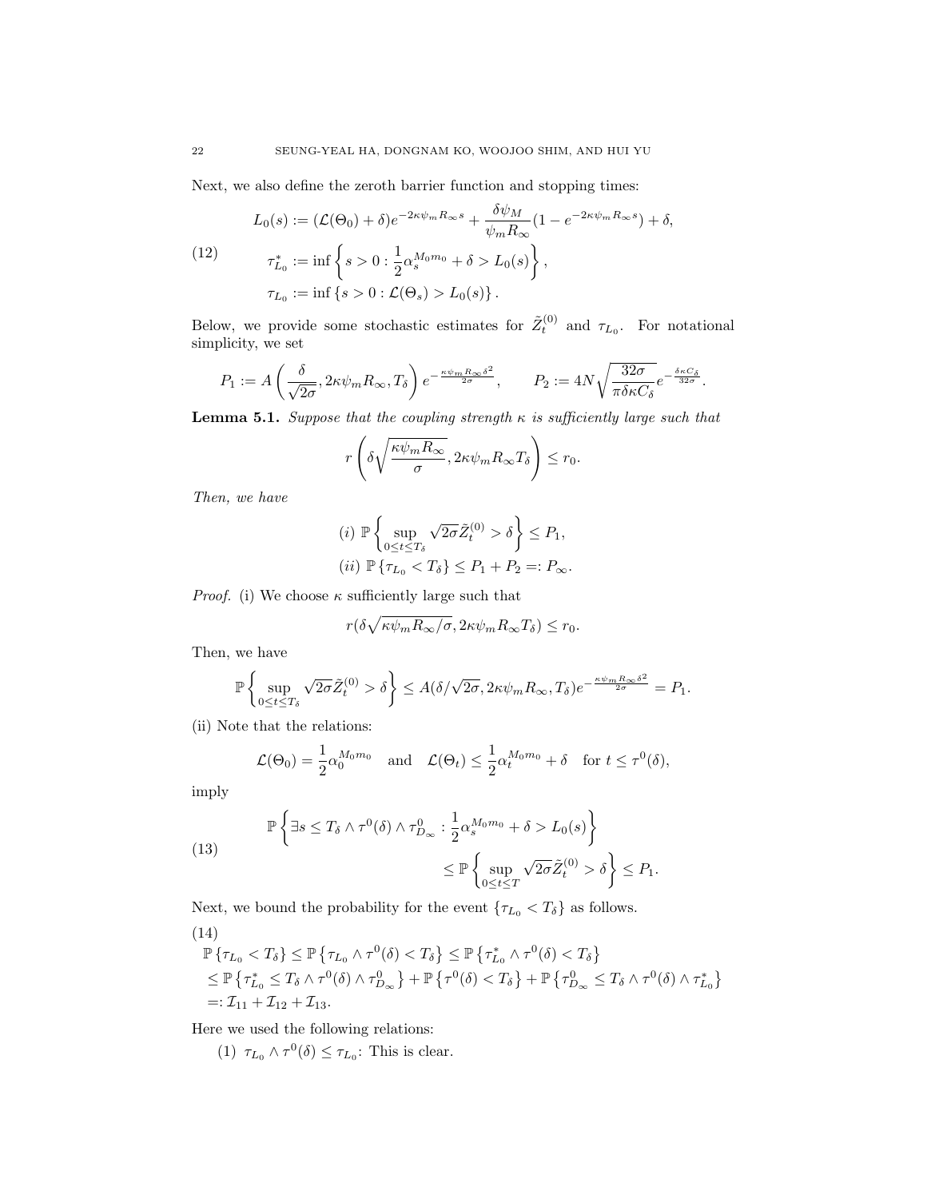Next, we also define the zeroth barrier function and stopping times:

(12) 
$$
L_0(s) := (\mathcal{L}(\Theta_0) + \delta)e^{-2\kappa\psi_m R_\infty s} + \frac{\delta\psi_M}{\psi_m R_\infty} (1 - e^{-2\kappa\psi_m R_\infty s}) + \delta,
$$
  
\n
$$
\tau_{L_0}^* := \inf \left\{ s > 0 : \frac{1}{2} \alpha_s^{M_0 m_0} + \delta > L_0(s) \right\},
$$
  
\n
$$
\tau_{L_0} := \inf \left\{ s > 0 : \mathcal{L}(\Theta_s) > L_0(s) \right\}.
$$

Below, we provide some stochastic estimates for  $\tilde{Z}_{t}^{(0)}$  and  $\tau_{L_0}$ . For notational simplicity, we set

$$
P_1:=A\left(\frac{\delta}{\sqrt{2\sigma}}, 2\kappa\psi_m R_\infty, T_\delta\right)e^{-\frac{\kappa\psi_m R_\infty\delta^2}{2\sigma}},\qquad P_2:=4N\sqrt{\frac{32\sigma}{\pi\delta\kappa C_\delta}}e^{-\frac{\delta\kappa C_\delta}{32\sigma}}.
$$

**Lemma 5.1.** Suppose that the coupling strength  $\kappa$  is sufficiently large such that

$$
r\left(\delta\sqrt{\frac{\kappa\psi_m R_{\infty}}{\sigma}}, 2\kappa\psi_m R_{\infty} T_{\delta}\right) \leq r_0.
$$

Then, we have

$$
(i) \mathbb{P}\left\{\sup_{0\leq t\leq T_{\delta}}\sqrt{2\sigma}\tilde{Z}_{t}^{(0)} > \delta\right\} \leq P_{1},
$$
  

$$
(ii) \mathbb{P}\left\{\tau_{L_{0}} < T_{\delta}\right\} \leq P_{1} + P_{2} =: P_{\infty}.
$$

*Proof.* (i) We choose  $\kappa$  sufficiently large such that

$$
r(\delta\sqrt{\kappa\psi_m R_\infty/\sigma}, 2\kappa\psi_m R_\infty T_\delta) \le r_0.
$$

Then, we have

$$
\mathbb{P}\left\{\sup_{0\leq t\leq T_{\delta}}\sqrt{2\sigma}\tilde{Z}_{t}^{(0)}>\delta\right\}\leq A(\delta/\sqrt{2\sigma},2\kappa\psi_{m}R_{\infty},T_{\delta})e^{-\frac{\kappa\psi_{m}R_{\infty}\delta^{2}}{2\sigma}}=P_{1}.
$$

(ii) Note that the relations:

$$
\mathcal{L}(\Theta_0) = \frac{1}{2} \alpha_0^{M_0 m_0} \quad \text{and} \quad \mathcal{L}(\Theta_t) \le \frac{1}{2} \alpha_t^{M_0 m_0} + \delta \quad \text{for } t \le \tau^0(\delta),
$$

imply

(13) 
$$
\mathbb{P}\left\{\exists s \leq T_{\delta} \land \tau^{0}(\delta) \land \tau^{0}_{D_{\infty}} : \frac{1}{2}\alpha_{s}^{M_{0}m_{0}} + \delta > L_{0}(s)\right\} \leq \mathbb{P}\left\{\sup_{0 \leq t \leq T} \sqrt{2\sigma}\tilde{Z}_{t}^{(0)} > \delta\right\} \leq P_{1}.
$$

Next, we bound the probability for the event  $\{\tau_{L_0} < T_\delta\}$  as follows.

(14)  
\n
$$
\mathbb{P}\left\{\tau_{L_0} < T_\delta\right\} \le \mathbb{P}\left\{\tau_{L_0} \wedge \tau^0(\delta) < T_\delta\right\} \le \mathbb{P}\left\{\tau_{L_0}^* \wedge \tau^0(\delta) < T_\delta\right\}
$$
\n
$$
\le \mathbb{P}\left\{\tau_{L_0}^* \le T_\delta \wedge \tau^0(\delta) \wedge \tau_{D_\infty}^0\right\} + \mathbb{P}\left\{\tau^0(\delta) < T_\delta\right\} + \mathbb{P}\left\{\tau_{D_\infty}^0 \le T_\delta \wedge \tau^0(\delta) \wedge \tau_{L_0}^*\right\}
$$
\n
$$
=: \mathcal{I}_{11} + \mathcal{I}_{12} + \mathcal{I}_{13}.
$$

Here we used the following relations:

(1)  $\tau_{L_0} \wedge \tau^0(\delta) \leq \tau_{L_0}$ : This is clear.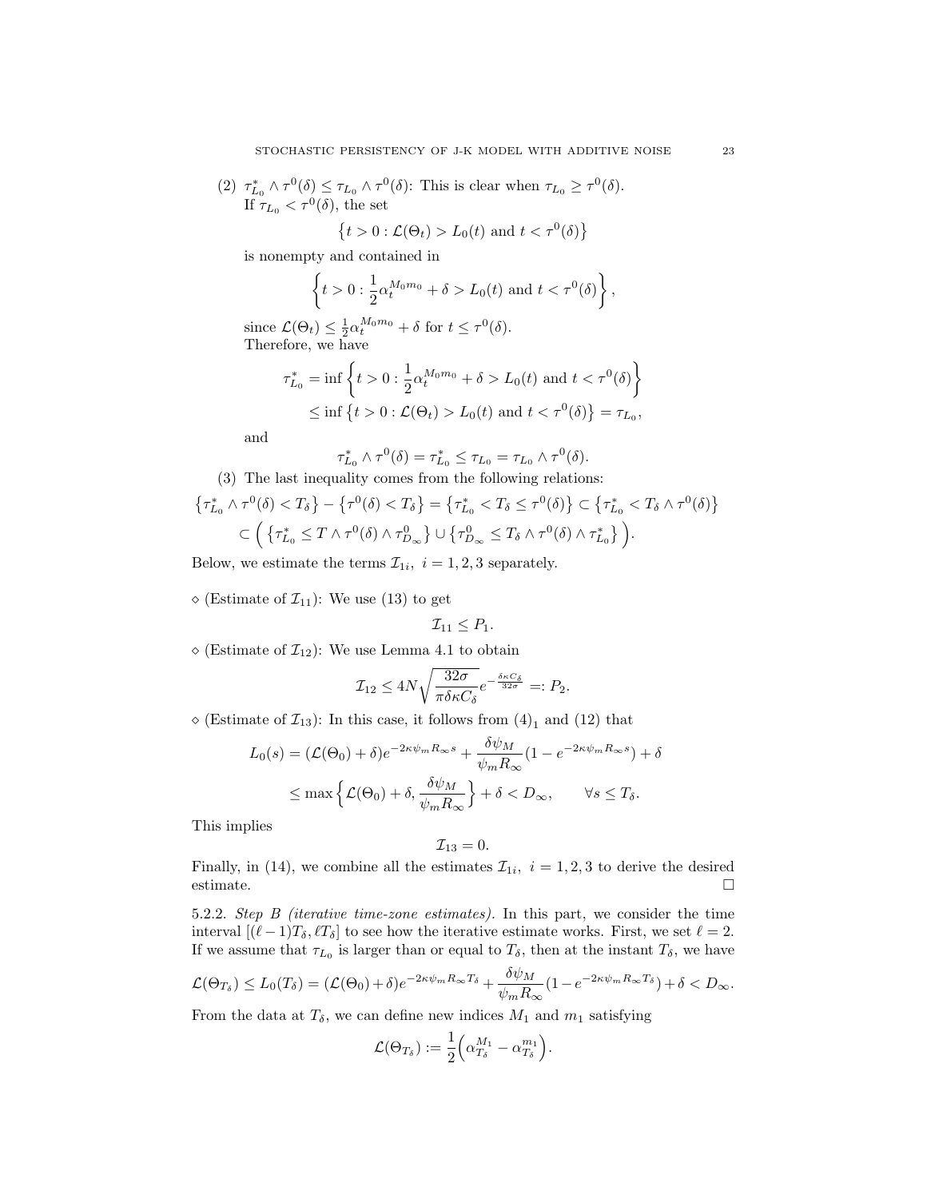(2)  $\tau_{L_0}^* \wedge \tau^0(\delta) \leq \tau_{L_0} \wedge \tau^0(\delta)$ : This is clear when  $\tau_{L_0} \geq \tau^0(\delta)$ . If  $\tau_{L_0} < \tau^0(\delta)$ , the set

$$
\left\{t>0:\mathcal{L}(\Theta_t)>L_0(t)\text{ and }t<\tau^0(\delta)\right\}
$$

is nonempty and contained in

$$
\left\{t>0:\frac{1}{2}\alpha_t^{M_0m_0}+\delta>L_0(t) \text{ and } t<\tau^0(\delta)\right\},\
$$

since  $\mathcal{L}(\Theta_t) \leq \frac{1}{2} \alpha_t^{M_0 m_0} + \delta$  for  $t \leq \tau^0(\delta)$ . Therefore, we have

$$
\tau_{L_0}^* = \inf \left\{ t > 0 : \frac{1}{2} \alpha_t^{M_0 m_0} + \delta > L_0(t) \text{ and } t < \tau^0(\delta) \right\}
$$
  
\$\leq\$ inf  $\{ t > 0 : \mathcal{L}(\Theta_t) > L_0(t) \text{ and } t < \tau^0(\delta) \} = \tau_{L_0},$ 

and

$$
\tau_{L_0}^* \wedge \tau^0(\delta) = \tau_{L_0}^* \leq \tau_{L_0} = \tau_{L_0} \wedge \tau^0(\delta).
$$

(3) The last inequality comes from the following relations:

$$
\begin{aligned} \left\{ \tau_{L_0}^* \wedge \tau^0(\delta) < T_\delta \right\} - \left\{ \tau^0(\delta) < T_\delta \right\} &= \left\{ \tau_{L_0}^* < T_\delta \le \tau^0(\delta) \right\} \subset \left\{ \tau_{L_0}^* < T_\delta \wedge \tau^0(\delta) \right\} \\ &\subset \left( \left\{ \tau_{L_0}^* \le T \wedge \tau^0(\delta) \wedge \tau_{D_\infty}^0 \right\} \cup \left\{ \tau_{D_\infty}^0 \le T_\delta \wedge \tau^0(\delta) \wedge \tau_{L_0}^* \right\} \right). \end{aligned}
$$

Below, we estimate the terms  $\mathcal{I}_{1i}$ ,  $i = 1, 2, 3$  separately.

 $\diamond$  (Estimate of  $\mathcal{I}_{11}$ ): We use (13) to get

$$
\mathcal{I}_{11}\leq P_1.
$$

 $\diamond$  (Estimate of  $\mathcal{I}_{12}$ ): We use Lemma 4.1 to obtain

$$
\mathcal{I}_{12} \le 4N \sqrt{\frac{32\sigma}{\pi \delta \kappa C_{\delta}}} e^{-\frac{\delta \kappa C_{\delta}}{32\sigma}} =: P_2.
$$

 $\diamond$  (Estimate of  $\mathcal{I}_{13}$ ): In this case, it follows from  $(4)_1$  and  $(12)$  that

$$
L_0(s) = (\mathcal{L}(\Theta_0) + \delta)e^{-2\kappa\psi_m R_\infty s} + \frac{\delta\psi_M}{\psi_m R_\infty} (1 - e^{-2\kappa\psi_m R_\infty s}) + \delta
$$
  

$$
\leq \max\left\{\mathcal{L}(\Theta_0) + \delta, \frac{\delta\psi_M}{\psi_m R_\infty}\right\} + \delta < D_\infty, \qquad \forall s \leq T_\delta.
$$

This implies

$$
\mathcal{I}_{13}=0
$$

Finally, in (14), we combine all the estimates  $\mathcal{I}_{1i}$ ,  $i = 1, 2, 3$  to derive the desired estimate.  $\Box$ 

5.2.2. Step B (iterative time-zone estimates). In this part, we consider the time interval  $[(\ell - 1)T_{\delta}, \ell T_{\delta}]$  to see how the iterative estimate works. First, we set  $\ell = 2$ . If we assume that  $\tau_{L_0}$  is larger than or equal to  $T_\delta$ , then at the instant  $T_\delta$ , we have

$$
\mathcal{L}(\Theta_{T_{\delta}}) \leq L_0(T_{\delta}) = (\mathcal{L}(\Theta_0) + \delta)e^{-2\kappa\psi_m R_{\infty}T_{\delta}} + \frac{\delta\psi_M}{\psi_m R_{\infty}}(1 - e^{-2\kappa\psi_m R_{\infty}T_{\delta}}) + \delta < D_{\infty}.
$$

From the data at  $T_\delta$ , we can define new indices  $M_1$  and  $m_1$  satisfying

$$
\mathcal{L}(\Theta_{T_\delta}):=\frac{1}{2}\Big(\alpha_{T_\delta}^{M_1}-\alpha_{T_\delta}^{m_1}\Big).
$$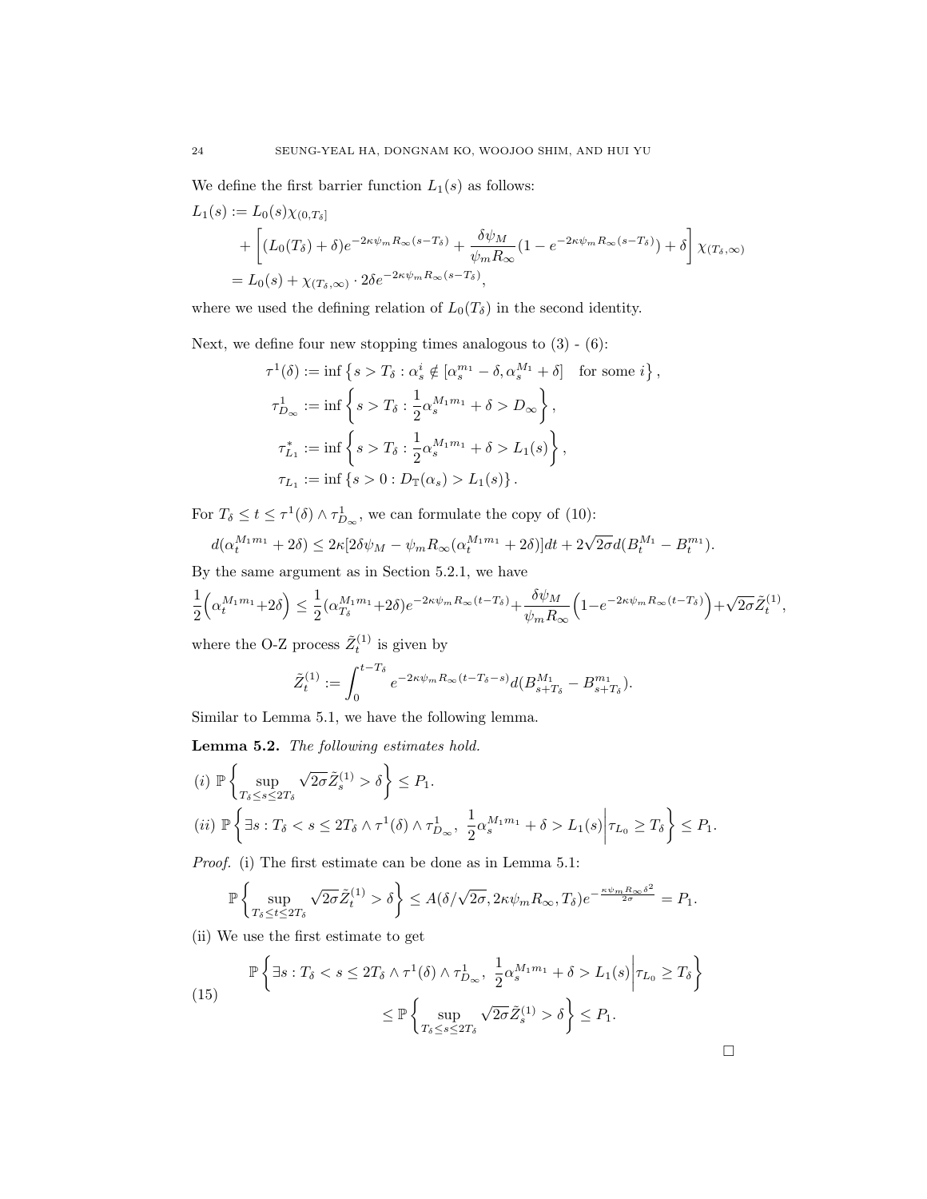We define the first barrier function  $L_1(s)$  as follows:

$$
L_1(s) := L_0(s)\chi_{(0,T_\delta]}
$$
  
+ 
$$
\left[ (L_0(T_\delta) + \delta)e^{-2\kappa\psi_m R_\infty(s-T_\delta)} + \frac{\delta\psi_M}{\psi_m R_\infty}(1 - e^{-2\kappa\psi_m R_\infty(s-T_\delta)}) + \delta \right] \chi_{(T_\delta,\infty)}
$$
  
= 
$$
L_0(s) + \chi_{(T_\delta,\infty)} \cdot 2\delta e^{-2\kappa\psi_m R_\infty(s-T_\delta)},
$$

where we used the defining relation of  $L_0(T_\delta)$  in the second identity.

Next, we define four new stopping times analogous to  $(3)$  -  $(6)$ :

$$
\tau^{1}(\delta) := \inf \left\{ s > T_{\delta} : \alpha_{s}^{i} \notin [\alpha_{s}^{m_{1}} - \delta, \alpha_{s}^{M_{1}} + \delta] \text{ for some } i \right\},\
$$
  

$$
\tau_{D_{\infty}}^{1} := \inf \left\{ s > T_{\delta} : \frac{1}{2} \alpha_{s}^{M_{1}m_{1}} + \delta > D_{\infty} \right\},\
$$
  

$$
\tau_{L_{1}}^{*} := \inf \left\{ s > T_{\delta} : \frac{1}{2} \alpha_{s}^{M_{1}m_{1}} + \delta > L_{1}(s) \right\},\
$$
  

$$
\tau_{L_{1}} := \inf \left\{ s > 0 : D_{\mathbb{T}}(\alpha_{s}) > L_{1}(s) \right\}.
$$

For  $T_{\delta} \leq t \leq \tau^1(\delta) \wedge \tau_{D_{\infty}}^1$ , we can formulate the copy of (10):

$$
d(\alpha_t^{M_1 m_1} + 2\delta) \leq 2\kappa [2\delta \psi_M - \psi_m R_\infty (\alpha_t^{M_1 m_1} + 2\delta)] dt + 2\sqrt{2\sigma} d(B_t^{M_1} - B_t^{m_1}).
$$

By the same argument as in Section 5.2.1, we have

$$
\frac{1}{2}\Big(\alpha_t^{M_1m_1}+2\delta\Big)\leq \frac{1}{2}(\alpha_{T_\delta}^{M_1m_1}+2\delta)e^{-2\kappa\psi_mR_\infty(t-T_\delta)}+\frac{\delta\psi_M}{\psi_mR_\infty}\Big(1-e^{-2\kappa\psi_mR_\infty(t-T_\delta)}\Big)+\sqrt{2\sigma}\tilde{Z}_t^{(1)},
$$

where the O-Z process  $\tilde{Z}_{t}^{(1)}$  is given by

$$
\tilde{Z}_t^{(1)} := \int_0^{t-T_\delta} e^{-2\kappa \psi_m R_\infty (t-T_\delta-s)} d(B_{s+T_\delta}^{M_1} - B_{s+T_\delta}^{m_1}).
$$

Similar to Lemma 5.1, we have the following lemma.

Lemma 5.2. The following estimates hold.

$$
(i) \mathbb{P}\left\{\sup_{T_{\delta}\leq s\leq 2T_{\delta}}\sqrt{2\sigma}\tilde{Z}_{s}^{(1)} > \delta\right\} \leq P_{1}.
$$
  
\n
$$
(ii) \mathbb{P}\left\{\exists s: T_{\delta} < s\leq 2T_{\delta} \wedge \tau^{1}(\delta) \wedge \tau^{1}_{D_{\infty}}, \frac{1}{2}\alpha_{s}^{M_{1}m_{1}} + \delta > L_{1}(s)\middle|\tau_{L_{0}} \geq T_{\delta}\right\} \leq P_{1}.
$$

Proof. (i) The first estimate can be done as in Lemma 5.1:

$$
\mathbb{P}\left\{\sup_{T_{\delta}\leq t\leq 2T_{\delta}}\sqrt{2\sigma}\tilde{Z}_{t}^{(1)} > \delta\right\} \leq A(\delta/\sqrt{2\sigma}, 2\kappa\psi_{m}R_{\infty}, T_{\delta})e^{-\frac{\kappa\psi_{m}R_{\infty}\delta^{2}}{2\sigma}} = P_{1}.
$$

(ii) We use the first estimate to get

(15) 
$$
\mathbb{P}\left\{\exists s: T_{\delta} < s \leq 2T_{\delta} \land \tau^{1}(\delta) \land \tau^{1}_{D_{\infty}}, \frac{1}{2}\alpha_{s}^{M_{1}m_{1}} + \delta > L_{1}(s) \middle| \tau_{L_{0}} \geq T_{\delta} \right\} \leq \mathbb{P}\left\{\sup_{T_{\delta} \leq s \leq 2T_{\delta}} \sqrt{2\sigma} \tilde{Z}_{s}^{(1)} > \delta \right\} \leq P_{1}.
$$

 $\Box$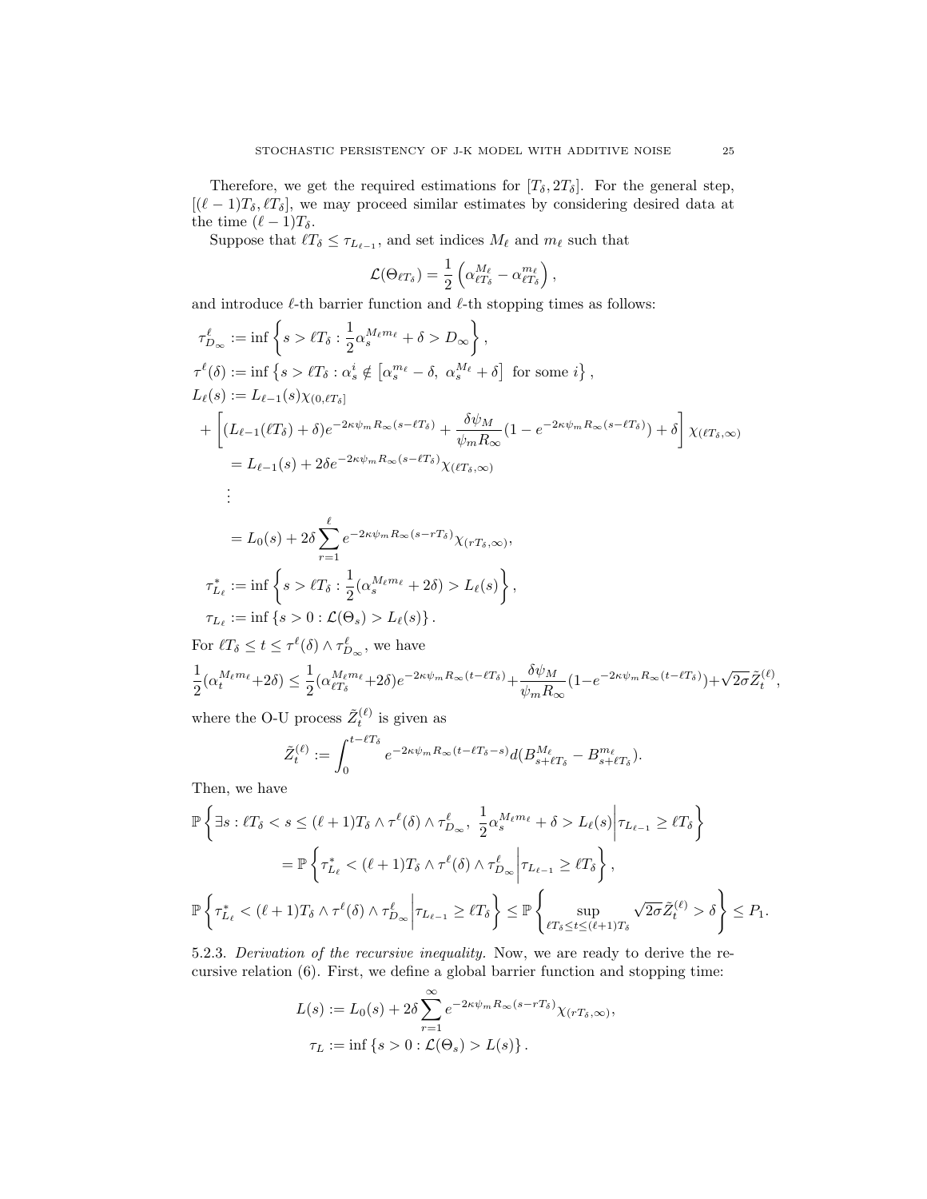Therefore, we get the required estimations for  $[T_{\delta}, 2T_{\delta}]$ . For the general step,  $[(\ell - 1)T_{\delta}, \ell T_{\delta}],$  we may proceed similar estimates by considering desired data at the time  $(\ell - 1)T_\delta$ .

Suppose that  $\ell T_{\delta} \leq \tau_{L_{\ell-1}}$ , and set indices  $M_{\ell}$  and  $m_{\ell}$  such that

$$
\mathcal{L}(\Theta_{\ell T_\delta}) = \frac{1}{2} \left( \alpha_{\ell T_\delta}^{M_\ell} - \alpha_{\ell T_\delta}^{m_\ell} \right),
$$

and introduce  $\ell$ -th barrier function and  $\ell$ -th stopping times as follows:

$$
\tau_{D_{\infty}}^{\ell} := \inf \left\{ s > \ell T_{\delta} : \frac{1}{2} \alpha_s^{M_{\ell}m_{\ell}} + \delta > D_{\infty} \right\},
$$
\n
$$
\tau^{\ell}(\delta) := \inf \left\{ s > \ell T_{\delta} : \alpha_s^{i} \notin \left[ \alpha_s^{m_{\ell}} - \delta, \ \alpha_s^{M_{\ell}} + \delta \right] \text{ for some } i \right\},
$$
\n
$$
L_{\ell}(s) := L_{\ell-1}(s) \chi_{(0,\ell T_{\delta}]}
$$
\n
$$
+ \left[ (L_{\ell-1}(\ell T_{\delta}) + \delta) e^{-2\kappa \psi_m R_{\infty}(s - \ell T_{\delta})} + \frac{\delta \psi_M}{\psi_m R_{\infty}} (1 - e^{-2\kappa \psi_m R_{\infty}(s - \ell T_{\delta})}) + \delta \right] \chi_{(\ell T_{\delta},\infty)}
$$
\n
$$
= L_{\ell-1}(s) + 2\delta e^{-2\kappa \psi_m R_{\infty}(s - \ell T_{\delta})} \chi_{(\ell T_{\delta},\infty)}
$$
\n
$$
\vdots
$$
\n
$$
= L_0(s) + 2\delta \sum_{r=1}^{\ell} e^{-2\kappa \psi_m R_{\infty}(s - rT_{\delta})} \chi_{(rT_{\delta},\infty)},
$$
\n
$$
\tau_{L_{\ell}}^{*} := \inf \left\{ s > \ell T_{\delta} : \frac{1}{2} (\alpha_s^{M_{\ell}m_{\ell}} + 2\delta) > L_{\ell}(s) \right\},
$$
\n
$$
\tau_{L_{\ell}} := \inf \left\{ s > 0 : \mathcal{L}(\Theta_s) > L_{\ell}(s) \right\}.
$$
\nFor  $\ell T_{\infty} < t < \tau^{\ell}(\delta) \wedge \tau_{\infty}^{\ell}$  we have

For  $\ell T_{\delta} \leq t \leq \tau^{\ell}(\delta) \wedge \tau_{D_{\infty}}^{\ell}$ , we have 1  $\frac{1}{2}(\alpha_t^{M_\ell m_\ell}+2\delta) \leq \frac{1}{2}$  $\frac{1}{2}(\alpha_{\ell T_\delta}^{M_\ell m_\ell}+2\delta)e^{-2\kappa\psi_m R_\infty(t-\ell T_\delta)}+ \frac{\delta\psi_M}{\psi_m R_\varsigma}$  $\frac{\delta \psi_M}{\psi_m R_\infty} (1 - e^{-2\kappa \psi_m R_\infty (t - \ell T_\delta)}) + \sqrt{2\sigma} \tilde{Z}_t^{(\ell)},$ 

where the O-U process  $\tilde{Z}_{t}^{(\ell)}$  is given as

$$
\tilde{Z}_t^{(\ell)} := \int_0^{t-\ell T_\delta} e^{-2\kappa \psi_m R_\infty (t-\ell T_\delta - s)} d(B_{s+\ell T_\delta}^{M_\ell} - B_{s+\ell T_\delta}^{m_\ell}).
$$

Then, we have

$$
\mathbb{P}\left\{\exists s: \ell T_{\delta} < s \leq (\ell+1)T_{\delta} \land \tau^{\ell}(\delta) \land \tau_{D_{\infty}}^{\ell}, \ \frac{1}{2}\alpha_s^{M_{\ell}m_{\ell}} + \delta > L_{\ell}(s) \middle| \tau_{L_{\ell-1}} \geq \ell T_{\delta} \right\}
$$
\n
$$
= \mathbb{P}\left\{\tau_{L_{\ell}}^* < (\ell+1)T_{\delta} \land \tau^{\ell}(\delta) \land \tau_{D_{\infty}}^{\ell} \middle| \tau_{L_{\ell-1}} \geq \ell T_{\delta} \right\},
$$
\n
$$
\mathbb{P}\left\{\tau_{L_{\ell}}^* < (\ell+1)T_{\delta} \land \tau^{\ell}(\delta) \land \tau_{D_{\infty}}^{\ell} \middle| \tau_{L_{\ell-1}} \geq \ell T_{\delta} \right\} \leq \mathbb{P}\left\{\sup_{\ell T_{\delta} \leq t \leq (\ell+1)T_{\delta}} \sqrt{2\sigma}\tilde{Z}_{t}^{(\ell)} > \delta \right\} \leq P_{1}.
$$

5.2.3. Derivation of the recursive inequality. Now, we are ready to derive the recursive relation (6). First, we define a global barrier function and stopping time:

$$
L(s) := L_0(s) + 2\delta \sum_{r=1}^{\infty} e^{-2\kappa \psi_m R_{\infty}(s - rT_{\delta})} \chi_{(rT_{\delta}, \infty)},
$$
  

$$
\tau_L := \inf \{ s > 0 : \mathcal{L}(\Theta_s) > L(s) \}.
$$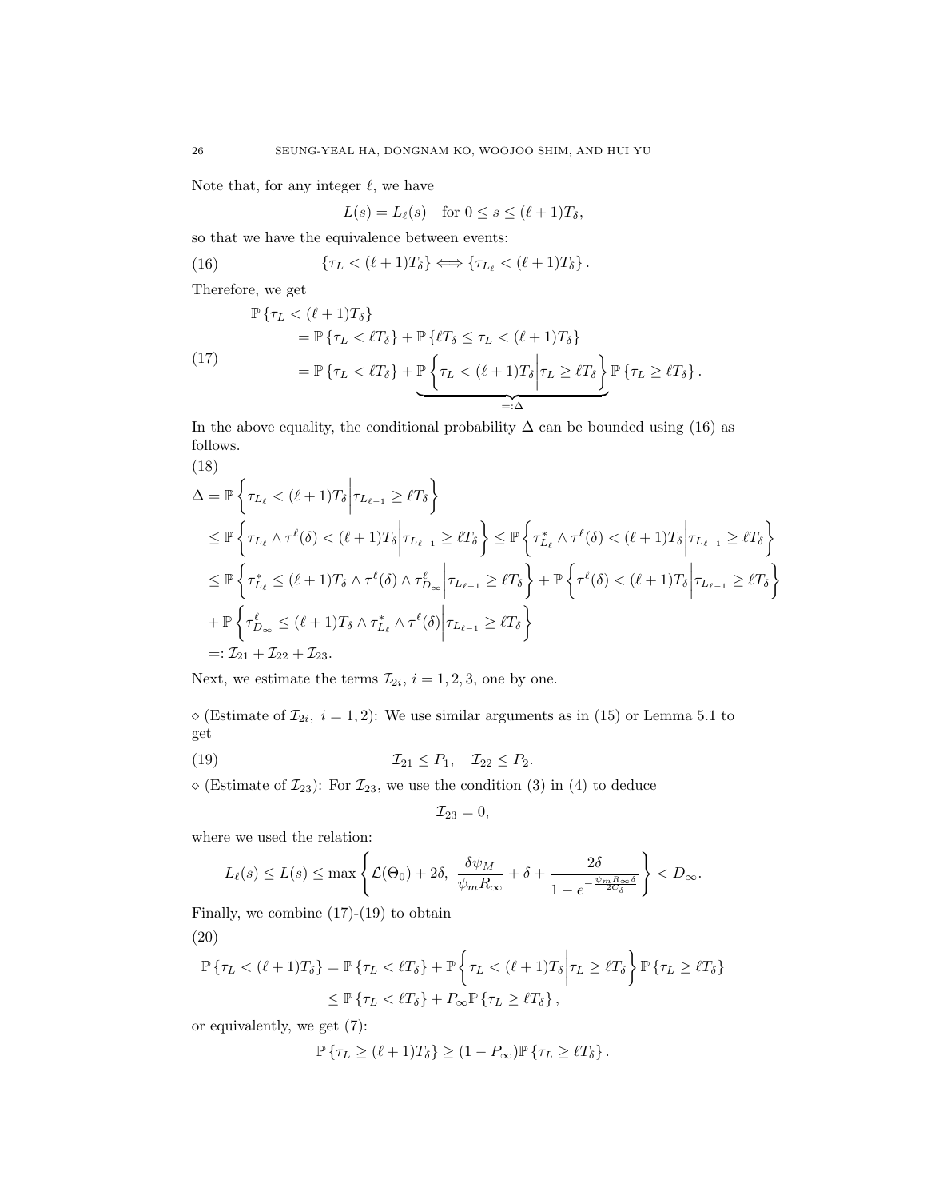Note that, for any integer  $\ell$ , we have

 $L(s) = L_{\ell}(s)$  for  $0 \leq s \leq (\ell + 1)T_{\delta}$ ,

so that we have the equivalence between events:

(16) 
$$
\{\tau_L < (\ell+1)T_\delta\} \Longleftrightarrow \{\tau_{L_\ell} < (\ell+1)T_\delta\}.
$$

Therefore, we get

$$
\mathbb{P}\left\{\tau_L < (\ell+1)T_\delta\right\} \\
= \mathbb{P}\left\{\tau_L < \ell T_\delta\right\} + \mathbb{P}\left\{\ell T_\delta \leq \tau_L < (\ell+1)T_\delta\right\} \\
= \mathbb{P}\left\{\tau_L < \ell T_\delta\right\} + \underbrace{\mathbb{P}\left\{\tau_L < (\ell+1)T_\delta\Big|\tau_L \geq \ell T_\delta\right\}}_{=: \Delta} \mathbb{P}\left\{\tau_L \geq \ell T_\delta\right\}.
$$
\n(17)

In the above equality, the conditional probability  $\Delta$  can be bounded using (16) as follows.

(18)  
\n
$$
\Delta = \mathbb{P}\left\{\tau_{L_{\ell}} < (\ell+1)T_{\delta} \middle| \tau_{L_{\ell-1}} \geq \ell T_{\delta} \right\}
$$
\n
$$
\leq \mathbb{P}\left\{\tau_{L_{\ell}} \wedge \tau^{\ell}(\delta) < (\ell+1)T_{\delta} \middle| \tau_{L_{\ell-1}} \geq \ell T_{\delta} \right\} \leq \mathbb{P}\left\{\tau_{L_{\ell}}^{*} \wedge \tau^{\ell}(\delta) < (\ell+1)T_{\delta} \middle| \tau_{L_{\ell-1}} \geq \ell T_{\delta} \right\}
$$
\n
$$
\leq \mathbb{P}\left\{\tau_{L_{\ell}}^{*} \leq (\ell+1)T_{\delta} \wedge \tau^{\ell}(\delta) \wedge \tau_{D_{\infty}}^{\ell} \middle| \tau_{L_{\ell-1}} \geq \ell T_{\delta} \right\} + \mathbb{P}\left\{\tau^{\ell}(\delta) < (\ell+1)T_{\delta} \middle| \tau_{L_{\ell-1}} \geq \ell T_{\delta} \right\}
$$
\n
$$
+ \mathbb{P}\left\{\tau_{D_{\infty}}^{\ell} \leq (\ell+1)T_{\delta} \wedge \tau_{L_{\ell}}^{*} \wedge \tau^{\ell}(\delta) \middle| \tau_{L_{\ell-1}} \geq \ell T_{\delta} \right\}
$$
\n
$$
=:\mathcal{I}_{21} + \mathcal{I}_{22} + \mathcal{I}_{23}.
$$

Next, we estimate the terms  $\mathcal{I}_{2i}$ ,  $i = 1, 2, 3$ , one by one.

 $\Diamond$  (Estimate of  $\mathcal{I}_{2i}, i = 1, 2$ ): We use similar arguments as in (15) or Lemma 5.1 to get

(19) I<sup>21</sup> ≤ P1, I<sup>22</sup> ≤ P2.

 $\diamond$  (Estimate of  $\mathcal{I}_{23}$ ): For  $\mathcal{I}_{23}$ , we use the condition (3) in (4) to deduce

$$
\mathcal{I}_{23}=0,
$$

where we used the relation:

$$
L_{\ell}(s) \le L(s) \le \max\left\{\mathcal{L}(\Theta_0) + 2\delta, \ \frac{\delta\psi_M}{\psi_m R_{\infty}} + \delta + \frac{2\delta}{1 - e^{-\frac{\psi_m R_{\infty}\delta}{2C_{\delta}}}}\right\} < D_{\infty}.
$$

Finally, we combine  $(17)-(19)$  to obtain

$$
(20)
$$

$$
\mathbb{P}\left\{\tau_L < (\ell+1)T_\delta\right\} = \mathbb{P}\left\{\tau_L < \ell T_\delta\right\} + \mathbb{P}\left\{\tau_L < (\ell+1)T_\delta \middle| \tau_L \geq \ell T_\delta\right\} \mathbb{P}\left\{\tau_L \geq \ell T_\delta\right\}
$$
\n
$$
\leq \mathbb{P}\left\{\tau_L < \ell T_\delta\right\} + P_\infty \mathbb{P}\left\{\tau_L \geq \ell T_\delta\right\},
$$

or equivalently, we get (7):

$$
\mathbb{P}\left\{\tau_L \geq (\ell+1)T_\delta\right\} \geq (1-P_\infty)\mathbb{P}\left\{\tau_L \geq \ell T_\delta\right\}.
$$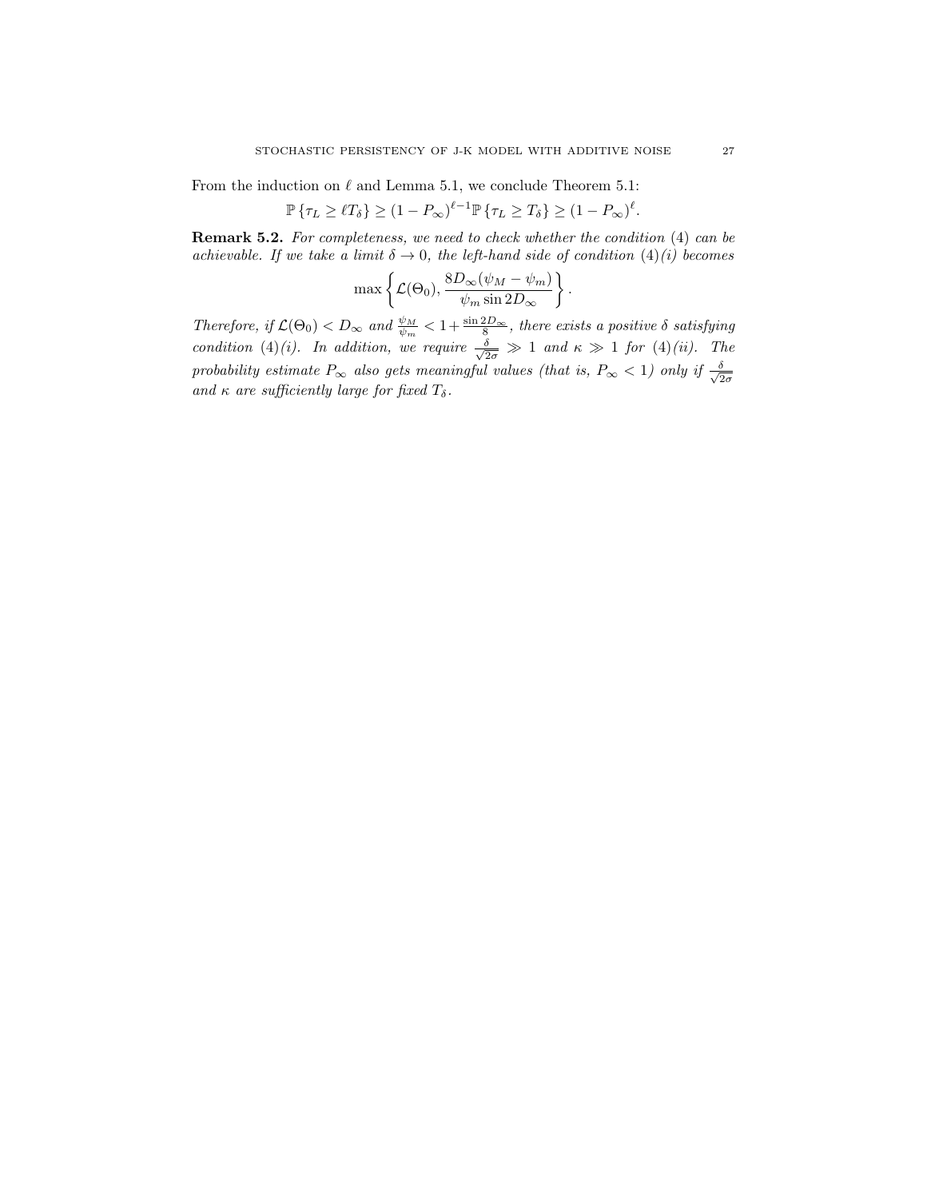From the induction on  $\ell$  and Lemma 5.1, we conclude Theorem 5.1:

$$
\mathbb{P}\left\{\tau_L \geq \ell T_\delta\right\} \geq \left(1 - P_\infty\right)^{\ell-1} \mathbb{P}\left\{\tau_L \geq T_\delta\right\} \geq \left(1 - P_\infty\right)^{\ell}.
$$

Remark 5.2. For completeness, we need to check whether the condition (4) can be achievable. If we take a limit  $\delta \to 0$ , the left-hand side of condition  $(4)(i)$  becomes

$$
\max \left\{ \mathcal{L}(\Theta_0), \frac{8D_{\infty}(\psi_M - \psi_m)}{\psi_m \sin 2D_{\infty}} \right\}.
$$

Therefore, if  $\mathcal{L}(\Theta_0) < D_\infty$  and  $\frac{\psi_M}{\psi_m} < 1 + \frac{\sin 2D_\infty}{8}$ , there exists a positive  $\delta$  satisfying condition (4)(i). In addition, we require  $\frac{\delta}{\sqrt{2\sigma}} \gg 1$  and  $\kappa \gg 1$  for (4)(ii). The probability estimate  $P_{\infty}$  also gets meaningful values (that is,  $P_{\infty} < 1$ ) only if  $\frac{\delta}{\sqrt{2}}$  $2\sigma$ and  $\kappa$  are sufficiently large for fixed  $T_\delta$ .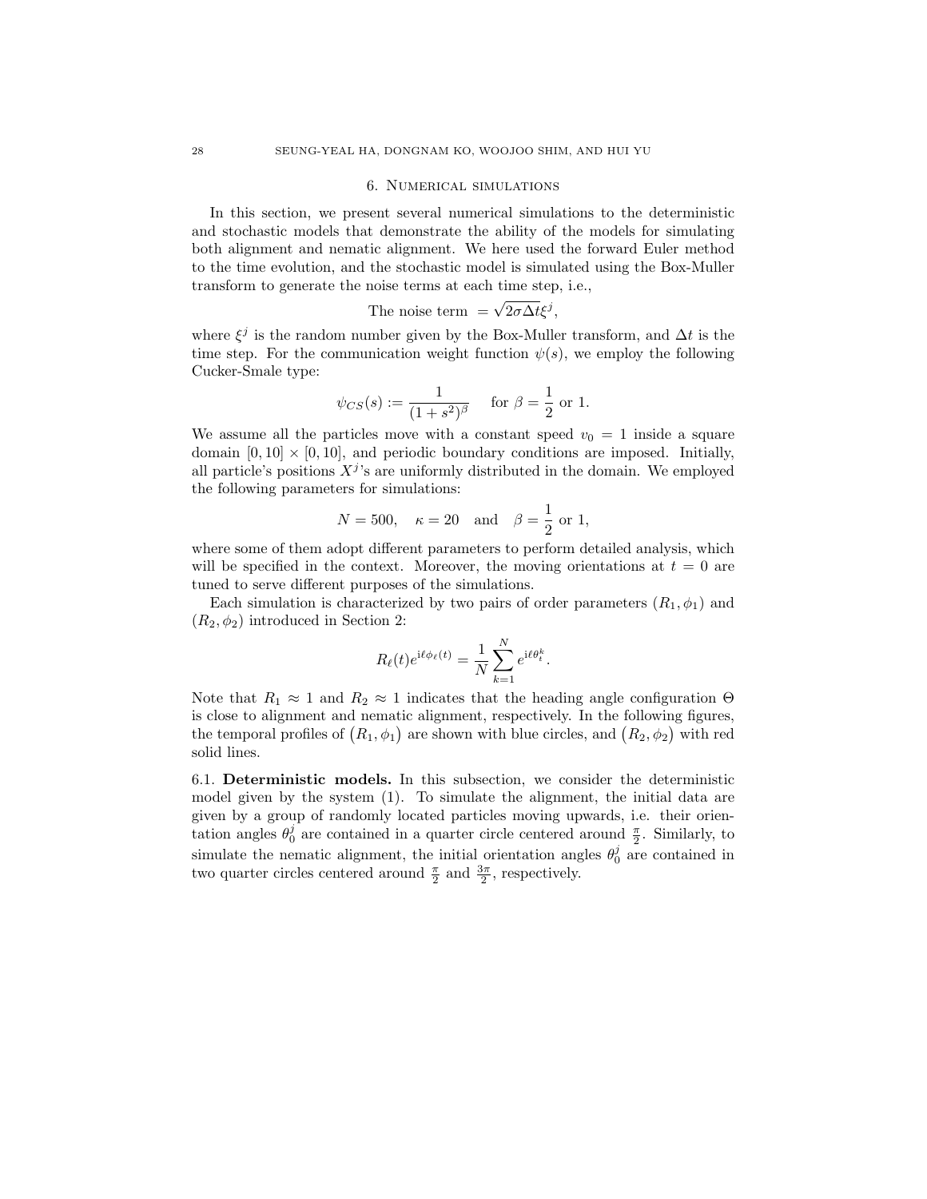#### 6. Numerical simulations

In this section, we present several numerical simulations to the deterministic and stochastic models that demonstrate the ability of the models for simulating both alignment and nematic alignment. We here used the forward Euler method to the time evolution, and the stochastic model is simulated using the Box-Muller transform to generate the noise terms at each time step, i.e.,

The noise term = 
$$
\sqrt{2\sigma\Delta t}\xi^j
$$
,

where  $\xi^j$  is the random number given by the Box-Muller transform, and  $\Delta t$  is the time step. For the communication weight function  $\psi(s)$ , we employ the following Cucker-Smale type:

$$
\psi_{CS}(s) := \frac{1}{(1+s^2)^{\beta}}
$$
 for  $\beta = \frac{1}{2}$  or 1.

We assume all the particles move with a constant speed  $v_0 = 1$  inside a square domain  $[0, 10] \times [0, 10]$ , and periodic boundary conditions are imposed. Initially, all particle's positions  $X^j$ 's are uniformly distributed in the domain. We employed the following parameters for simulations:

$$
N = 500
$$
,  $\kappa = 20$  and  $\beta = \frac{1}{2}$  or 1,

where some of them adopt different parameters to perform detailed analysis, which will be specified in the context. Moreover, the moving orientations at  $t = 0$  are tuned to serve different purposes of the simulations.

Each simulation is characterized by two pairs of order parameters  $(R_1, \phi_1)$  and  $(R_2, \phi_2)$  introduced in Section 2:

$$
R_{\ell}(t)e^{i\ell\phi_{\ell}(t)} = \frac{1}{N}\sum_{k=1}^{N}e^{i\ell\theta_{t}^{k}}.
$$

Note that  $R_1 \approx 1$  and  $R_2 \approx 1$  indicates that the heading angle configuration  $\Theta$ is close to alignment and nematic alignment, respectively. In the following figures, the temporal profiles of  $(R_1, \phi_1)$  are shown with blue circles, and  $(R_2, \phi_2)$  with red solid lines.

6.1. Deterministic models. In this subsection, we consider the deterministic model given by the system (1). To simulate the alignment, the initial data are given by a group of randomly located particles moving upwards, i.e. their orientation angles  $\theta_0^j$  are contained in a quarter circle centered around  $\frac{\pi}{2}$ . Similarly, to simulate the nematic alignment, the initial orientation angles  $\theta_0^j$  are contained in two quarter circles centered around  $\frac{\pi}{2}$  and  $\frac{3\pi}{2}$ , respectively.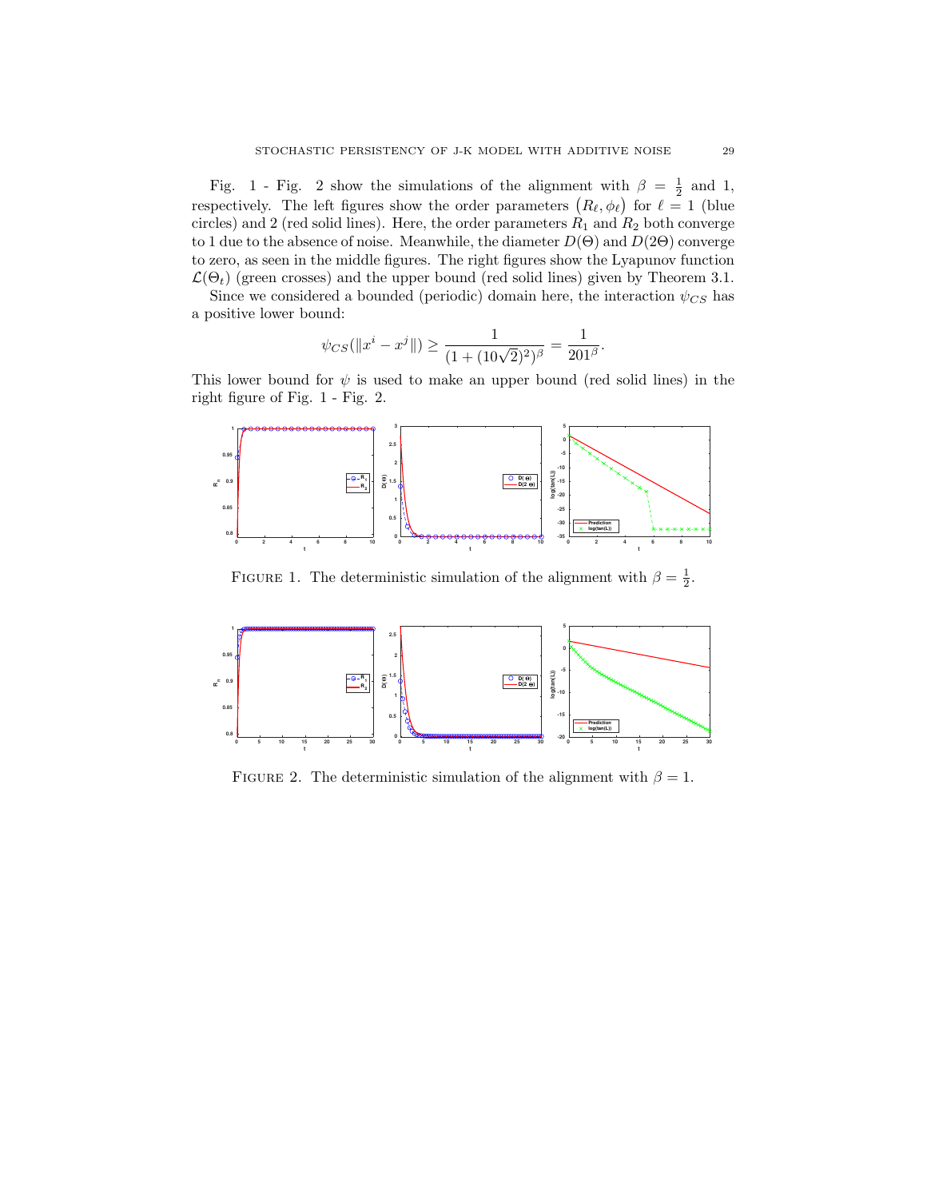Fig. 1 - Fig. 2 show the simulations of the alignment with  $\beta = \frac{1}{2}$  and 1, respectively. The left figures show the order parameters  $(R_{\ell}, \phi_{\ell})$  for  $\ell = 1$  (blue circles) and 2 (red solid lines). Here, the order parameters  $R_1$  and  $R_2$  both converge to 1 due to the absence of noise. Meanwhile, the diameter  $D(\Theta)$  and  $D(2\Theta)$  converge to zero, as seen in the middle figures. The right figures show the Lyapunov function  $\mathcal{L}(\Theta_t)$  (green crosses) and the upper bound (red solid lines) given by Theorem 3.1.

Since we considered a bounded (periodic) domain here, the interaction  $\psi_{CS}$  has a positive lower bound:

$$
\psi_{CS}(\|x^i - x^j\|) \ge \frac{1}{(1 + (10\sqrt{2})^2)^{\beta}} = \frac{1}{201^{\beta}}.
$$

This lower bound for  $\psi$  is used to make an upper bound (red solid lines) in the right figure of Fig. 1 - Fig. 2.



FIGURE 1. The deterministic simulation of the alignment with  $\beta = \frac{1}{2}$ .



FIGURE 2. The deterministic simulation of the alignment with  $\beta = 1$ .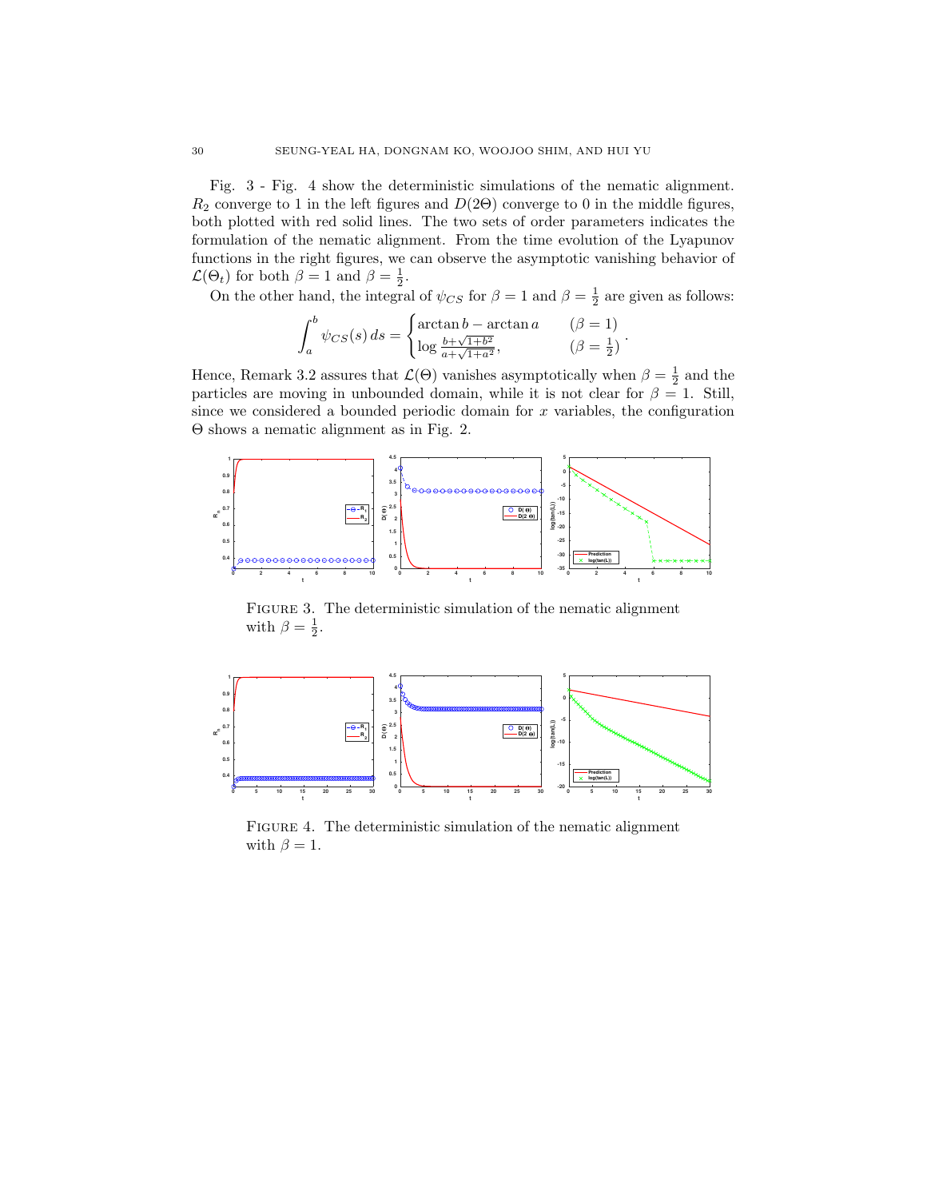Fig. 3 - Fig. 4 show the deterministic simulations of the nematic alignment.  $R_2$  converge to 1 in the left figures and  $D(2\Theta)$  converge to 0 in the middle figures, both plotted with red solid lines. The two sets of order parameters indicates the formulation of the nematic alignment. From the time evolution of the Lyapunov functions in the right figures, we can observe the asymptotic vanishing behavior of  $\mathcal{L}(\Theta_t)$  for both  $\beta = 1$  and  $\beta = \frac{1}{2}$ .

On the other hand, the integral of  $\psi_{CS}$  for  $\beta = 1$  and  $\beta = \frac{1}{2}$  are given as follows:

$$
\int_{a}^{b} \psi_{CS}(s) ds = \begin{cases} \arctan b - \arctan a & (\beta = 1) \\ \log \frac{b + \sqrt{1 + b^2}}{a + \sqrt{1 + a^2}}, & (\beta = \frac{1}{2}) \end{cases}.
$$

Hence, Remark 3.2 assures that  $\mathcal{L}(\Theta)$  vanishes asymptotically when  $\beta = \frac{1}{2}$  and the particles are moving in unbounded domain, while it is not clear for  $\beta = 1$ . Still, since we considered a bounded periodic domain for  $x$  variables, the configuration Θ shows a nematic alignment as in Fig. 2.



FIGURE 3. The deterministic simulation of the nematic alignment with  $\beta = \frac{1}{2}$ .



FIGURE 4. The deterministic simulation of the nematic alignment with  $\beta = 1$ .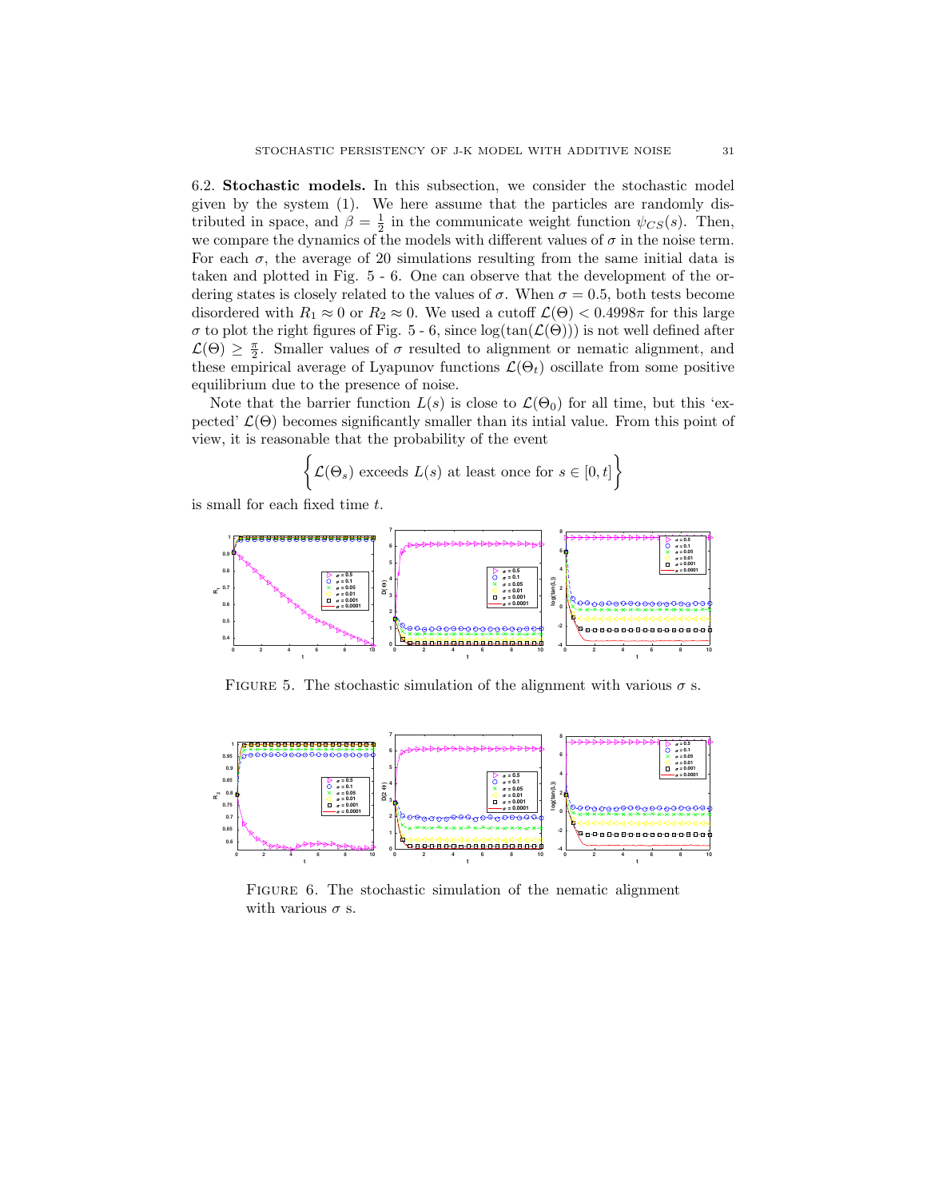6.2. Stochastic models. In this subsection, we consider the stochastic model given by the system (1). We here assume that the particles are randomly distributed in space, and  $\beta = \frac{1}{2}$  in the communicate weight function  $\psi_{CS}(s)$ . Then, we compare the dynamics of the models with different values of  $\sigma$  in the noise term. For each  $\sigma$ , the average of 20 simulations resulting from the same initial data is taken and plotted in Fig. 5 - 6. One can observe that the development of the ordering states is closely related to the values of  $\sigma$ . When  $\sigma = 0.5$ , both tests become disordered with  $R_1 \approx 0$  or  $R_2 \approx 0$ . We used a cutoff  $\mathcal{L}(\Theta) < 0.4998\pi$  for this large  $\sigma$  to plot the right figures of Fig. 5 - 6, since  $log(tan(\mathcal{L}(\Theta)))$  is not well defined after  $\mathcal{L}(\Theta) \geq \frac{\pi}{2}$ . Smaller values of  $\sigma$  resulted to alignment or nematic alignment, and these empirical average of Lyapunov functions  $\mathcal{L}(\Theta_t)$  oscillate from some positive equilibrium due to the presence of noise.

Note that the barrier function  $L(s)$  is close to  $\mathcal{L}(\Theta_0)$  for all time, but this 'expected'  $\mathcal{L}(\Theta)$  becomes significantly smaller than its intial value. From this point of view, it is reasonable that the probability of the event

$$
\left\{ \mathcal{L}(\Theta_s) \text{ exceeds } L(s) \text{ at least once for } s \in [0, t] \right\}
$$

is small for each fixed time t.



FIGURE 5. The stochastic simulation of the alignment with various  $\sigma$  s.



FIGURE 6. The stochastic simulation of the nematic alignment with various  $\sigma$  s.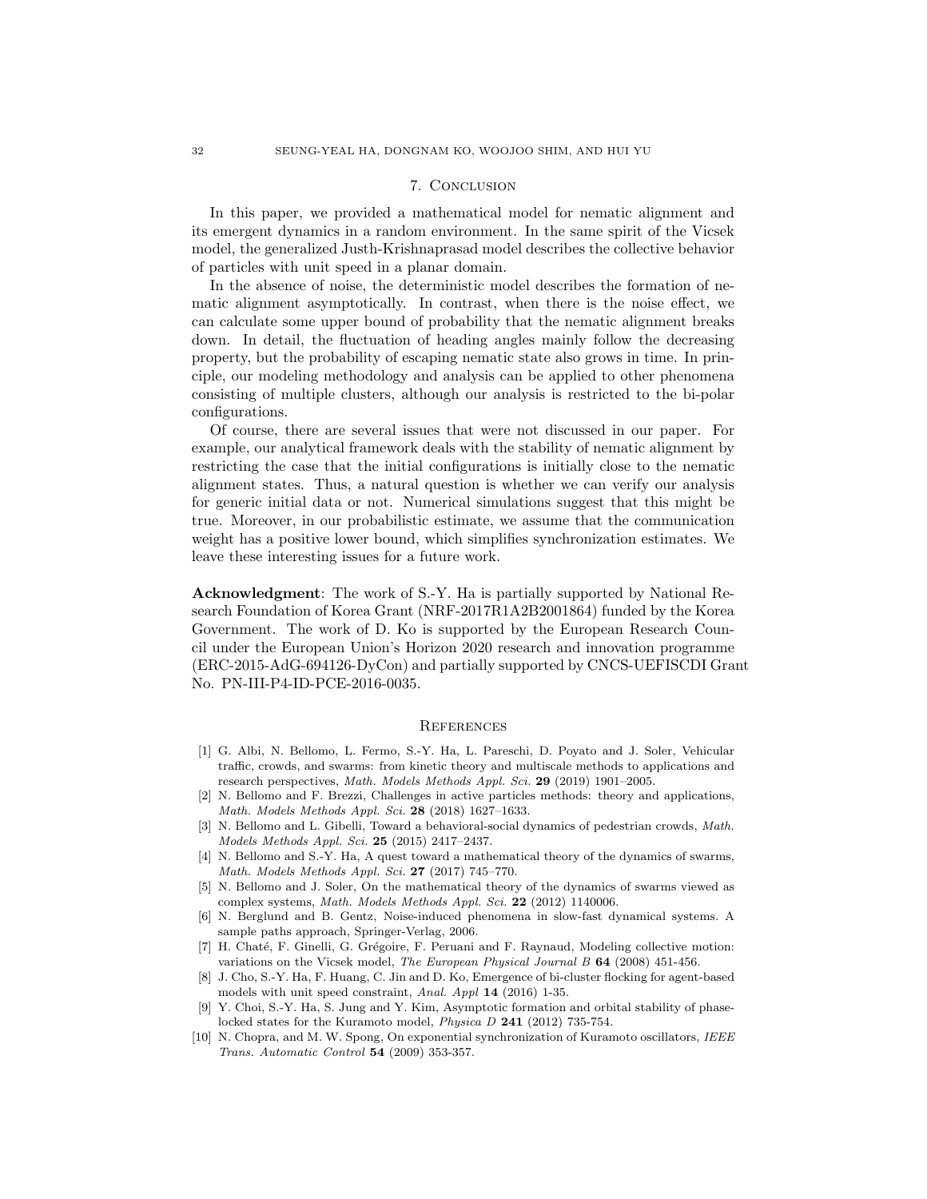## 7. Conclusion

In this paper, we provided a mathematical model for nematic alignment and its emergent dynamics in a random environment. In the same spirit of the Vicsek model, the generalized Justh-Krishnaprasad model describes the collective behavior of particles with unit speed in a planar domain.

In the absence of noise, the deterministic model describes the formation of nematic alignment asymptotically. In contrast, when there is the noise effect, we can calculate some upper bound of probability that the nematic alignment breaks down. In detail, the fluctuation of heading angles mainly follow the decreasing property, but the probability of escaping nematic state also grows in time. In principle, our modeling methodology and analysis can be applied to other phenomena consisting of multiple clusters, although our analysis is restricted to the bi-polar configurations.

Of course, there are several issues that were not discussed in our paper. For example, our analytical framework deals with the stability of nematic alignment by restricting the case that the initial configurations is initially close to the nematic alignment states. Thus, a natural question is whether we can verify our analysis for generic initial data or not. Numerical simulations suggest that this might be true. Moreover, in our probabilistic estimate, we assume that the communication weight has a positive lower bound, which simplifies synchronization estimates. We leave these interesting issues for a future work.

Acknowledgment: The work of S.-Y. Ha is partially supported by National Research Foundation of Korea Grant (NRF-2017R1A2B2001864) funded by the Korea Government. The work of D. Ko is supported by the European Research Council under the European Union's Horizon 2020 research and innovation programme (ERC-2015-AdG-694126-DyCon) and partially supported by CNCS-UEFISCDI Grant No. PN-III-P4-ID-PCE-2016-0035.

### **REFERENCES**

- [1] G. Albi, N. Bellomo, L. Fermo, S.-Y. Ha, L. Pareschi, D. Poyato and J. Soler, Vehicular traffic, crowds, and swarms: from kinetic theory and multiscale methods to applications and research perspectives, Math. Models Methods Appl. Sci. 29 (2019) 1901–2005.
- [2] N. Bellomo and F. Brezzi, Challenges in active particles methods: theory and applications, Math. Models Methods Appl. Sci. 28 (2018) 1627–1633.
- [3] N. Bellomo and L. Gibelli, Toward a behavioral-social dynamics of pedestrian crowds, Math. Models Methods Appl. Sci. 25 (2015) 2417–2437.
- [4] N. Bellomo and S.-Y. Ha, A quest toward a mathematical theory of the dynamics of swarms, Math. Models Methods Appl. Sci. 27 (2017) 745–770.
- [5] N. Bellomo and J. Soler, On the mathematical theory of the dynamics of swarms viewed as complex systems, Math. Models Methods Appl. Sci. 22 (2012) 1140006.
- [6] N. Berglund and B. Gentz, Noise-induced phenomena in slow-fast dynamical systems. A sample paths approach, Springer-Verlag, 2006.
- [7] H. Chaté, F. Ginelli, G. Grégoire, F. Peruani and F. Raynaud, Modeling collective motion: variations on the Vicsek model, The European Physical Journal B 64 (2008) 451-456.
- [8] J. Cho, S.-Y. Ha, F. Huang, C. Jin and D. Ko, Emergence of bi-cluster flocking for agent-based models with unit speed constraint, Anal. Appl 14 (2016) 1-35.
- [9] Y. Choi, S.-Y. Ha, S. Jung and Y. Kim, Asymptotic formation and orbital stability of phaselocked states for the Kuramoto model, Physica D 241 (2012) 735-754.
- [10] N. Chopra, and M. W. Spong, On exponential synchronization of Kuramoto oscillators, IEEE Trans. Automatic Control 54 (2009) 353-357.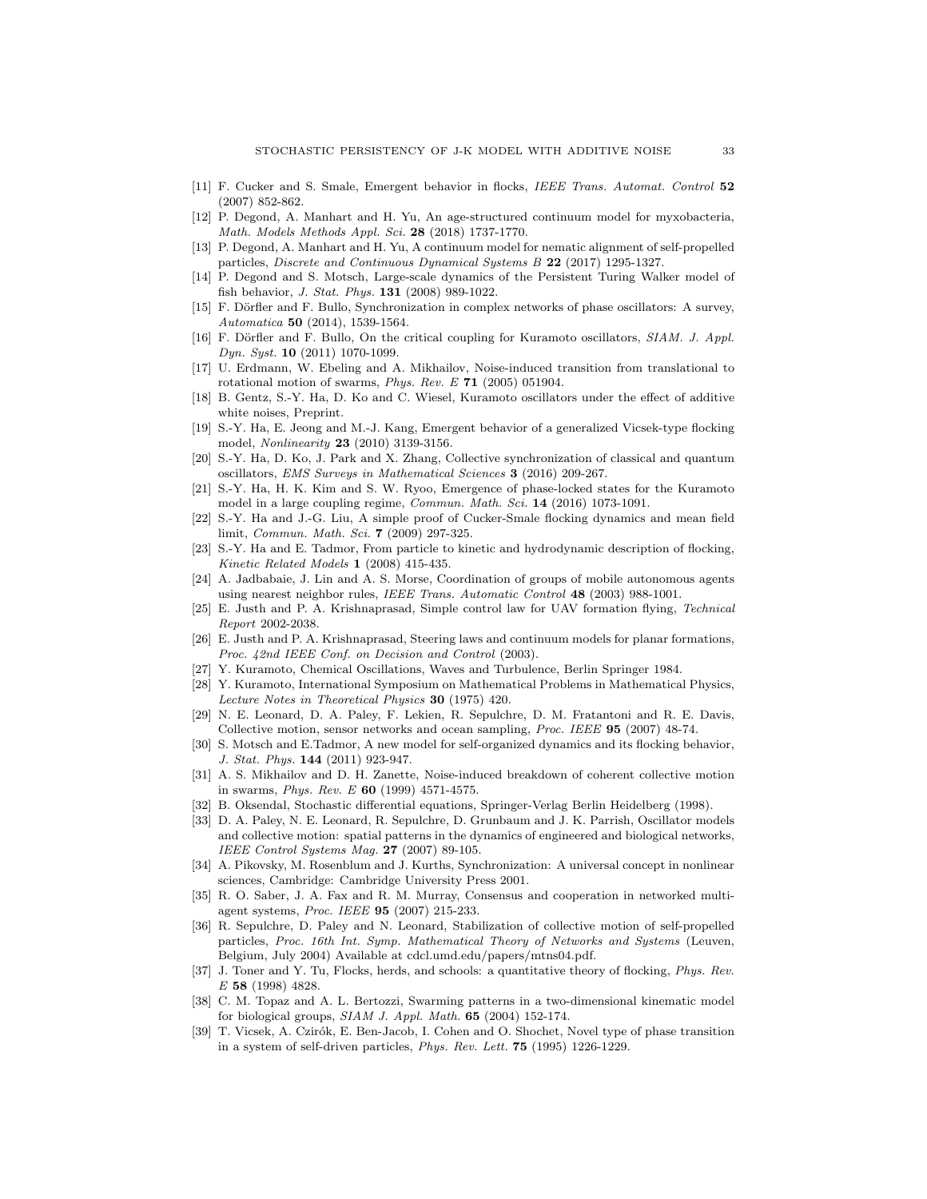- [11] F. Cucker and S. Smale, Emergent behavior in flocks, IEEE Trans. Automat. Control 52 (2007) 852-862.
- [12] P. Degond, A. Manhart and H. Yu, An age-structured continuum model for myxobacteria, Math. Models Methods Appl. Sci. 28 (2018) 1737-1770.
- [13] P. Degond, A. Manhart and H. Yu, A continuum model for nematic alignment of self-propelled particles, Discrete and Continuous Dynamical Systems B 22 (2017) 1295-1327.
- [14] P. Degond and S. Motsch, Large-scale dynamics of the Persistent Turing Walker model of fish behavior, J. Stat. Phys. 131 (2008) 989-1022.
- [15] F. Dörfler and F. Bullo, Synchronization in complex networks of phase oscillators: A survey, Automatica 50 (2014), 1539-1564.
- [16] F. Dörfler and F. Bullo, On the critical coupling for Kuramoto oscillators, SIAM. J. Appl. Dyn. Syst. 10 (2011) 1070-1099.
- [17] U. Erdmann, W. Ebeling and A. Mikhailov, Noise-induced transition from translational to rotational motion of swarms,  $Phys. Rev. E$  71 (2005) 051904.
- [18] B. Gentz, S.-Y. Ha, D. Ko and C. Wiesel, Kuramoto oscillators under the effect of additive white noises, Preprint.
- [19] S.-Y. Ha, E. Jeong and M.-J. Kang, Emergent behavior of a generalized Vicsek-type flocking model, Nonlinearity 23 (2010) 3139-3156.
- [20] S.-Y. Ha, D. Ko, J. Park and X. Zhang, Collective synchronization of classical and quantum oscillators, EMS Surveys in Mathematical Sciences 3 (2016) 209-267.
- [21] S.-Y. Ha, H. K. Kim and S. W. Ryoo, Emergence of phase-locked states for the Kuramoto model in a large coupling regime, *Commun. Math. Sci.* **14** (2016) 1073-1091.
- [22] S.-Y. Ha and J.-G. Liu, A simple proof of Cucker-Smale flocking dynamics and mean field limit, Commun. Math. Sci. **7** (2009) 297-325.
- [23] S.-Y. Ha and E. Tadmor, From particle to kinetic and hydrodynamic description of flocking, Kinetic Related Models 1 (2008) 415-435.
- [24] A. Jadbabaie, J. Lin and A. S. Morse, Coordination of groups of mobile autonomous agents using nearest neighbor rules, IEEE Trans. Automatic Control 48 (2003) 988-1001.
- [25] E. Justh and P. A. Krishnaprasad, Simple control law for UAV formation flying, Technical Report 2002-2038.
- [26] E. Justh and P. A. Krishnaprasad, Steering laws and continuum models for planar formations, Proc. 42nd IEEE Conf. on Decision and Control (2003).
- [27] Y. Kuramoto, Chemical Oscillations, Waves and Turbulence, Berlin Springer 1984.
- [28] Y. Kuramoto, International Symposium on Mathematical Problems in Mathematical Physics, Lecture Notes in Theoretical Physics 30 (1975) 420.
- [29] N. E. Leonard, D. A. Paley, F. Lekien, R. Sepulchre, D. M. Fratantoni and R. E. Davis, Collective motion, sensor networks and ocean sampling, Proc. IEEE 95 (2007) 48-74.
- [30] S. Motsch and E.Tadmor, A new model for self-organized dynamics and its flocking behavior, J. Stat. Phys. 144 (2011) 923-947.
- [31] A. S. Mikhailov and D. H. Zanette, Noise-induced breakdown of coherent collective motion in swarms, Phys. Rev. E 60 (1999) 4571-4575.
- [32] B. Oksendal, Stochastic differential equations, Springer-Verlag Berlin Heidelberg (1998).
- [33] D. A. Paley, N. E. Leonard, R. Sepulchre, D. Grunbaum and J. K. Parrish, Oscillator models and collective motion: spatial patterns in the dynamics of engineered and biological networks, IEEE Control Systems Mag. 27 (2007) 89-105.
- [34] A. Pikovsky, M. Rosenblum and J. Kurths, Synchronization: A universal concept in nonlinear sciences, Cambridge: Cambridge University Press 2001.
- [35] R. O. Saber, J. A. Fax and R. M. Murray, Consensus and cooperation in networked multiagent systems, Proc. IEEE 95 (2007) 215-233.
- [36] R. Sepulchre, D. Paley and N. Leonard, Stabilization of collective motion of self-propelled particles, Proc. 16th Int. Symp. Mathematical Theory of Networks and Systems (Leuven, Belgium, July 2004) Available at cdcl.umd.edu/papers/mtns04.pdf.
- [37] J. Toner and Y. Tu, Flocks, herds, and schools: a quantitative theory of flocking, *Phys. Rev.* E 58 (1998) 4828.
- [38] C. M. Topaz and A. L. Bertozzi, Swarming patterns in a two-dimensional kinematic model for biological groups, SIAM J. Appl. Math. 65 (2004) 152-174.
- [39] T. Vicsek, A. Czirók, E. Ben-Jacob, I. Cohen and O. Shochet, Novel type of phase transition in a system of self-driven particles, Phys. Rev. Lett. 75 (1995) 1226-1229.